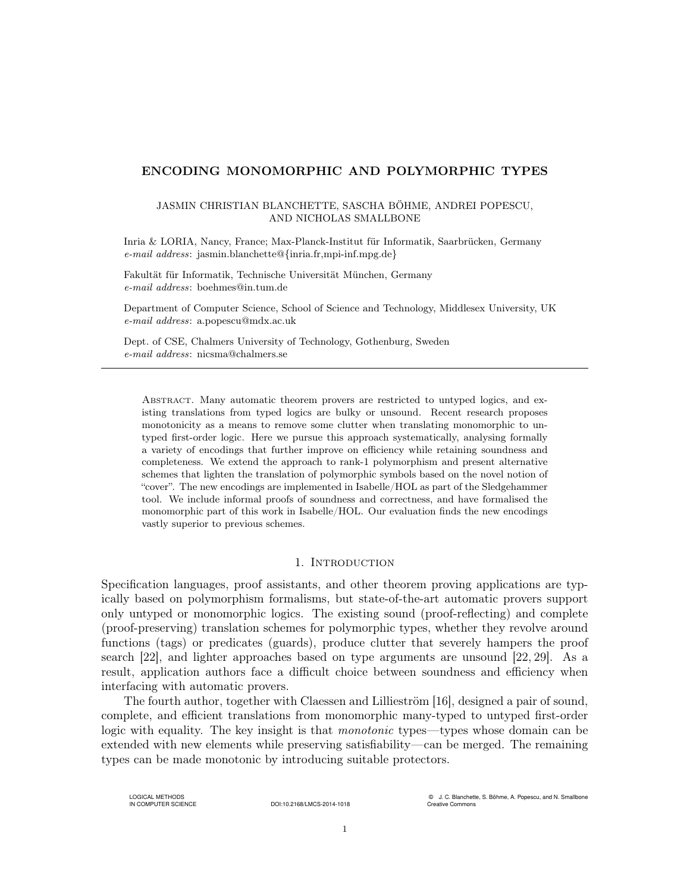# ENCODING MONOMORPHIC AND POLYMORPHIC TYPES

## JASMIN CHRISTIAN BLANCHETTE, SASCHA BÖHME, ANDREI POPESCU, AND NICHOLAS SMALLBONE

Inria & LORIA, Nancy, France; Max-Planck-Institut für Informatik, Saarbrücken, Germany e-mail address: jasmin.blanchette@{inria.fr,mpi-inf.mpg.de}

Fakultät für Informatik, Technische Universität München, Germany e-mail address: boehmes@in.tum.de

Department of Computer Science, School of Science and Technology, Middlesex University, UK e-mail address: a.popescu@mdx.ac.uk

Dept. of CSE, Chalmers University of Technology, Gothenburg, Sweden e-mail address: nicsma@chalmers.se

Abstract. Many automatic theorem provers are restricted to untyped logics, and existing translations from typed logics are bulky or unsound. Recent research proposes monotonicity as a means to remove some clutter when translating monomorphic to untyped first-order logic. Here we pursue this approach systematically, analysing formally a variety of encodings that further improve on efficiency while retaining soundness and completeness. We extend the approach to rank-1 polymorphism and present alternative schemes that lighten the translation of polymorphic symbols based on the novel notion of "cover". The new encodings are implemented in Isabelle/HOL as part of the Sledgehammer tool. We include informal proofs of soundness and correctness, and have formalised the monomorphic part of this work in Isabelle/HOL. Our evaluation finds the new encodings vastly superior to previous schemes.

## 1. INTRODUCTION

Specification languages, proof assistants, and other theorem proving applications are typically based on polymorphism formalisms, but state-of-the-art automatic provers support only untyped or monomorphic logics. The existing sound (proof-reflecting) and complete (proof-preserving) translation schemes for polymorphic types, whether they revolve around functions (tags) or predicates (guards), produce clutter that severely hampers the proof search [\[22\]](#page-50-0), and lighter approaches based on type arguments are unsound [\[22,](#page-50-0) [29\]](#page-50-1). As a result, application authors face a difficult choice between soundness and efficiency when interfacing with automatic provers.

The fourth author, together with Claessen and Lillieström [\[16\]](#page-50-2), designed a pair of sound, complete, and efficient translations from monomorphic many-typed to untyped first-order logic with equality. The key insight is that *monotonic* types—types whose domain can be extended with new elements while preserving satisfiability—can be merged. The remaining types can be made monotonic by introducing suitable protectors.

LOGICAL METHODS<br>IN COMPUTER SCIENCE

DOI:10.2168/LMCS-2014-1018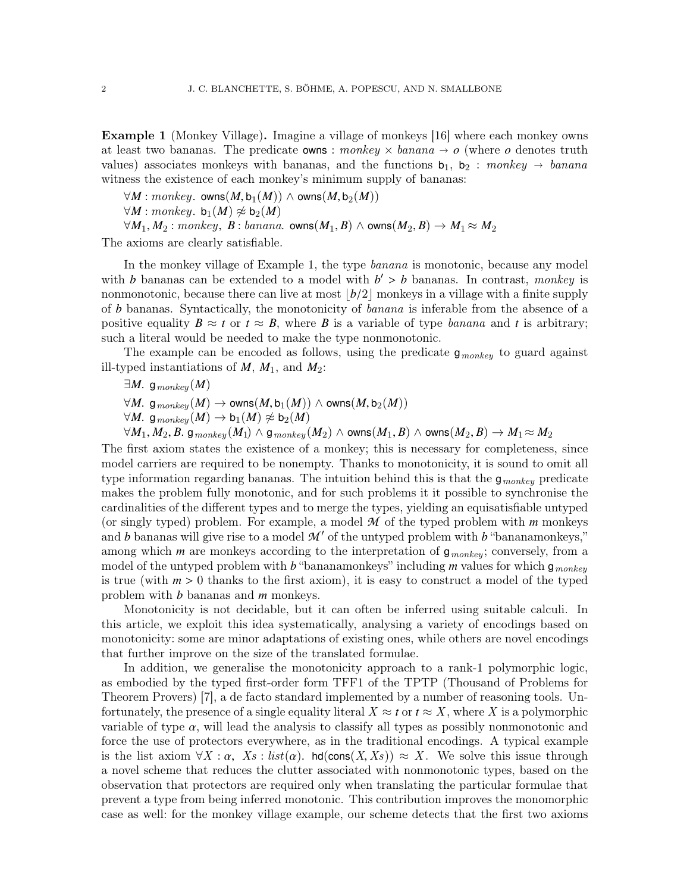<span id="page-1-0"></span>Example 1 (Monkey Village). Imagine a village of monkeys [\[16\]](#page-50-2) where each monkey owns at least two bananas. The predicate **owns**: monkey  $\times$  banana  $\rightarrow$  o (where o denotes truth values) associates monkeys with bananas, and the functions  $b_1$ ,  $b_2$ : monkey  $\rightarrow$  banana witness the existence of each monkey's minimum supply of bananas:

 $\forall M : monkey.$  owns $(M, b_1(M))$  ∧ owns $(M, b_2(M))$ 

 $\forall M : monkey. b_1(M) \not\approx b_2(M)$ 

 $\forall M_1, M_2 : monkey, B : banana.$  owns $(M_1, B) \land$  owns $(M_2, B) \rightarrow M_1 \approx M_2$ 

The axioms are clearly satisfiable.

In the monkey village of Example [1,](#page-1-0) the type banana is monotonic, because any model with *b* bananas can be extended to a model with  $b' > b$  bananas. In contrast, monkey is<br>nonmonotonic because there can live at most  $\lfloor h/2 \rfloor$  monkeys in a village with a finite supply nonmonotonic, because there can live at most  $\lfloor b/2 \rfloor$  monkeys in a village with a finite supply of *b* bananas. Syntactically, the monotonicity of banana is inferable from the absence of a positive equality  $B \approx t$  or  $t \approx B$ , where B is a variable of type *banana* and t is arbitrary; such a literal would be needed to make the type nonmonotonic.

The example can be encoded as follows, using the predicate  $g_{\text{monkey}}$  to guard against ill-typed instantiations of *M*, *M*1, and *M*2:

 $\exists M.$  g<sub>monkey</sub> $(M)$ 

 $\forall M$ . g<sub>monkey</sub>(*M*) → owns(*M*, b<sub>1</sub>(*M*)) ∧ owns(*M*, b<sub>2</sub>(*M*))

 $\forall M$ . g<sub>monkey</sub> $(M) \rightarrow b_1(M) \not\approx b_2(M)$ 

 $\forall M_1, M_2, B$ . g $_{monkey}(M_1) \land$  g $_{monkey}(M_2) \land$  owns $(M_1, B) \land$  owns $(M_2, B) \rightarrow M_1 \approx M_2$ 

The first axiom states the existence of a monkey; this is necessary for completeness, since model carriers are required to be nonempty. Thanks to monotonicity, it is sound to omit all type information regarding bananas. The intuition behind this is that the  $g_{\text{monkey}}$  predicate makes the problem fully monotonic, and for such problems it it possible to synchronise the cardinalities of the different types and to merge the types, yielding an equisatisfiable untyped (or singly typed) problem. For example, a model  $\mathcal M$  of the typed problem with  $m$  monkeys and *b* bananas will give rise to a model  $\mathcal{M}'$  of the untyped problem with *b* "bananamonkeys," among which *m* are monkeys according to the interpretation of  $g_{\text{monkey}}$ ; conversely, from a model of the untyped problem with *b* "bananamonkeys" including *m* values for which  $g_{\text{monkey}}$ is true (with *<sup>m</sup>* > <sup>0</sup> thanks to the first axiom), it is easy to construct a model of the typed problem with *b* bananas and *m* monkeys.

Monotonicity is not decidable, but it can often be inferred using suitable calculi. In this article, we exploit this idea systematically, analysing a variety of encodings based on monotonicity: some are minor adaptations of existing ones, while others are novel encodings that further improve on the size of the translated formulae.

In addition, we generalise the monotonicity approach to a rank-1 polymorphic logic, as embodied by the typed first-order form TFF1 of the TPTP (Thousand of Problems for Theorem Provers) [\[7\]](#page-49-0), a de facto standard implemented by a number of reasoning tools. Unfortunately, the presence of a single equality literal  $X \approx t$  or  $t \approx X$ , where X is a polymorphic variable of type  $\alpha$ , will lead the analysis to classify all types as possibly nonmonotonic and force the use of protectors everywhere, as in the traditional encodings. A typical example is the list axiom  $\forall X : \alpha$ ,  $Xs : list(\alpha)$ . hd(cons $(X, Xs)$ )  $\approx X$ . We solve this issue through a novel scheme that reduces the clutter associated with nonmonotonic types, based on the observation that protectors are required only when translating the particular formulae that prevent a type from being inferred monotonic. This contribution improves the monomorphic case as well: for the monkey village example, our scheme detects that the first two axioms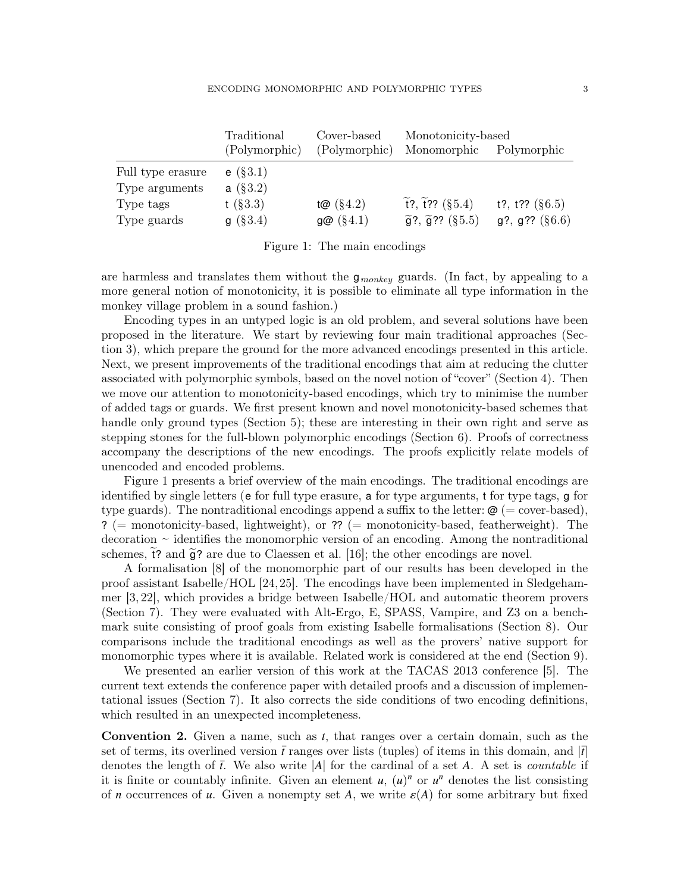|                                                  | Traditional                           | Cover-based      | Monotonicity-based                   |                            |  |  |  |
|--------------------------------------------------|---------------------------------------|------------------|--------------------------------------|----------------------------|--|--|--|
|                                                  | (Polymorphic)                         | (Polymorphic)    | Monomorphic                          | Polymorphic                |  |  |  |
| Full type erasure<br>Type arguments<br>Type tags | $e$ (§3.1)<br>a $(\S 3.2)$<br>t(83.3) | t@(§4.2)         | $\tilde{t}$ ?, $\tilde{t}$ ?? (§5.4) | t?, t?? $(\S6.5)$          |  |  |  |
| Type guards                                      | g(83.4)                               | $g\omega$ (§4.1) | $\tilde{g}$ ?, $\tilde{g}$ ?? (§5.5) | $g$ ?, $g$ ?? ( $\S 6.6$ ) |  |  |  |

<span id="page-2-0"></span>Figure 1: The main encodings

are harmless and translates them without the  $g_{\text{monkey}}$  guards. (In fact, by appealing to a more general notion of monotonicity, it is possible to eliminate all type information in the monkey village problem in a sound fashion.)

Encoding types in an untyped logic is an old problem, and several solutions have been proposed in the literature. We start by reviewing four main traditional approaches (Section [3\)](#page-8-1), which prepare the ground for the more advanced encodings presented in this article. Next, we present improvements of the traditional encodings that aim at reducing the clutter associated with polymorphic symbols, based on the novel notion of "cover" (Section [4\)](#page-14-0). Then we move our attention to monotonicity-based encodings, which try to minimise the number of added tags or guards. We first present known and novel monotonicity-based schemes that handle only ground types (Section [5\)](#page-24-0); these are interesting in their own right and serve as stepping stones for the full-blown polymorphic encodings (Section [6\)](#page-32-0). Proofs of correctness accompany the descriptions of the new encodings. The proofs explicitly relate models of unencoded and encoded problems.

Figure [1](#page-2-0) presents a brief overview of the main encodings. The traditional encodings are identified by single letters (e for full type erasure, a for type arguments, t for type tags, g for type guards). The nontraditional encodings append a suffix to the letter:  $\omega$  (= cover-based), ? (= monotonicity-based, lightweight), or ?? (= monotonicity-based, featherweight). The  $\alpha$  decoration  $\sim$  identifies the monomorphic version of an encoding. Among the nontraditional schemes,  $\tilde{t}$ ? and  $\tilde{g}$ ? are due to Claessen et al. [\[16\]](#page-50-2); the other encodings are novel.

A formalisation [\[8\]](#page-49-1) of the monomorphic part of our results has been developed in the proof assistant Isabelle/HOL [\[24,](#page-50-3)[25\]](#page-50-4). The encodings have been implemented in Sledgehammer [\[3,](#page-49-2) [22\]](#page-50-0), which provides a bridge between Isabelle/HOL and automatic theorem provers (Section [7\)](#page-43-0). They were evaluated with Alt-Ergo, E, SPASS, Vampire, and Z3 on a benchmark suite consisting of proof goals from existing Isabelle formalisations (Section [8\)](#page-45-0). Our comparisons include the traditional encodings as well as the provers' native support for monomorphic types where it is available. Related work is considered at the end (Section [9\)](#page-48-0).

We presented an earlier version of this work at the TACAS 2013 conference [\[5\]](#page-49-3). The current text extends the conference paper with detailed proofs and a discussion of implementational issues (Section [7\)](#page-43-0). It also corrects the side conditions of two encoding definitions, which resulted in an unexpected incompleteness.

Convention 2. Given a name, such as *t*, that ranges over a certain domain, such as the set of terms, its overlined version  $\bar{t}$  ranges over lists (tuples) of items in this domain, and  $|\bar{t}|$ denotes the length of  $\bar{t}$ . We also write |A| for the cardinal of a set A. A set is *countable* if it is finite or countably infinite. Given an element  $u$ ,  $(u)^n$  or  $u^n$  denotes the list consisting of *n* occurrences of *u*. Given a nonempty set *A*, we write  $\varepsilon(A)$  for some arbitrary but fixed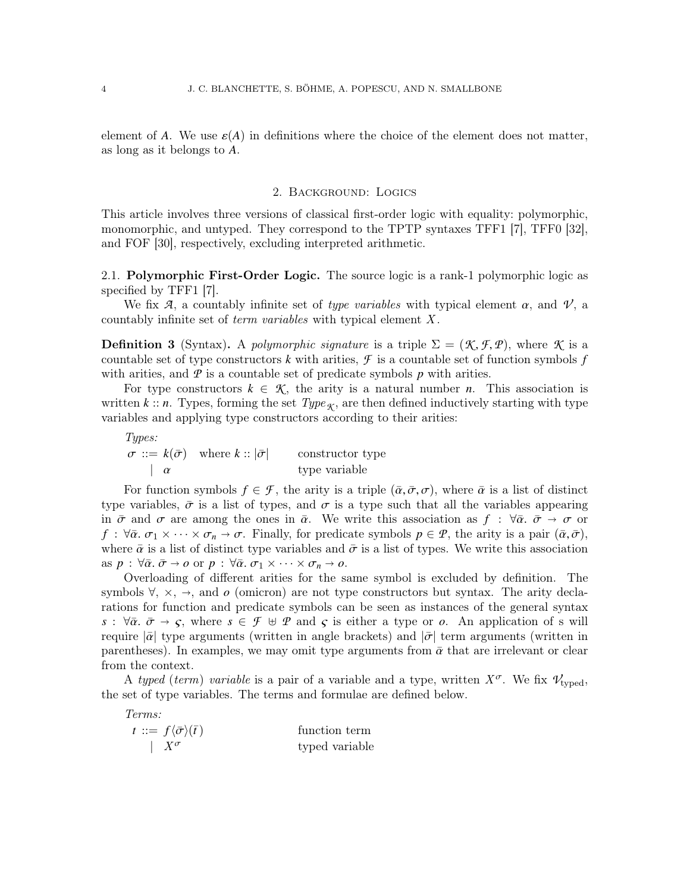element of *A*. We use  $\varepsilon(A)$  in definitions where the choice of the element does not matter, as long as it belongs to *A*.

### 2. Background: Logics

This article involves three versions of classical first-order logic with equality: polymorphic, monomorphic, and untyped. They correspond to the TPTP syntaxes TFF1 [\[7\]](#page-49-0), TFF0 [\[32\]](#page-50-5), and FOF [\[30\]](#page-50-6), respectively, excluding interpreted arithmetic.

2.1. **Polymorphic First-Order Logic.** The source logic is a rank-1 polymorphic logic as specified by TFF1 [\[7\]](#page-49-0).

We fix  $\mathcal{A}$ , a countably infinite set of type variables with typical element  $\alpha$ , and  $\mathcal{V}$ , a countably infinite set of *term variables* with typical element X.

**Definition 3** (Syntax). A polymorphic signature is a triple  $\Sigma = (\mathcal{K}, \mathcal{F}, \mathcal{P})$ , where  $\mathcal{K}$  is a countable set of type constructors *k* with arities,  $\mathcal F$  is a countable set of function symbols  $f$ with arities, and  $\mathcal P$  is a countable set of predicate symbols  $p$  with arities.

For type constructors  $k \in \mathcal{K}$ , the arity is a natural number *n*. This association is written *k* :: *n*. Types, forming the set  $Type_{\mathcal{K}}$ , are then defined inductively starting with type variables and applying type constructors according to their arities:

Types:  $\sigma ::= k(\bar{\sigma})$  where  $k ::= |\bar{\sigma}|$  constructor type<br>  $|\alpha|$  constructor type type variable

For function symbols  $f \in \mathcal{F}$ , the arity is a triple  $(\bar{\alpha}, \bar{\sigma}, \sigma)$ , where  $\bar{\alpha}$  is a list of distinct type variables,  $\bar{\sigma}$  is a list of types, and  $\sigma$  is a type such that all the variables appearing in  $\bar{\sigma}$  and  $\sigma$  are among the ones in  $\bar{\alpha}$ . We write this association as  $f : \forall \bar{\alpha}, \bar{\sigma} \to \sigma$  or  $f : \forall \bar{\alpha}, \sigma_1 \times \cdots \times \sigma_n \to \sigma$ . Finally, for predicate symbols  $p \in \mathcal{P}$ , the arity is a pair  $(\bar{\alpha}, \bar{\sigma})$ , where  $\bar{\alpha}$  is a list of distinct type variables and  $\bar{\sigma}$  is a list of types. We write this association as  $p : \forall \bar{\alpha}, \bar{\sigma} \to o$  or  $p : \forall \bar{\alpha}, \sigma_1 \times \cdots \times \sigma_n \to o$ .

Overloading of different arities for the same symbol is excluded by definition. The symbols  $\forall$ ,  $\times$ ,  $\rightarrow$ , and *o* (omicron) are not type constructors but syntax. The arity declarations for function and predicate symbols can be seen as instances of the general syntax  $s : \forall \bar{\alpha}, \bar{\sigma} \rightarrow \varsigma$ , where  $s \in \mathcal{F} \oplus \mathcal{P}$  and  $\varsigma$  is either a type or *o*. An application of s will require  $|\bar{\alpha}|$  type arguments (written in angle brackets) and  $|\bar{\sigma}|$  term arguments (written in parentheses). In examples, we may omit type arguments from  $\bar{\alpha}$  that are irrelevant or clear from the context.

A typed (term) variable is a pair of a variable and a type, written  $X^{\sigma}$ . We fix  $V_{\text{tvoed}}$ , the set of type variables. The terms and formulae are defined below.

Terms:

| $t := f \langle \bar{\sigma} \rangle (\bar{t})$ | function term  |
|-------------------------------------------------|----------------|
| $\mid X^{\sigma}$                               | typed variable |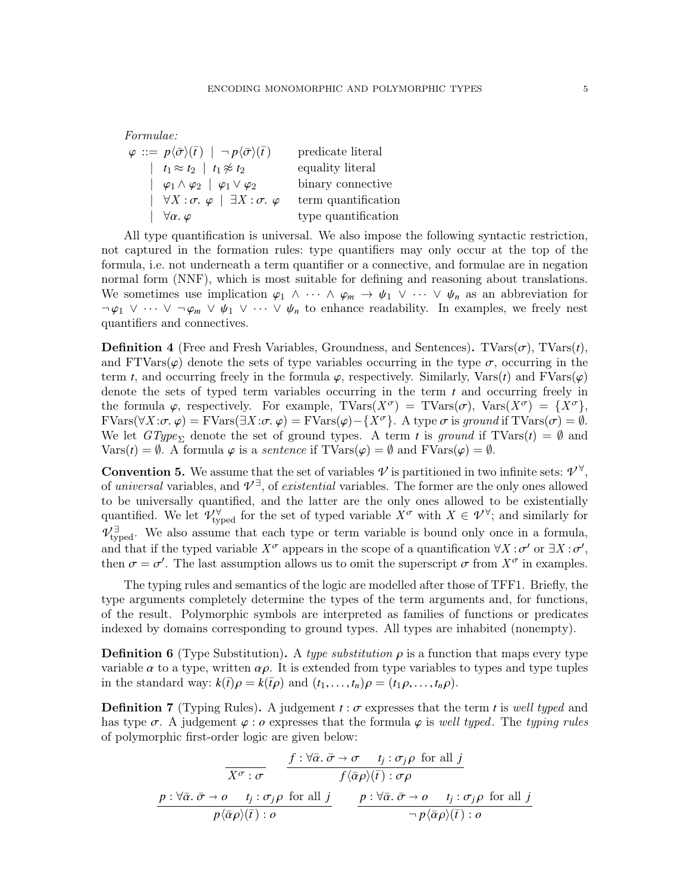| <i>Formulae:</i>                                                                                          |                     |
|-----------------------------------------------------------------------------------------------------------|---------------------|
| $\varphi ::= p \langle \bar{\sigma} \rangle (\bar{t}) \mid \neg p \langle \bar{\sigma} \rangle (\bar{t})$ | predicate literal   |
| $\left  t_1 \approx t_2 \right  t_1 \not\approx t_2$                                                      | equality literal    |
| $\begin{array}{ c c c c c }\n\hline\n\phi_1 \wedge \phi_2 & \phi_1 \vee \phi_2\n\end{array}$              | binary connective   |
| $ \forall X:\sigma, \varphi  \exists X:\sigma, \varphi$                                                   | term quantification |
| $\forall \alpha. \varphi$                                                                                 | type quantification |
|                                                                                                           |                     |

All type quantification is universal. We also impose the following syntactic restriction, not captured in the formation rules: type quantifiers may only occur at the top of the formula, i.e. not underneath a term quantifier or a connective, and formulae are in negation normal form (NNF), which is most suitable for defining and reasoning about translations. We sometimes use implication  $\varphi_1 \wedge \cdots \wedge \varphi_m \rightarrow \psi_1 \vee \cdots \vee \psi_n$  as an abbreviation for  $\neg \varphi_1 \lor \cdots \lor \neg \varphi_m \lor \psi_1 \lor \cdots \lor \psi_n$  to enhance readability. In examples, we freely nest quantifiers and connectives.

**Definition 4** (Free and Fresh Variables, Groundness, and Sentences). TVars $(\sigma)$ , TVars $(t)$ , and  $FTVars(\varphi)$  denote the sets of type variables occurring in the type  $\sigma$ , occurring in the term *t*, and occurring freely in the formula  $\varphi$ , respectively. Similarly, Vars(*t*) and FVars( $\varphi$ ) denote the sets of typed term variables occurring in the term *t* and occurring freely in the formula  $\varphi$ , respectively. For example, TVars $(X^{\sigma})$  = TVars $(\sigma)$ , Vars $(X^{\sigma}) = \{X^{\sigma}\},$  $\text{FVars}(\forall X:\sigma, \varphi) = \text{FVars}(\exists X:\sigma, \varphi) = \text{FVars}(\varphi) - \{X^{\sigma}\}\text{. A type }\sigma \text{ is ground if } \text{TVars}(\sigma) = \emptyset.$ We let  $GType_{\Sigma}$  denote the set of ground types. A term *t* is ground if TVars(*t*) =  $\emptyset$  and  $\text{Vars}(t) = \emptyset$ . A formula  $\varphi$  is a *sentence* if  $\text{TVars}(\varphi) = \emptyset$  and  $\text{FVars}(\varphi) = \emptyset$ .

**Convention 5.** We assume that the set of variables  $\mathcal{V}$  is partitioned in two infinite sets:  $\mathcal{V}^{\forall}$ , of universal variables, and  $\mathcal{V}^{\exists}$ , of existential variables. The former are the only ones allowed to be universally quantified, and the latter are the only ones allowed to be existentially quantified. We let  $\mathcal{V}_{\text{typed}}^{\forall}$  for the set of typed variable  $X^{\sigma}$  with  $X \in \mathcal{V}^{\forall}$ ; and similarly for  $\mathcal{V}^{\exists}_{\text{typed}}$ . We also assume that each type or term variable is bound only once in a formula, and that if the typed variable  $X^{\sigma}$  appears in the scope of a quantification  $\forall X : \sigma'$  or  $\exists X : \sigma',$ <br>then  $\sigma = \sigma'$ . The last assumption allows us to omit the superscript  $\sigma$  from  $X^{\sigma}$  in examples then  $\sigma = \sigma'$ . The last assumption allows us to omit the superscript  $\sigma$  from  $X^{\sigma}$  in examples.

The typing rules and semantics of the logic are modelled after those of TFF1. Briefly, the type arguments completely determine the types of the term arguments and, for functions, of the result. Polymorphic symbols are interpreted as families of functions or predicates indexed by domains corresponding to ground types. All types are inhabited (nonempty).

**Definition 6** (Type Substitution). A type substitution  $\rho$  is a function that maps every type variable  $\alpha$  to a type, written  $\alpha \rho$ . It is extended from type variables to types and type tuples in the standard way:  $k(\bar{t})\rho = k(\bar{t}\rho)$  and  $(t_1, \ldots, t_n)\rho = (t_1\rho, \ldots, t_n\rho)$ .

**Definition 7** (Typing Rules). A judgement  $t : \sigma$  expresses that the term t is well typed and has type  $\sigma$ . A judgement  $\varphi$ : *o* expresses that the formula  $\varphi$  is well typed. The typing rules of polymorphic first-order logic are given below:

$$
\frac{f: \forall \bar{\alpha}.\ \bar{\sigma} \to \sigma \quad t_j: \sigma_j \rho \text{ for all } j}{f \langle \bar{\alpha} \rho \rangle(\bar{t}): \sigma \rho}
$$
\n
$$
\frac{p: \forall \bar{\alpha}.\ \bar{\sigma} \to \sigma \quad t_j: \sigma_j \rho \text{ for all } j}{p \langle \bar{\alpha} \rho \rangle(\bar{t}): \sigma} \qquad \frac{p: \forall \bar{\alpha}.\ \bar{\sigma} \to \sigma \quad t_j: \sigma_j \rho \text{ for all } j}{p \langle \bar{\alpha} \rho \rangle(\bar{t}): \sigma}
$$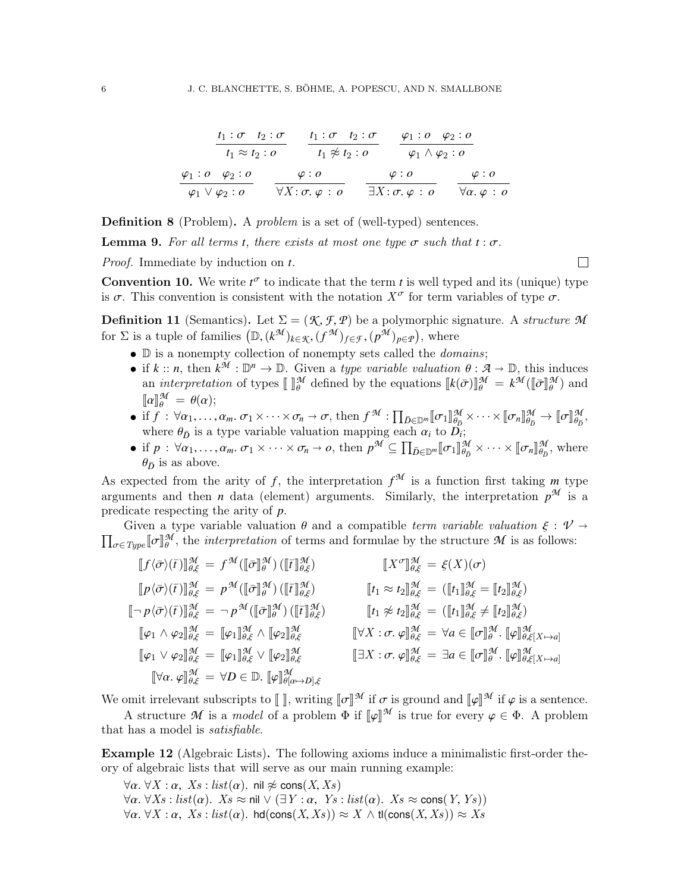$$
\frac{t_1:\sigma \quad t_2:\sigma}{t_1 \approx t_2:\sigma} \qquad \frac{t_1:\sigma \quad t_2:\sigma}{t_1 \not\approx t_2:\sigma} \qquad \frac{\varphi_1:\sigma \quad \varphi_2:\sigma}{\varphi_1 \wedge \varphi_2:\sigma}
$$
\n
$$
\frac{\varphi_1:\sigma \quad \varphi_2:\sigma}{\varphi_1 \vee \varphi_2:\sigma} \qquad \frac{\varphi:\sigma}{\forall X:\sigma.\varphi:\sigma} \qquad \frac{\varphi:\sigma}{\exists X:\sigma.\varphi:\sigma} \qquad \frac{\varphi:\sigma}{\forall \alpha.\varphi:\sigma}
$$

**Definition 8** (Problem). A *problem* is a set of (well-typed) sentences.

**Lemma 9.** For all terms *t*, there exists at most one type  $\sigma$  such that  $t : \sigma$ .

Proof. Immediate by induction on *t*.

**Convention 10.** We write  $t^{\sigma}$  to indicate that the term *t* is well typed and its (unique) type is  $\sigma$ . This convention is consistent with the notation  $X^{\sigma}$  for term variables of type  $\sigma$ .

**Definition 11** (Semantics). Let  $\Sigma = (\mathcal{K}, \mathcal{F}, \mathcal{P})$  be a polymorphic signature. A structure M for  $\Sigma$  is a tuple of families  $(\mathbb{D}, (k^{\mathcal{M}})_{k \in \mathcal{K}}, (f^{\mathcal{M}})_{f \in \mathcal{F}}, (p^{\mathcal{M}})_{p \in \mathcal{P}})$ , where

- $\bullet$  D is a nonempty collection of nonempty sets called the *domains*;
- if  $k :: n$ , then  $k^M : \mathbb{D}^n \to \mathbb{D}$ . Given a *type variable valuation*  $\theta : \mathcal{A} \to \mathbb{D}$ , this induces an *interpretation* of types  $\llbracket \cdot \rrbracket_M^M$  defined by the equations  $\llbracket k(\bar{\sigma}) \rrbracket_M^M = k^M (\llbracket \bar{\sigma} \rrbracket_M^M)$  and  $\llbracket \bar{\sigma} \rrbracket_M^M = \theta(\alpha)$ .  $[\![\alpha]\!]_{\theta}^{\mathcal{M}} = \theta(\alpha);$ <br>if f  $\cdot$   $\forall \alpha$  $\llbracket \alpha \rrbracket^{\mathcal{M}}_{\theta} = \theta(\alpha);$
- if  $f: \forall \alpha_1, \ldots, \alpha_m, \sigma_1 \times \cdots \times \sigma_n \to \sigma$ , then  $f^{\mathcal{M}}: \prod_{\bar{D} \in \mathbb{D}^m} [\![\sigma_1]\!]_{\theta_{\bar{D}}}^{\mathcal{M}} \times \cdots \times [\![\sigma_n]\!]_{\theta_{\bar{D}}}^{\mathcal{M}} \to [\![\sigma]\!]_{\theta_{\bar{D}}}^{\mathcal{M}}$  $\frac{\partial M}{\partial \bar{D}}$ where  $\theta_{\bar{D}}$  is a type variable valuation mapping each  $\alpha_i$  to  $\overline{D}_i$ ;<br>if  $n : \forall \alpha, \alpha \in \mathcal{D}$ ,  $\forall \alpha \in \mathcal{D}$ ,  $\alpha \neq \alpha$ ,  $\alpha \in \mathcal{D}$ ,  $\mathbb{R}$ ,  $\mathbb{R}^d$
- if  $p : \forall \alpha_1, \ldots, \alpha_m$ ,  $\sigma_1 \times \cdots \times \sigma_n \to o$ , then  $p^{\mathcal{M}} \subseteq \prod_{\bar{D} \in \mathbb{D}^m} [\![\sigma_1]\!]_{\theta_{\bar{D}}}^{\mathcal{M}} \times \cdots \times [\![\sigma_n]\!]_{\theta_{\bar{D}}}^{\mathcal{M}}$  $\frac{\partial M}{\partial \bar{D}}$ , where  $\theta_{\bar{D}}$  is as above.

As expected from the arity of f, the interpretation  $f^{\mathcal{M}}$  is a function first taking m type arguments and then *n* data (element) arguments. Similarly, the interpretation  $p^{\mathcal{M}}$  is a predicate respecting the arity of *p*.<br>Given a type variable valuation  $\theta$  and a compatible *term variable valuation*  $\xi : \mathcal{V} \rightarrow$ 

Given a type variable valuation  $\theta$  and a compatible *term variable valuation*  $\xi : \mathcal{V} \to \prod_{\substack{\sigma \in True}} [\sigma]_{\theta}^{\mathcal{M}}$ , the *interpretation* of terms and formulae by the structure  $\mathcal{M}$  is as follows:  $\sigma \in Type \llbracket \sigma \rrbracket^{\mathcal{M}}$ , the *interpretation* of terms and formulae by the structure  $\mathcal{M}$  is as follows:

$$
\begin{aligned}\n\llbracket f \langle \bar{\sigma} \rangle(\bar{t}) \rrbracket_{\theta,\xi}^{\mathcal{M}} &= f^{\mathcal{M}}(\llbracket \bar{\sigma} \rrbracket_{\theta,\xi}^{\mathcal{M}}) \quad \llbracket X^{\sigma} \rrbracket_{\theta,\xi}^{\mathcal{M}} &= \xi(X)(\sigma) \\
\llbracket p \langle \bar{\sigma} \rangle(\bar{t}) \rrbracket_{\theta,\xi}^{\mathcal{M}} &= p^{\mathcal{M}}(\llbracket \bar{\sigma} \rrbracket_{\theta}^{\mathcal{M}}) (\llbracket \bar{t} \rrbracket_{\theta,\xi}^{\mathcal{M}}) \quad \llbracket t_1 \approx t_2 \rrbracket_{\theta,\xi}^{\mathcal{M}} &= (\llbracket t_1 \rrbracket_{\theta,\xi}^{\mathcal{M}} &= \llbracket t_2 \rrbracket_{\theta,\xi}^{\mathcal{M}}) \\
\llbracket - p \langle \bar{\sigma} \rangle(\bar{t}) \rrbracket_{\theta,\xi}^{\mathcal{M}} &= -p^{\mathcal{M}}(\llbracket \bar{\sigma} \rrbracket_{\theta}^{\mathcal{M}}) (\llbracket \bar{t} \rrbracket_{\theta,\xi}^{\mathcal{M}}) \quad \llbracket t_1 \not\approx t_2 \rrbracket_{\theta,\xi}^{\mathcal{M}} &= (\llbracket t_1 \rrbracket_{\theta,\xi}^{\mathcal{M}} &= \llbracket t_2 \rrbracket_{\theta,\xi}^{\mathcal{M}}) \\
\llbracket \varphi_1 \wedge \varphi_2 \rrbracket_{\theta,\xi}^{\mathcal{M}} &= \llbracket \varphi_1 \rrbracket_{\theta,\xi}^{\mathcal{M}} \wedge \llbracket \varphi_2 \rrbracket_{\theta,\xi}^{\mathcal{M}} & \llbracket \exists X : \sigma, \varphi \rrbracket_{\theta,\xi}^{\mathcal{M}} &= \exists a \in \llbracket \sigma \rrbracket_{\theta}^{\mathcal{M}} \cdot \llbracket \varphi \rrbracket_{\theta,\xi[X \mapsto a]}^{\mathcal{M}} \\
\llbracket \forall \alpha, \varphi \rrbracket_{\theta,\xi}^{\mathcal{M}} &= \forall D \in \mathbb{D}. \llbracket \varphi \rrbracket_{\theta(\alpha \mapsto D), \xi}
$$

We omit irrelevant subscripts to  $\llbracket \cdot \rrbracket$ , writing  $\llbracket \sigma \rrbracket^{\mathcal{M}}$  if  $\sigma$  is ground and  $\llbracket \varphi \rrbracket^{\mathcal{M}}$  if  $\varphi$  is a sentence.

A structure  $\mathcal M$  is a model of a problem  $\Phi$  if  $\llbracket \varphi \rrbracket^{\mathcal M}$  is true for every  $\varphi \in \Phi$ . A problem has a model is *satisfiable* that has a model is satisfiable.

<span id="page-5-0"></span>Example 12 (Algebraic Lists). The following axioms induce a minimalistic first-order theory of algebraic lists that will serve as our main running example:

 $\forall \alpha$ .  $\forall X : \alpha$ ,  $X_s$ :  $list(\alpha)$ . nil  $\not\approx$  cons $(X, X_s)$  $\forall \alpha$ .  $\forall Xs : list(\alpha)$ .  $Xs \approx \text{nil} \vee (\exists Y : \alpha, Ys : list(\alpha)$ .  $Xs \approx \text{cons}(Y, Ys)$ )  $\forall \alpha$ .  $\forall X : \alpha$ ,  $X_s : \text{list}(\alpha)$ . hd(cons(X, Xs))  $\approx X \wedge$  tl(cons(X, Xs))  $\approx X_s$ 

 $\Box$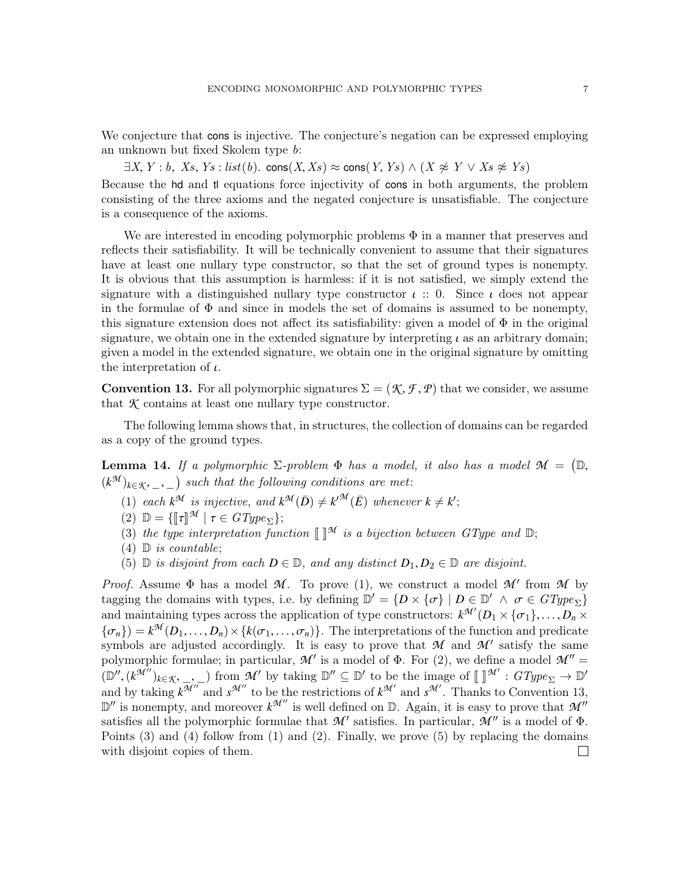We conjecture that cons is injective. The conjecture's negation can be expressed employing an unknown but fixed Skolem type b:

 $\exists X, Y : b, Xs, Ys : list(b). \text{ cons}(X, Xs) \approx \text{cons}(Y, Ys) \wedge (X \not\approx Y \vee Xs \not\approx Ys)$ 

Because the hd and tl equations force injectivity of cons in both arguments, the problem consisting of the three axioms and the negated conjecture is unsatisfiable. The conjecture is a consequence of the axioms.

We are interested in encoding polymorphic problems  $\Phi$  in a manner that preserves and reflects their satisfiability. It will be technically convenient to assume that their signatures have at least one nullary type constructor, so that the set of ground types is nonempty. It is obvious that this assumption is harmless: if it is not satisfied, we simply extend the signature with a distinguished nullary type constructor  $\iota$  :: 0. Since  $\iota$  does not appear in the formulae of  $\Phi$  and since in models the set of domains is assumed to be nonempty, this signature extension does not affect its satisfiability: given a model of  $\Phi$  in the original signature, we obtain one in the extended signature by interpreting  $\iota$  as an arbitrary domain; given a model in the extended signature, we obtain one in the original signature by omitting the interpretation of  $\iota$ .

<span id="page-6-0"></span>**Convention 13.** For all polymorphic signatures  $\Sigma = (\mathcal{K}, \mathcal{F}, \mathcal{P})$  that we consider, we assume that *K* contains at least one nullary type constructor.

The following lemma shows that, in structures, the collection of domains can be regarded as a copy of the ground types.

<span id="page-6-1"></span>**Lemma 14.** If a polymorphic  $\Sigma$ -problem  $\Phi$  has a model, it also has a model  $\mathcal{M} = (\mathbb{D},$ <br>(*b*<sup>*M*</sup>)  $(k^{\mathcal{M}})_{k \in \mathcal{K}}$ , \_, \_) such that the following conditions are met:

- (1) each  $k^{\mathcal{M}}$  is injective, and  $k^{\mathcal{M}}(\bar{D}) \neq k^{\mathcal{M}}(\bar{E})$  whenever  $k \neq k'$ ;
- (2)  $\mathbb{D} = \{ \llbracket \tau \rrbracket^{\mathcal{M}} \mid \tau \in GType_{\Sigma} \};$  $\mathcal{M} \mid \tau \in GType_{\Sigma} \};$ <br>interpretation fun
- (3) the type interpretation function  $\llbracket \rrbracket^{\mathcal{M}}$  is a bijection between  $GType$  and  $\mathbb{D}$ ;<br>(4)  $\mathbb{D}$  is countable:
- $(4)$  D is countable;
- (5)  $\mathbb D$  is disjoint from each  $D \in \mathbb D$ , and any distinct  $D_1, D_2 \in \mathbb D$  are disjoint.

*Proof.* Assume  $\Phi$  has a model  $\mathcal{M}$ . To prove (1), we construct a model  $\mathcal{M}'$  from  $\mathcal{M}$  by tagging the domains with types, i.e. by defining  $\mathbb{D}' = \{D \times \{\sigma\} \mid D \in \mathbb{D}' \land \sigma \in GType_{\Sigma}\}\$ and maintaining types across the application of type constructors:  $k^{\mathcal{M}'}(D_1 \times {\{\sigma_1\}}, \ldots, D_n \times {\{\sigma_n\}}) \times [k(\sigma_1, \ldots, \sigma_n)]$ . The interpretations of the function and producte  ${\sigma_n}$ ) =  $k^{\mathcal{M}}(D_1, \ldots, D_n) \times {\kappa(\sigma_1, \ldots, \sigma_n)}$ . The interpretations of the function and predicate<br>symbols are adjusted accordingly. It is easy to prove that M and M' satisfy the same symbols are adjusted accordingly. It is easy to prove that  $M$  and  $M'$  satisfy the same polymorphic formulae; in particular,  $\mathcal{M}'$  is a model of  $\Phi$ . For (2), we define a model  $\mathcal{M}'' =$  $(\mathbb{D}'', (k^{\mathcal{M}''})_{k \in \mathcal{K}}, \_,\_)$  from  $\mathcal{M}'$  by taking  $\mathbb{D}'' \subseteq \mathbb{D}'$  to be the image of  $[\![\ ]^{\mathcal{M}'} : GType_{\Sigma} \to \mathbb{D}'$ <br>and by taking  $k^{\mathcal{M}''}$  and  $k^{\mathcal{M}''}$  to be the restrictions of  $k^{\mathcal{M}'}$  and  $k^{\mathcal{M}'}$ and by taking  $k^{\mathcal{M}''}$  and  $s^{\mathcal{M}''}$  to be the restrictions of  $k^{\mathcal{M}'}$  and  $s^{\mathcal{M}'}$ . Thanks to Convention [13,](#page-6-0)  $\mathbb{D}''$  is nonempty, and moreover  $k^{\mathcal{M}''}$  is well defined on  $\mathbb{D}$ . Again, it is easy to prove that  $\mathcal{M}''$ satisfies all the polymorphic formulae that  $M'$  satisfies. In particular,  $M''$  is a model of  $\Phi$ . Points (3) and (4) follow from (1) and (2). Finally, we prove (5) by replacing the domains with disjoint copies of them. $\Box$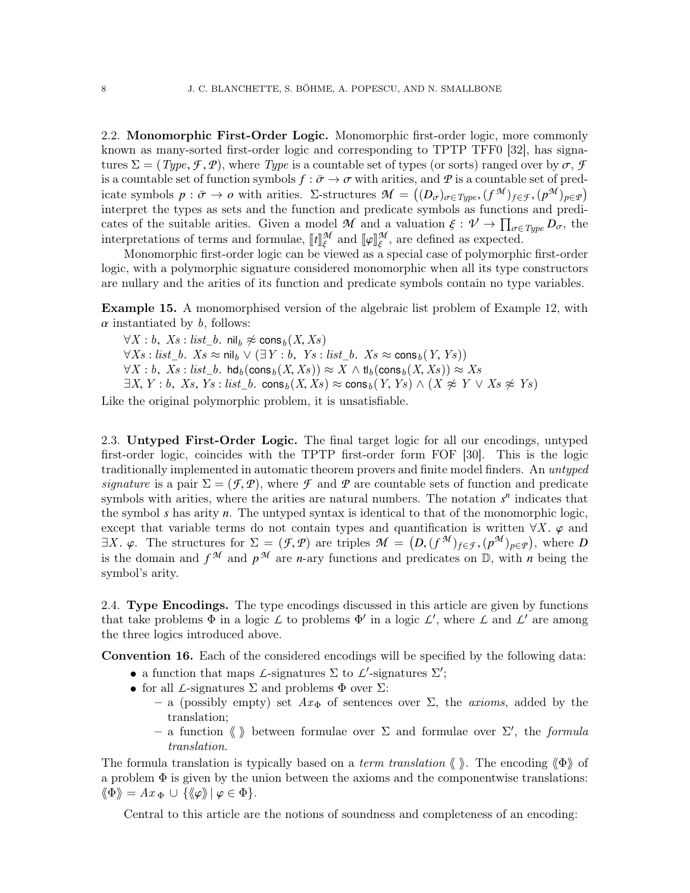2.2. Monomorphic First-Order Logic. Monomorphic first-order logic, more commonly known as many-sorted first-order logic and corresponding to TPTP TFF0 [\[32\]](#page-50-5), has signatures  $\Sigma = (Type, \mathcal{F}, \mathcal{P})$ , where Type is a countable set of types (or sorts) ranged over by  $\sigma, \mathcal{F}$ is a countable set of function symbols  $f : \bar{\sigma} \to \sigma$  with arities, and  $\varPsi$  is a countable set of predicate symbols  $p : \bar{\sigma} \to o$  with arities.  $\Sigma$ -structures  $\mathcal{M} = ((D_{\sigma})_{\sigma \in Type}$ ,  $(f^{\mathcal{M}})_{f \in \mathcal{F}}, (p^{\mathcal{M}})_{p \in \mathcal{P}})$ <br>interpret the types as sets and the function and predicate symbols as functions and prediinterpret the types as sets and the function and predicate symbols as functions and predicates of the suitable arities. Given a model *M* and a valuation  $\xi : \mathcal{V} \to \prod_{\sigma \in Type} D_{\sigma}$ , the<br>interpretations of terms and formulae.  $\mathbb{H}^{\mathcal{M}}$  and  $\mathbb{H}^{\mathcal{M}}$  are defined as expected interpretations of terms and formulae,  $\llbracket t \rrbracket_{\xi}^{\mathcal{M}}$ <br>Monomorphic first order logic gap ho view  $\frac{\mathcal{M}}{\xi}$  and  $\llbracket \varphi \rrbracket_{\xi}^{\mathcal{M}}$ <br>viewed as a , are defined as expected.

ξ Monomorphic first-order logic can be viewed as a special case of polymorphic first-order logic, with a polymorphic signature considered monomorphic when all its type constructors are nullary and the arities of its function and predicate symbols contain no type variables.

<span id="page-7-2"></span>Example 15. A monomorphised version of the algebraic list problem of Example [12,](#page-5-0) with  $\alpha$  instantiated by  $\beta$ , follows:

 $\forall X : b, Xs : list_b$ . nil $_b \not\approx \text{cons}_b (X, Xs)$  $\forall Xs : list_b$ .  $Xs \approx \text{nil}_b \vee (\exists Y : b, Ys : list_b$ .  $Xs \approx \text{cons}_b(Y, Ys))$  $\forall X : b, \ Xs : \text{list}\_b. \ \text{hd}_b(\text{cons}_b(X, Xs)) \approx X \wedge \text{tl}_b(\text{cons}_b(X, Xs)) \approx Xs$  $\exists X, Y : b, \ Xs, Ys : list\_b. \ \text{cons}_b(X, Xs) \approx \text{cons}_b(Y, Ys) \wedge (X \not\approx Y \vee Xs \not\approx Ys)$ Like the original polymorphic problem, it is unsatisfiable.

2.3. Untyped First-Order Logic. The final target logic for all our encodings, untyped first-order logic, coincides with the TPTP first-order form FOF [\[30\]](#page-50-6). This is the logic traditionally implemented in automatic theorem provers and finite model finders. An untyped signature is a pair  $\Sigma = (\mathcal{F}, \mathcal{P})$ , where  $\mathcal F$  and  $\mathcal P$  are countable sets of function and predicate symbols with arities, where the arities are natural numbers. The notation  $s<sup>n</sup>$  indicates that the symbol *s* has arity *n*. The untyped syntax is identical to that of the monomorphic logic, except that variable terms do not contain types and quantification is written  $\forall X$ .  $\varphi$  and  $\exists X. \varphi$ . The structures for  $\Sigma = (\mathcal{F}, \mathcal{P})$  are triples  $\mathcal{M} = (D, (f^{\mathcal{M}})_{f \in \mathcal{F}}, (p^{\mathcal{M}})_{p \in \mathcal{P}})$ , where *D* is the domain and  $f^{\mathcal{M}}$  and  $p^{\mathcal{M}}$  are *n* only functions and prodigatos on  $\mathbb{D}$ , w is the domain and  $f^{\mathcal{M}}$  and  $p^{\mathcal{M}}$  are *n*-ary functions and predicates on  $\mathbb{D}$ , with *n* being the symbol's arity.

<span id="page-7-0"></span>2.4. Type Encodings. The type encodings discussed in this article are given by functions that take problems  $\Phi$  in a logic  $\mathcal L$  to problems  $\Phi'$  in a logic  $\mathcal L'$ , where  $\mathcal L$  and  $\mathcal L'$  are among the three logics introduced above.

<span id="page-7-1"></span>Convention 16. Each of the considered encodings will be specified by the following data:

- a function that maps *L*-signatures  $\Sigma$  to *L*'-signatures  $\Sigma'$ ;
- for all *L*-signatures  $\Sigma$  and problems  $\Phi$  over  $\Sigma$ :
	- a (possibly empty) set  $Ax_{\Phi}$  of sentences over  $\Sigma$ , the *axioms*, added by the translation;
	- a function  $\langle \rangle$  between formulae over  $\Sigma$  and formulae over  $\Sigma'$ , the *formula* translation.

The formula translation is typically based on a term translation  $\langle \rangle$ . The encoding  $\langle \Phi \rangle$  of a problem  $\Phi$  is given by the union between the axioms and the componentwise translations:  $\langle \Phi \rangle = Ax_{\Phi} \cup \{ \langle \varphi \rangle | \varphi \in \Phi \}.$ 

Central to this article are the notions of soundness and completeness of an encoding: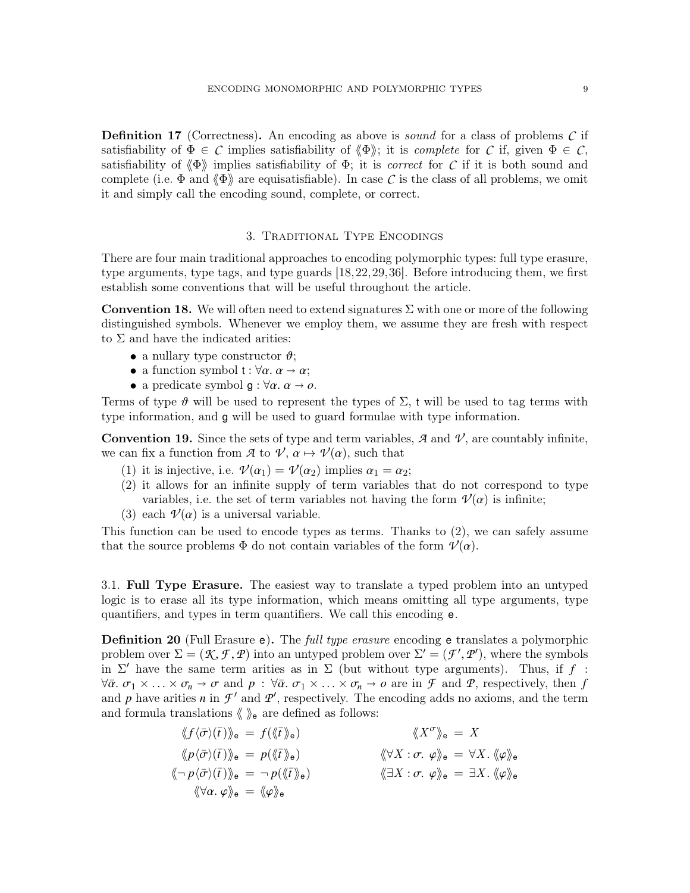Definition 17 (Correctness). An encoding as above is *sound* for a class of problems C if satisfiability of  $\Phi \in \mathcal{C}$  implies satisfiability of  $\langle \Phi \rangle$ ; it is *complete* for  $\mathcal{C}$  if, given  $\Phi \in \mathcal{C}$ , satisfiability of  $\langle \Phi \rangle$  implies satisfiability of  $\Phi$ ; it is correct for *C* if it is both sound and complete (i.e.  $\Phi$  and  $\langle \Phi \rangle$  are equisatisfiable). In case *C* is the class of all problems, we omit it and simply call the encoding sound, complete, or correct.

# 3. Traditional Type Encodings

<span id="page-8-1"></span>There are four main traditional approaches to encoding polymorphic types: full type erasure, type arguments, type tags, and type guards [\[18,](#page-50-7)[22,](#page-50-0)[29,](#page-50-1)[36\]](#page-50-8). Before introducing them, we first establish some conventions that will be useful throughout the article.

<span id="page-8-2"></span>**Convention 18.** We will often need to extend signatures  $\Sigma$  with one or more of the following distinguished symbols. Whenever we employ them, we assume they are fresh with respect to  $\Sigma$  and have the indicated arities:

- a nullary type constructor  $\vartheta$ ;
- a function symbol  $t : \forall \alpha \ldotp \alpha \rightarrow \alpha$ ;
- a predicate symbol  $g : \forall \alpha \ldotp \alpha \rightarrow o.$

Terms of type  $\vartheta$  will be used to represent the types of  $\Sigma$ , t will be used to tag terms with type information, and g will be used to guard formulae with type information.

**Convention 19.** Since the sets of type and term variables,  $\mathcal{A}$  and  $\mathcal{V}$ , are countably infinite, we can fix a function from *A* to  $\mathcal{V}, \alpha \mapsto \mathcal{V}(\alpha)$ , such that

- (1) it is injective, i.e.  $\mathcal{V}(\alpha_1) = \mathcal{V}(\alpha_2)$  implies  $\alpha_1 = \alpha_2$ ;
- (2) it allows for an infinite supply of term variables that do not correspond to type variables, i.e. the set of term variables not having the form  $\mathcal{V}(\alpha)$  is infinite;
- (3) each  $\mathcal{V}(\alpha)$  is a universal variable.

This function can be used to encode types as terms. Thanks to (2), we can safely assume that the source problems  $\Phi$  do not contain variables of the form  $\mathcal{V}(\alpha)$ .

<span id="page-8-0"></span>3.1. Full Type Erasure. The easiest way to translate a typed problem into an untyped logic is to erase all its type information, which means omitting all type arguments, type quantifiers, and types in term quantifiers. We call this encoding e.

**Definition 20** (Full Erasure e). The *full type erasure* encoding e translates a polymorphic problem over  $\Sigma = (\mathcal{K}, \mathcal{F}, \mathcal{P})$  into an untyped problem over  $\Sigma' = (\mathcal{F}', \mathcal{P}')$ , where the symbols<br>in  $\Sigma'$  have the same term arities as in  $\Sigma$  (but without type arguments). Thus if f in  $\Sigma'$  have the same term arities as in  $\Sigma$  (but without type arguments). Thus, if  $f$ :  $\forall \bar{\alpha} \ldotp \sigma_1 \times \ldots \times \sigma_n \to \sigma$  and  $p : \forall \bar{\alpha} \ldotp \sigma_1 \times \ldots \times \sigma_n \to o$  are in *F* and *P*, respectively, then *f* and *p* have arities *n* in  $\mathcal{F}'$  and  $\mathcal{P}'$ , respectively. The encoding adds no axioms, and the term and formula translations  $\langle \rangle$  are defined as follows:

$$
\langle f \langle \bar{\sigma} \rangle (\bar{t}) \rangle_{e} = f(\langle \bar{t} \rangle_{e}) \qquad \langle \langle X^{\sigma} \rangle_{e} = X
$$
  
\n
$$
\langle \langle p \langle \bar{\sigma} \rangle (\bar{t}) \rangle_{e} = p(\langle \bar{t} \rangle_{e}) \qquad \langle \langle \forall X : \sigma. \varphi \rangle_{e} = \forall X. \langle \varphi \rangle_{e}
$$
  
\n
$$
\langle \neg p \langle \bar{\sigma} \rangle (\bar{t}) \rangle_{e} = \neg p(\langle \bar{t} \rangle_{e}) \qquad \langle \langle \exists X : \sigma. \varphi \rangle_{e} = \exists X. \langle \varphi \rangle_{e}
$$
  
\n
$$
\langle \forall \alpha. \varphi \rangle_{e} = \langle \varphi \rangle_{e}
$$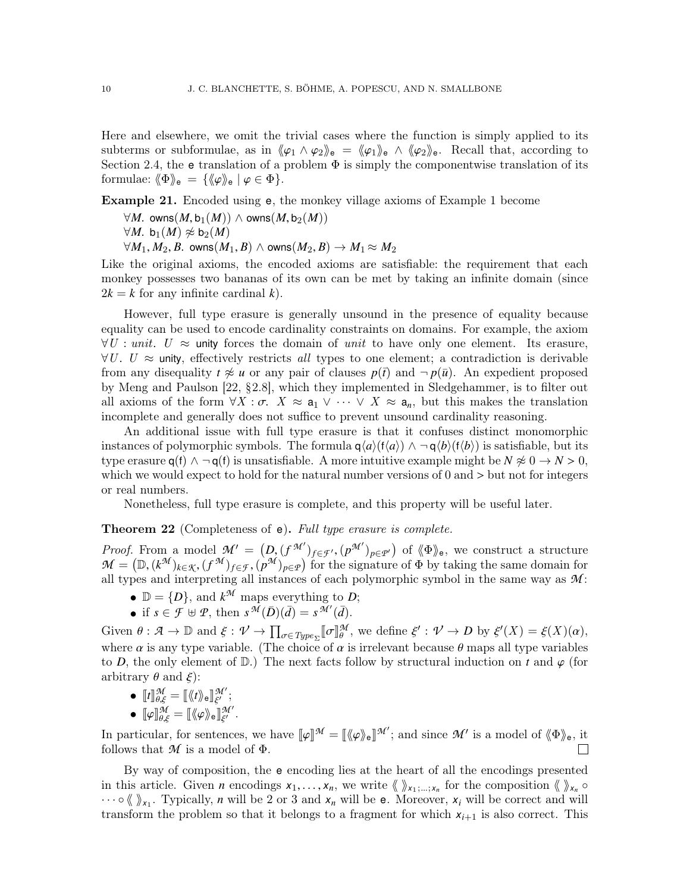Here and elsewhere, we omit the trivial cases where the function is simply applied to its subterms or subformulae, as in  $\langle \varphi_1 \wedge \varphi_2 \rangle_e = \langle \varphi_1 \rangle_e \wedge \langle \varphi_2 \rangle_e$ . Recall that, according to Section [2.4,](#page-7-0) the e translation of a problem  $\Phi$  is simply the componentwise translation of its formulae:  $\langle \Phi \rangle_{\mathsf{e}} = {\langle \langle \varphi \rangle_{\mathsf{e}} | \varphi \in \Phi \rangle}.$ 

<span id="page-9-1"></span>Example 21. Encoded using e, the monkey village axioms of Example [1](#page-1-0) become

- $\forall M$ . owns $(M, \mathsf{b}_1(M))$  ∧ owns $(M, \mathsf{b}_2(M))$  $\forall M$ . b<sub>1</sub> $(M) \not\approx b_2(M)$
- $\forall M_1, M_2, B$ . owns $(M_1, B) \land$  owns $(M_2, B) \rightarrow M_1 \approx M_2$

Like the original axioms, the encoded axioms are satisfiable: the requirement that each monkey possesses two bananas of its own can be met by taking an infinite domain (since  $2k = k$  for any infinite cardinal k.

However, full type erasure is generally unsound in the presence of equality because equality can be used to encode cardinality constraints on domains. For example, the axiom  $\forall U: unit. \ U \approx$  unity forces the domain of unit to have only one element. Its erasure,  $\forall U. \ U \approx$  unity, effectively restricts all types to one element; a contradiction is derivable from any disequality  $t \neq u$  or any pair of clauses  $p(\bar{t})$  and  $\neg p(\bar{u})$ . An expedient proposed by Meng and Paulson [\[22,](#page-50-0) §2.8], which they implemented in Sledgehammer, is to filter out all axioms of the form  $\forall X : \sigma$ .  $X \approx a_1 \vee \cdots \vee X \approx a_n$ , but this makes the translation incomplete and generally does not suffice to prevent unsound cardinality reasoning.

An additional issue with full type erasure is that it confuses distinct monomorphic instances of polymorphic symbols. The formula  $q\langle a \rangle(f\langle a \rangle) \wedge \neg q\langle b \rangle(f\langle b \rangle)$  is satisfiable, but its type erasure  $q(f) \wedge \neg q(f)$  is unsatisfiable. A more intuitive example might be  $N \not\approx 0 \rightarrow N > 0$ , which we would expect to hold for the natural number versions of  $0$  and  $>$  but not for integers or real numbers.

Nonetheless, full type erasure is complete, and this property will be useful later.

<span id="page-9-0"></span>**Theorem 22** (Completeness of e). Full type erasure is complete.

*Proof.* From a model  $\mathcal{M}' = (D, (f^{\mathcal{M}'})_{f \in \mathcal{F}'}, (p^{\mathcal{M}'})_{p \in \mathcal{P}'})$  of  $\langle \Phi \rangle_e$ , we construct a structure  $\mathcal{M} = (\mathbb{D} \times (\mathcal{F}^{\mathcal{M}})_{f \in \mathcal{F}} \times (\mathcal{F}^{\mathcal{M}})_{f \in \mathcal{F}} \times (\mathcal{F}^{\mathcal{M}})_{f \in \mathcal{F}})$  for the si  $\mathcal{M} = (\mathbb{D}, (k^{\mathcal{M}})_{k \in \mathcal{K}}, (f^{\mathcal{M}})_{f \in \mathcal{F}}, (p^{\mathcal{M}})_{p \in \mathcal{P}})$  for the signature of  $\Phi$  by taking the same domain for all types and interpreting all instances of each polymorphic symbol in the same way as all types and interpreting all instances of each polymorphic symbol in the same way as *M* :

- $\mathbb{D} = \{D\}$ , and  $k^{\mathcal{M}}$  maps everything to *D*;
- if  $s \in \mathcal{F} \oplus \mathcal{P}$ , then  $s^{\mathcal{M}}(\overline{D})(\overline{d}) = s^{\mathcal{M}'}(\overline{d})$ .

Given  $\theta : \mathcal{A} \to \mathbb{D}$  and  $\xi : \mathcal{V} \to \prod_{\sigma \in Type_{\Sigma}} [\sigma]_{\theta}^{\mathcal{M}}$ , we define  $\xi' : \mathcal{V} \to D$  by  $\xi'(X) = \xi(X)(\alpha)$ , where  $\alpha$  is any type variable. (The choice of  $\alpha$  is irrelevant because  $\theta$  maps all type variables<br>to  $D$  the only element of  $\mathbb{D}$ ). The next facts follow by structural induction on t and  $\alpha$  (for to *D*, the only element of  $\mathbb{D}$ .) The next facts follow by structural induction on *t* and  $\varphi$  (for arbitrary  $\theta$  and  $\xi$ :

- $\bullet$   $[\![t]\!]_{\theta,\xi}^{\mathcal{M}} = [\![\langle\negthinspace t\rangle\!\rangle_{\mathsf{e}}]\!]_{\xi'}^{\mathcal{M}'}$ ,,,
- ξ  $\bullet \ \llbracket \varphi \rrbracket^{\mathcal{M}}_{\theta,\xi} = \llbracket \langle \hspace{-0.2em} \langle \varphi \rangle \hspace{-0.2em} \rangle_{\theta} \rrbracket^{\mathcal{M}'}_{\xi'} .$

In particular, for sentences, we have  $[\![\varphi]\!]^{\mathcal{M}} = [\![\langle \varphi \rangle_{\mathsf{e}}]\!]^{\mathcal{M}}$ ; and since  $\mathcal{M}'$  is a model of  $\langle \Phi \rangle_{\mathsf{e}}$ , it follows that  $\mathcal{M}$  is a model of  $\Phi$ follows that  $M$  is a model of  $\Phi$ .  $\Box$ 

By way of composition, the e encoding lies at the heart of all the encodings presented in this article. Given *n* encodings  $x_1, \ldots, x_n$ , we write  $\langle \rangle_{x_1; \ldots, x_n}$  for the composition  $\langle \rangle_{x_n} \circ \ldots \circ \langle \rangle$  Typically *n* will be 2 or 3 and *x* will be a Moreover *x* will be correct and will  $\cdots \circ \langle \chi \rangle_{x_1}$ . Typically, *n* will be 2 or 3 and  $x_n$  will be e. Moreover,  $x_i$  will be correct and will transform the problem so that it belongs to a fragment for which  $x_{i+1}$  is also correct. This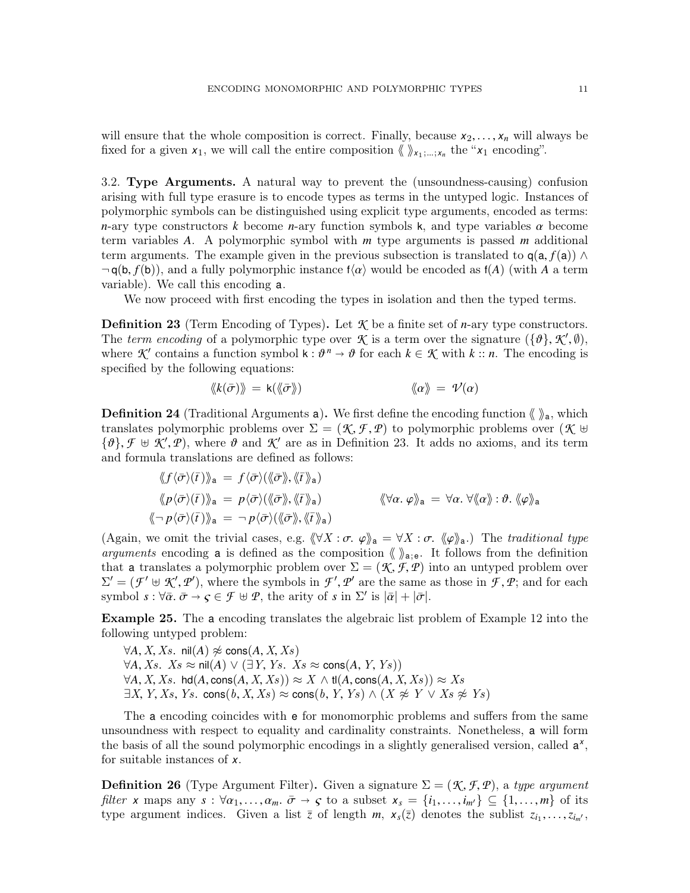will ensure that the whole composition is correct. Finally, because  $x_2, \ldots, x_n$  will always be fixed for a given  $x_1$ , we will call the entire composition  $\langle \rangle_{x_1,\dots,x_n}$  the " $x_1$  encoding".

<span id="page-10-0"></span>3.2. Type Arguments. A natural way to prevent the (unsoundness-causing) confusion arising with full type erasure is to encode types as terms in the untyped logic. Instances of polymorphic symbols can be distinguished using explicit type arguments, encoded as terms: *<sup>n</sup>*-ary type constructors *<sup>k</sup>* become *<sup>n</sup>*-ary function symbols <sup>k</sup>, and type variables α become term variables *A*. A polymorphic symbol with *m* type arguments is passed *m* additional term arguments. The example given in the previous subsection is translated to  $q(a, f(a)) \wedge$  $\neg$ **q**(b, *f*(b)), and a fully polymorphic instance  $f(\alpha)$  would be encoded as  $f(A)$  (with *A* a term variable). We call this encoding a.

We now proceed with first encoding the types in isolation and then the typed terms.

<span id="page-10-1"></span>**Definition 23** (Term Encoding of Types). Let  $K$  be a finite set of *n*-ary type constructors. The term encoding of a polymorphic type over  $\mathcal{K}$  is a term over the signature  $(\{\vartheta\}, \mathcal{K}', \varnothing)$ ,<br>where  $\mathcal{K}'$  contains a function symbol  $\mathbf{k} \cdot \mathcal{R}^n \to \vartheta$  for each  $k \in \mathcal{K}$  with  $k \cdot \mathcal{R}$ . The encoding i where  $\mathcal{K}'$  contains a function symbol  $k : \theta^n \to \theta$  for each  $k \in \mathcal{K}$  with  $k :: n$ . The encoding is specified by the following equations: specified by the following equations:

$$
\langle k(\bar{\sigma})\rangle = k(\langle\!\langle \bar{\sigma}\rangle\!\rangle) \qquad \langle\!\langle \alpha \rangle\!\rangle = \mathcal{V}(\alpha)
$$

**Definition 24** (Traditional Arguments a). We first define the encoding function  $\langle \rangle$ <sub>a</sub>, which translates polymorphic problems over  $\Sigma = (\mathcal{K}, \mathcal{F}, \mathcal{P})$  to polymorphic problems over  $(\mathcal{K} \oplus$  ${\{\theta\}}$ ,  ${\mathcal{F}} \oplus {\mathcal{K}}', {\mathcal{P}}$ , where  $\theta$  and  ${\mathcal{K}}'$  are as in Definition [23.](#page-10-1) It adds no axioms, and its term<br>and formula translations are defined as follows: and formula translations are defined as follows:

$$
\langle f \langle \bar{\sigma} \rangle (\bar{t}) \rangle_{\mathsf{a}} = f \langle \bar{\sigma} \rangle (\langle \bar{\sigma} \rangle_{\mathsf{a}} \rangle_{\mathsf{a}})
$$
  

$$
\langle p \langle \bar{\sigma} \rangle (\bar{t}) \rangle_{\mathsf{a}} = p \langle \bar{\sigma} \rangle (\langle \bar{\sigma} \rangle_{\mathsf{a}} \rangle_{\mathsf{a}})
$$
  

$$
\langle \bar{\sigma} \rangle (\bar{t}) \rangle_{\mathsf{a}} = p \langle \bar{\sigma} \rangle (\langle \bar{\sigma} \rangle_{\mathsf{a}} \rangle_{\mathsf{a}} \langle \bar{t} \rangle_{\mathsf{a}})
$$
  

$$
\langle \bar{\sigma} \rangle (\bar{t}) \rangle_{\mathsf{a}} = \neg p \langle \bar{\sigma} \rangle (\langle \bar{\sigma} \rangle_{\mathsf{a}} \rangle_{\mathsf{a}} \langle \bar{t} \rangle_{\mathsf{a}})
$$

(Again, we omit the trivial cases, e.g.  $\langle \forall X : \sigma, \varphi \rangle_{\mathsf{a}} = \forall X : \sigma, \langle \varphi \rangle_{\mathsf{a}}$ .) The traditional type arguments encoding a is defined as the composition  $\langle \rangle_{a;e}$ . It follows from the definition that a translates a polymorphic problem over  $\Sigma = (\mathcal{K}, \mathcal{F}, \mathcal{P})$  into an untyped problem over  $\Sigma' = (\mathcal{F}' \oplus \mathcal{K}', \mathcal{P}')$ , where the symbols in  $\mathcal{F}', \mathcal{P}'$  are the same as those in  $\mathcal{F}, \mathcal{P}$ ; and for each symbol  $s : \forall \bar{\alpha}, \bar{\alpha} \to \bar{c} \in \mathcal{F} \oplus \mathcal{P}$  the arity of s in  $\Sigma'$  is  $|\bar{\alpha}| + |\bar{\alpha}|$ symbol  $s: \forall \bar{\alpha} \ldotp \bar{\sigma} \to \varsigma \in \mathcal{F} \oplus \mathcal{P}$ , the arity of  $s$  in  $\Sigma'$  is  $|\bar{\alpha}| + |\bar{\sigma}|$ .

Example 25. The a encoding translates the algebraic list problem of Example [12](#page-5-0) into the following untyped problem:

 $∀A, X, Xs.$  nil $(A)$   $\not\approx$  cons(*A*, *X*, *Xs*)  $\forall A, Xs$ .  $Xs$  ≈ nil(*A*)  $\lor$  (∃*Y*, *Ys*.  $Xs$  ≈ cons(*A*, *Y*, *Ys*))  $\forall A, X, Xs.$  hd $(A, \text{cons}(A, X, Xs)) \approx X \wedge \text{tl}(A, \text{cons}(A, X, Xs)) \approx Xs$  $\exists X, Y, Xs, Ys.$  cons $(b, X, Xs) \approx \text{cons}(b, Y, Ys) \wedge (X \not\approx Y \vee Xs \not\approx Ys)$ 

The a encoding coincides with e for monomorphic problems and suffers from the same unsoundness with respect to equality and cardinality constraints. Nonetheless, a will form the basis of all the sound polymorphic encodings in a slightly generalised version, called a *x* , for suitable instances of *x*.

**Definition 26** (Type Argument Filter). Given a signature  $\Sigma = (\mathcal{K}, \mathcal{F}, \mathcal{P})$ , a type argument filter *x* maps any  $s : \forall \alpha_1, \ldots, \alpha_m$ .  $\bar{\sigma} \to \varsigma$  to a subset  $x_s = \{i_1, \ldots, i_{m'}\} \subseteq \{1, \ldots, m\}$  of its type argument indices. Given a list  $\bar{z}$  of length  $m$ ,  $x_s(\bar{z})$  denotes the sublist  $z_{i_1}, \ldots, z_{i_m}$ ,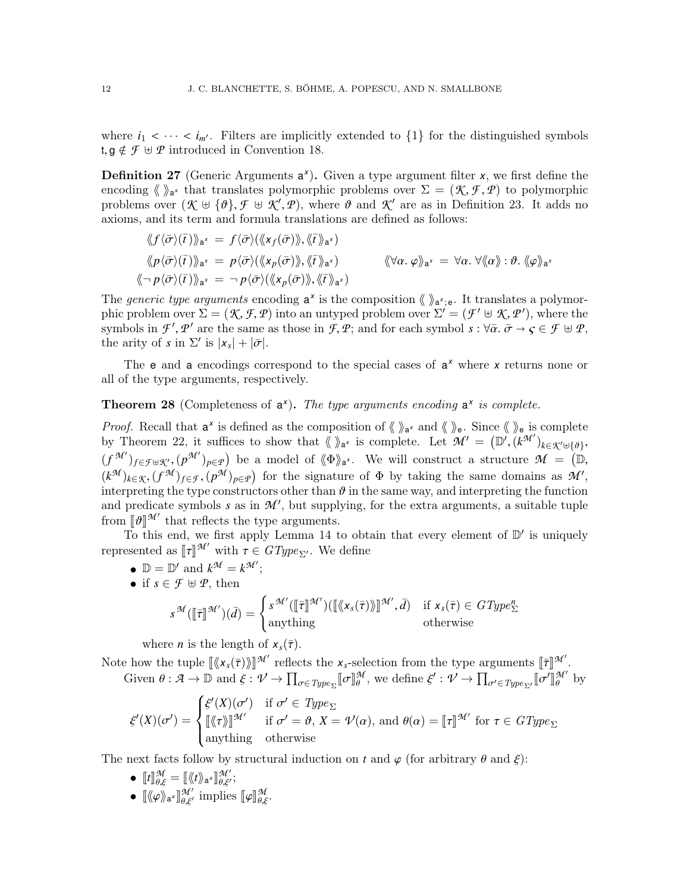where  $i_1 < \cdots < i_{m'}$ . Filters are implicitly extended to  $\{1\}$  for the distinguished symbols t,  $g \notin \mathcal{F} \oplus \mathcal{P}$  introduced in Convention [18.](#page-8-2)

Definition 27 (Generic Arguments  $a^x$ ). Given a type argument filter *x*, we first define the encoding  $\langle \rangle_{a^{\chi}}$  that translates polymorphic problems over  $\Sigma = (\mathcal{K}, \mathcal{F}, \mathcal{P})$  to polymorphic<br>problems over  $(\mathcal{K} + \mathcal{I}\mathcal{P}) \neq \mathcal{K}'$   $(\mathcal{P})$  where  $\mathcal{P}$  and  $\mathcal{K}'$  are as in Definition 23. It adds no problems over  $(\mathcal{K} \oplus {\{\theta\}}, \mathcal{F} \oplus \mathcal{K}', \mathcal{P})$ , where  $\theta$  and  $\mathcal{K}'$  are as in Definition [23.](#page-10-1) It adds no<br>axioms, and its term and formula translations are defined as follows: axioms, and its term and formula translations are defined as follows:

$$
\langle f \langle \bar{\sigma} \rangle (\bar{t}) \rangle_{a^x} = f \langle \bar{\sigma} \rangle (\langle x_f(\bar{\sigma}) \rangle_{a^x}),
$$
  
\n
$$
\langle p \langle \bar{\sigma} \rangle (\bar{t}) \rangle_{a^x} = p \langle \bar{\sigma} \rangle (\langle x_f(\bar{\sigma}) \rangle_{a^x}),
$$
  
\n
$$
\langle \bar{\sigma} \rangle (\bar{t}) \rangle_{a^x} = p \langle \bar{\sigma} \rangle (\langle x_g(\bar{\sigma}) \rangle_{a^x}),
$$
  
\n
$$
\langle \bar{\sigma} \rangle (\bar{t}) \rangle_{a^x} = \frac{-p \langle \bar{\sigma} \rangle (\langle x_g(\bar{\sigma}) \rangle_{a^x}, \langle \bar{t} \rangle_{a^x})}{\langle \bar{\sigma} \rangle (\langle x_g(\bar{\sigma}) \rangle_{a^x} + \langle x_g(\bar{\sigma}) \rangle_{a^x})}
$$

The *generic type arguments* encoding  $a^x$  is the composition  $\langle \rangle a^x$ ; e. It translates a polymorphic problem over  $\Sigma = (\mathcal{K}, \mathcal{F}, \mathcal{P})$  into an untyped problem over  $\Sigma' = (\mathcal{F}' \oplus \mathcal{K}, \mathcal{P}')$ , where the same set the same as those in  $\mathcal{F} \oplus \mathcal{P}'$  and for each symbol  $\varsigma : \forall \overline{\alpha}, \overline{\alpha} \to \overline{\alpha} \in \mathcal{F} \oplus \mathcal{P$ symbols in *F*', *P*' are the same as those in *F*, *P*; and for each symbol  $s : \forall \bar{\alpha} \cdot \bar{\sigma} \to \varsigma \in \mathcal{F} \oplus \mathcal{P}$ , the arity of s in  $\Sigma'$  is  $|s + |\bar{\sigma}|$ the arity of *s* in  $\Sigma'$  is  $|x_s| + |\bar{\sigma}|$ .

The e and a encodings correspond to the special cases of a *<sup>x</sup>* where *x* returns none or all of the type arguments, respectively.

# <span id="page-11-0"></span>**Theorem 28** (Completeness of  $a^x$ ). The type arguments encoding  $a^x$  is complete.

*Proof.* Recall that  $a^x$  is defined as the composition of  $\langle \rangle_a^x$  and  $\langle \rangle_e$ . Since  $\langle \rangle_e$  is complete by Theorem [22,](#page-9-0) it suffices to show that  $\langle \psi \rangle_{\mathbf{a}^{\times}}$  is complete. Let  $\mathcal{M}' = (\mathbb{D}', (\mathcal{k}^{\mathcal{M}'})_{\mathcal{k} \in \mathcal{K}' \cup \{\emptyset\}})$  $(f^{\mathcal{M}'})_{f \in \mathcal{F} \cup \mathcal{K}'}, (p^{\mathcal{M}'})_{p \in \mathcal{P}})$  be a model of  $\langle \Phi \rangle_{a^x}$ . We will construct a structure  $\mathcal{M} = (\mathbb{D}, \mathcal{M})$  $(k^{\mathcal{M}})_{k \in \mathcal{K}}$ ,  $(f^{\mathcal{M}})_{f \in \mathcal{F}}$ ,  $(p^{\mathcal{M}})_{p \in \mathcal{P}}$  for the signature of  $\Phi$  by taking the same domains as  $\mathcal{M}'$ , interpreting the type constructors other than  $\vartheta$  in the same way and interpreting th interpreting the type constructors other than  $\vartheta$  in the same way, and interpreting the function and predicate symbols  $s$  as in  $\mathcal{M}'$ , but supplying, for the extra arguments, a suitable tuple from  $\llbracket \vartheta \rrbracket^{\mathcal{M}'}$  that reflects the type arguments.<br>To this end, we first apply Lemma 14 to

To this end, we first apply Lemma [14](#page-6-1) to obtain that every element of  $\mathbb{D}'$  is uniquely represented as  $[\![\tau]\!]^{\mathcal{M}'}$  with  $\tau \in GType_{\Sigma'}$ . We define

- $\mathbb{D} = \mathbb{D}'$  and  $k^{\mathcal{M}} = k^{\mathcal{M}'}$ ;
- if  $s \in \mathcal{F} \oplus \mathcal{P}$ , then

$$
s^{\mathcal{M}}(\llbracket \overline{\tau} \rrbracket^{\mathcal{M}'})(\overline{d}) = \begin{cases} s^{\mathcal{M}'}(\llbracket \overline{\tau} \rrbracket^{\mathcal{M}'})(\llbracket \langle x_s(\overline{\tau}) \rangle \rrbracket^{\mathcal{M}'}, \overline{d}) & \text{if } x_s(\overline{\tau}) \in GType_{\Sigma}^n \\ \text{anything} & \text{otherwise} \end{cases}
$$

where *n* is the length of  $x_s(\overline{\tau})$ .

Note how the tuple  $\left[\langle x_s(\bar{\tau})\rangle\right]^{\mathcal{M}'}$  reflects the  $x_s$ -selection from the type arguments  $\left[\bar{\tau}\right]^{\mathcal{M}'}$ .<br>Civen  $\theta: \mathcal{A} \to \mathbb{D}$  and  $\xi: \mathcal{A} \to \mathbb{D}$  and  $\mathcal{I} \to \mathbb{D}$ Given  $\theta : \mathcal{A} \to \mathbb{D}$  and  $\xi : \mathcal{V} \to \prod_{\sigma \in \text{Type}_{\Sigma}} [\![\sigma]\!]$ *M*  $_{\theta}^{\mathcal{M}},$  we define  $\xi': \mathcal{V} \to \prod_{\sigma' \in \text{Type}_{\Sigma'}}[\![\sigma$  $\prime$ ll.<br>L  $\mathcal{M}'$ by

$$
\xi'(X)(\sigma') = \begin{cases} \xi'(X)(\sigma') & \text{if } \sigma' \in Type_{\Sigma} \\ \llbracket \langle \tau \rangle \rrbracket^{\mathcal{M}'} & \text{if } \sigma' = \vartheta, X = \mathcal{V}(\alpha), \text{ and } \theta(\alpha) = \llbracket \tau \rrbracket^{\mathcal{M}'} \text{ for } \tau \in GType_{\Sigma} \\ \text{anything} & \text{otherwise} \end{cases}
$$

The next facts follow by structural induction on *t* and  $\varphi$  (for arbitrary  $\theta$  and  $\xi$ ):

- $\llbracket t \rrbracket^{\mathcal{M}}_{\theta,\xi} = \llbracket \langle \langle t \rangle \rangle_{\mathsf{a}^{\mathcal{X}}} \rrbracket^{\mathcal{M}'}_{\theta,\xi'};$
- $\llbracket \langle \varphi \rangle \rangle_{\mathsf{a}^x} \llbracket \mathcal{H}' \rangle_{\theta, \xi'}$  implies  $\llbracket \varphi \rrbracket_{\theta, \xi}^{\mathcal{M}}$ .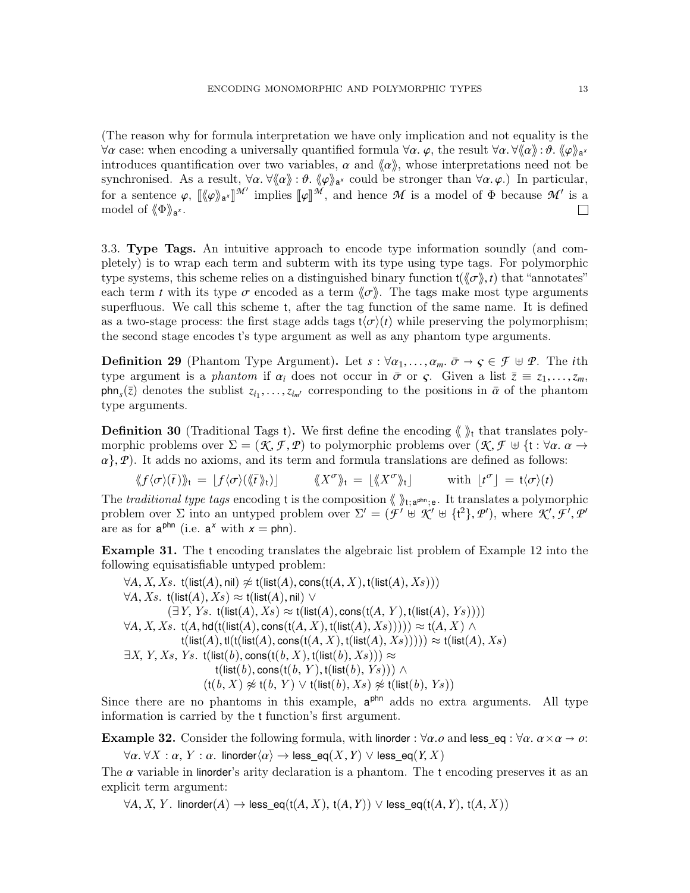(The reason why for formula interpretation we have only implication and not equality is the  $\forall \alpha$  case: when encoding a universally quantified formula  $\forall \alpha$ .  $\varphi$ , the result  $\forall \alpha \cdot \forall (\alpha) : \vartheta$ .  $\langle \varphi \rangle_{\alpha}$ <sup>x</sup><br>introduces quantification over two variables  $\alpha$  and  $\langle \varphi \rangle$  whose interpretations need not be introduces quantification over two variables,  $\alpha$  and  $\langle \alpha \rangle$ , whose interpretations need not be synchronised. As a result,  $\forall \alpha \cdot \forall \langle \alpha \rangle : \vartheta$ .  $\langle \varphi \rangle_{a^{\chi}}$  could be stronger than  $\forall \alpha, \varphi$ .) In particular,<br>for a sentence  $\alpha$ ,  $\mathbb{I}(\alpha)$ ,  $\mathbb{I}^{\mathcal{M}}$  implies  $\mathbb{I}(\alpha)$  and hence  $\mathcal{M}$  is a model of  $\$ for a sentence  $\varphi$ ,  $[\langle \varphi \rangle]_a^{\mathcal{M}'}$  implies  $[\varphi]_a^{\mathcal{M}}$ , and hence  $\mathcal M$  is a model of  $\Phi$  because  $\mathcal M'$  is a model of  $\mathcal{M}^{\prime}$  is a model of  $\langle \Phi \rangle\!\rangle_{\mathsf{a}^{\mathsf{x}}}.$  $\Box$ 

<span id="page-12-0"></span>3.3. Type Tags. An intuitive approach to encode type information soundly (and completely) is to wrap each term and subterm with its type using type tags. For polymorphic type systems, this scheme relies on a distinguished binary function  $t(\langle\sigma\rangle, t)$  that "annotates" each term *t* with its type  $\sigma$  encoded as a term  $\langle \sigma \rangle$ . The tags make most type arguments superfluous. We call this scheme t, after the tag function of the same name. It is defined as a two-stage process: the first stage adds tags  $t\langle\sigma\rangle(t)$  while preserving the polymorphism; the second stage encodes t's type argument as well as any phantom type arguments.

<span id="page-12-1"></span>**Definition 29** (Phantom Type Argument). Let  $s : \forall \alpha_1, \ldots, \alpha_m$ .  $\bar{\sigma} \rightarrow \varsigma \in \mathcal{F} \oplus \mathcal{P}$ . The *i*th type argument is a *phantom* if  $\alpha_i$  does not occur in  $\bar{\sigma}$  or  $\varsigma$ . Given a list  $\bar{z} \equiv z_1, \ldots, z_m$ ,  $\mathsf{phn}_s(\bar{z})$  denotes the sublist  $z_{i_1}, \ldots, z_{i_{m'}}$  corresponding to the positions in  $\bar{\alpha}$  of the phantom type arguments type arguments.

**Definition 30** (Traditional Tags t). We first define the encoding  $\langle \rangle$  that translates polymorphic problems over  $\Sigma = (\mathcal{K}, \mathcal{F}, \mathcal{P})$  to polymorphic problems over  $(\mathcal{K}, \mathcal{F} \oplus \{\mathfrak{t} : \forall \alpha \in \mathcal{A}\})$  $\alpha$ }, *P*). It adds no axioms, and its term and formula translations are defined as follows:<br>  $\langle f/\sigma \rangle \langle f \rangle$ <sub>b</sub><sub>t</sub> = | $f/\sigma \rangle \langle \langle f \rangle$ <sub>b</sub><sub>t</sub>} |  $\langle X^{\sigma} \rangle$ <sub>t</sub> = | $\langle X^{\sigma} \rangle$ <sub>t</sub> | with  $|t^{\sigma}| = t \langle \sigma \rangle(t)$ 

$$
\langle f \langle \sigma \rangle(\bar{t}) \rangle_{\mathfrak{t}} = [f \langle \sigma \rangle (\langle \bar{t} \rangle_{\mathfrak{t}})] \qquad \langle \langle X^{\sigma} \rangle_{\mathfrak{t}} = [\langle X^{\sigma} \rangle_{\mathfrak{t}}] \qquad \text{with } \lfloor t^{\sigma} \rfloor = \mathfrak{t} \langle \sigma \rangle(t)
$$

The traditional type tags encoding t is the composition  $\langle \rangle_{t; a^{pln}; e}$ . It translates a polymorphic problem over  $\Sigma$  into an untyped problem over  $\Sigma' = (\mathcal{F}' \oplus \mathcal{K}' \oplus \{t^2\}, \mathcal{P}')$ , where  $\mathcal{K}', \mathcal{F}', \mathcal{P}'$ are as for  $a^{phn}$  (i.e.  $a^x$  with  $x = phn$ ).

Example 31. The t encoding translates the algebraic list problem of Example [12](#page-5-0) into the following equisatisfiable untyped problem:

 $∀A, X, Xs.$  t(list(*A*), nil)  $∉$  t(list(*A*), cons(t(*A*, *X*), t(list(*A*), *Xs*)))  $\forall A, Xs$ . t(list(*A*),  $Xs$ ) ≈ t(list(*A*), nil) ∨  $(\exists Y, Y_s. t(\text{list}(A), X_s) \approx t(\text{list}(A), \text{cons}(t(A, Y), t(\text{list}(A), Y_s))))$  $\forall A, X, Xs$ . t(*A*, hd(t(list(*A*), cons(t(*A*, *X*), t(list(*A*), *Xs*))))) ≈ t(*A*, *X*) ∧  $t(\textsf{list}(A), t(\textsf{t}(\textsf{list}(A), \textsf{cons}(\textsf{t}(A, X), t(\textsf{list}(A), Xs)))) \approx t(\textsf{list}(A), Xs)$  $\exists X, Y, Xs, Ys.$  t(list(b), cons(t(b, X), t(list(b), Xs)))  $\approx$ t(list(b), cons(t(b, Y), t(list(b), Ys))) ∧  $(t(b, X) \not\approx t(b, Y) \vee t(\text{list}(b), Xs) \not\approx t(\text{list}(b), Ys))$ 

Since there are no phantoms in this example,  $a^{phn}$  adds no extra arguments. All type information is carried by the t function's first argument.

<span id="page-12-2"></span>**Example 32.** Consider the following formula, with linorder :  $\forall \alpha \ldotp o$  and less eq :  $\forall \alpha \ldotp \alpha \times \alpha \rightarrow o$ :

 $\forall \alpha \ldotp \forall X : \alpha$ , *Y* :  $\alpha$ . linorder $\langle \alpha \rangle \rightarrow$  less\_eq(*X*, *Y*)  $\lor$  less\_eq(*Y*, *X*)

The  $\alpha$  variable in linorder's arity declaration is a phantom. The t encoding preserves it as an explicit term argument:

 $\forall A, X, Y$ . linorder(*A*) → less\_eq(t(*A*, *X*), t(*A*, *Y*)) ∨ less\_eq(t(*A*, *Y*), t(*A*, *X*))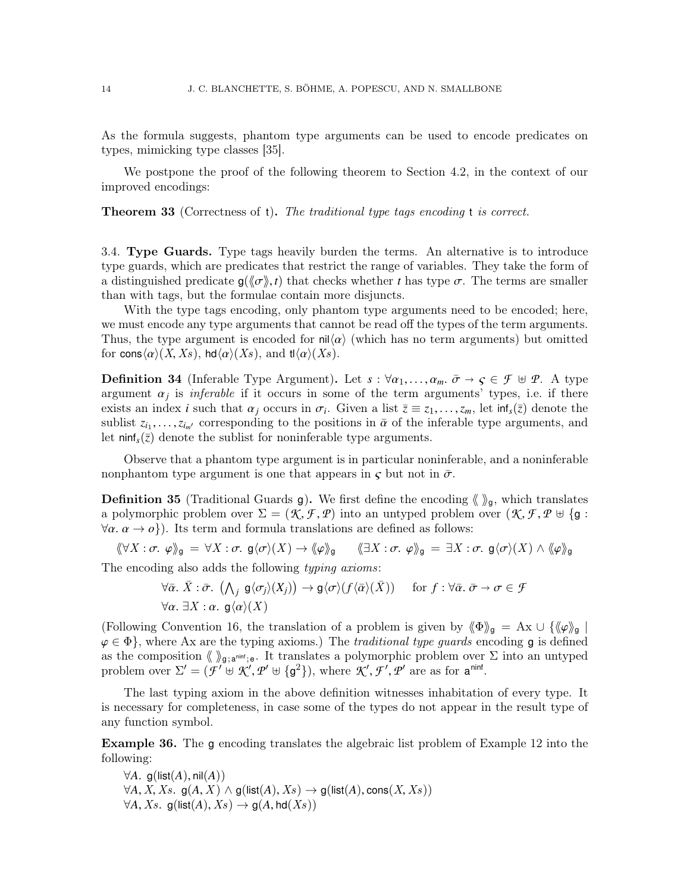As the formula suggests, phantom type arguments can be used to encode predicates on types, mimicking type classes [\[35\]](#page-50-9).

We postpone the proof of the following theorem to Section [4.2,](#page-19-0) in the context of our improved encodings:

<span id="page-13-2"></span>**Theorem 33** (Correctness of t). The traditional type tags encoding t is correct.

<span id="page-13-0"></span>3.4. Type Guards. Type tags heavily burden the terms. An alternative is to introduce type guards, which are predicates that restrict the range of variables. They take the form of a distinguished predicate  $g(\langle \sigma \rangle, t)$  that checks whether *t* has type  $\sigma$ . The terms are smaller than with tags, but the formulae contain more disjuncts.

With the type tags encoding, only phantom type arguments need to be encoded; here, we must encode any type arguments that cannot be read off the types of the term arguments. Thus, the type argument is encoded for  $\text{nil}\langle \alpha \rangle$  (which has no term arguments) but omitted for cons $\langle \alpha \rangle(X, Xs)$ , hd $\langle \alpha \rangle(Xs)$ , and tl $\langle \alpha \rangle(Xs)$ .

**Definition 34** (Inferable Type Argument). Let  $s : \forall \alpha_1, \ldots, \alpha_m$ .  $\bar{\sigma} \rightarrow \varsigma \in \mathcal{F} \oplus \mathcal{P}$ . A type argument  $\alpha_j$  is *inferable* if it occurs in some of the term arguments' types, i.e. if there exists an index *i* such that  $\alpha_j$  occurs in  $\sigma_j$ . Given a list  $\overline{z} = z_1$ ,  $z_j$  let in  $(\overline{z})$  denote the exists an index *i* such that  $\alpha_j$  occurs in  $\sigma_i$ . Given a list  $\overline{z} \equiv z_1, \ldots, z_m$ , let  $\text{inf}_s(\overline{z})$  denote the sublist  $z_i$ ,  $z_i$ , corresponding to the positions in  $\overline{\alpha}$  of the inferable type arguments, and sublist  $z_{i_1}, \ldots, z_{i_m}$  corresponding to the positions in  $\bar{\alpha}$  of the inferable type arguments, and let nint  $(\bar{z})$  denote the sublist for popinferable type arguments let  $\text{minf}_s(\bar{z})$  denote the sublist for noninferable type arguments.

Observe that a phantom type argument is in particular noninferable, and a noninferable nonphantom type argument is one that appears in  $\zeta$  but not in  $\bar{\sigma}$ .

**Definition 35** (Traditional Guards g). We first define the encoding  $\langle \rangle_{g}$ , which translates a polymorphic problem over  $\Sigma = (\mathcal{K}, \mathcal{F}, \mathcal{P})$  into an untyped problem over  $(\mathcal{K}, \mathcal{F}, \mathcal{P} \cup \{\mathsf{g} : \mathcal{F}, \mathcal{P} \cup \{\mathsf{g} : \mathsf{g} \cup \{\mathsf{g} : \mathsf{g} \cup \{\mathsf{g} : \mathsf{g} \cup \{\mathsf{g} : \mathsf{g} \cup \{\mathsf{g} : \mathsf{g} \cup \{\mathsf{g} : \mathsf{g} \cup \{\$  $\forall \alpha \ldotp \alpha \rightarrow \varnothing$ ). Its term and formula translations are defined as follows:

$$
\langle \langle \forall X : \sigma, \varphi \rangle \rangle_{\mathsf{g}} = \forall X : \sigma, \mathsf{g} \langle \sigma \rangle(X) \to \langle \varphi \rangle \rangle_{\mathsf{g}} \qquad \langle \exists X : \sigma, \varphi \rangle \rangle_{\mathsf{g}} = \exists X : \sigma, \mathsf{g} \langle \sigma \rangle(X) \wedge \langle \varphi \rangle \rangle_{\mathsf{g}}
$$

The encoding also adds the following typing axioms:

$$
\forall \bar{\alpha}. \ \bar{X} : \bar{\sigma}. \ \left(\bigwedge_j \ g \langle \sigma_j \rangle(X_j) \right) \to g \langle \sigma \rangle(f \langle \bar{\alpha} \rangle(\bar{X})) \quad \text{for } f : \forall \bar{\alpha}. \ \bar{\sigma} \to \sigma \in \mathcal{F}
$$
  

$$
\forall \alpha. \ \exists X : \alpha. \ g \langle \alpha \rangle(X)
$$

(Following Convention [16,](#page-7-1) the translation of a problem is given by  $\langle \Phi \rangle_{g} = Ax \cup \{\langle \varphi \rangle_{g} | g \in \Phi\}$ , where Ax are the typing axioms). The *traditional time quarts* encoding a is defined  $\varphi \in \Phi$ , where Ax are the typing axioms.) The traditional type guards encoding g is defined as the composition  $\langle \rangle_{g; a^{\text{min}};e}$ . It translates a polymorphic problem over  $\Sigma$  into an untyped problem over  $\Sigma' = (\mathcal{F}' \oplus \mathcal{K}', \mathcal{P}' \oplus \{g^2\})$ , where  $\mathcal{K}', \mathcal{F}', \mathcal{P}'$  are as for  $\mathbf{a}^{\text{ninf}}$ .

The last typing axiom in the above definition witnesses inhabitation of every type. It is necessary for completeness, in case some of the types do not appear in the result type of any function symbol.

<span id="page-13-1"></span>Example 36. The g encoding translates the algebraic list problem of Example [12](#page-5-0) into the following:

 $\forall A.$  g(list(A), nil(A))  $\forall A, X, Xs$ . g(*A*, *X*) ∧ g(list(*A*), *Xs*) → g(list(*A*), cons(*X*, *Xs*))  $\forall A, Xs.$  g(list(A),  $Xs$ )  $\rightarrow$  g(A, hd(Xs))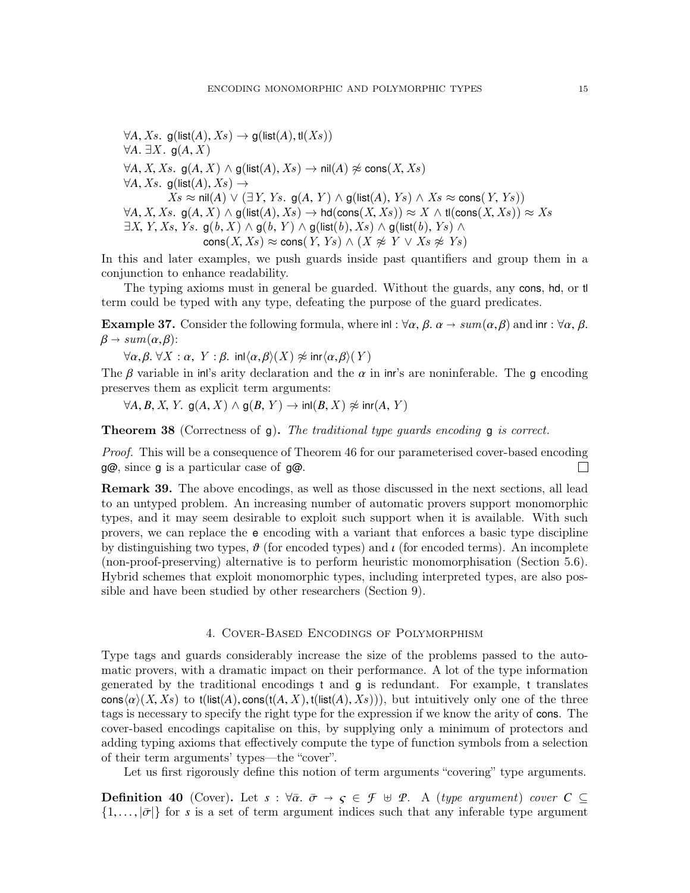$\forall A, Xs.$  g(list(A),  $Xs$ )  $\rightarrow$  g(list(A), tl(Xs))  $\forall A. \exists X. g(A, X)$  $\forall A, X, Xs.$  g( $A, X$ )  $\land$  g( $\textsf{list}(A), Xs$ )  $\rightarrow$  nil $(A) \not\approx$  cons( $X, Xs$ )  $\forall A, Xs.$  g(list(A),  $Xs$ )  $\rightarrow$  $Xs$  ≈ nil(*A*)  $\vee$  (∃*Y*, *Ys*. g(*A*, *Y*) ∧ g(list(*A*), *Ys*) ∧ *Xs* ≈ cons(*Y*, *Ys*))  $\forall A, X, Xs.$  g(*A*, X)  $\land$  g( $\textsf{list}(A), Xs$ )  $\rightarrow$  hd(cons(X, Xs))  $\approx$  X  $\land$  tl(cons(X, Xs))  $\approx$  Xs  $\exists X, Y, Xs, Ys.$  g $(b, X) \wedge g(b, Y) \wedge g(\text{list}(b), Xs) \wedge g(\text{list}(b), Ys) \wedge g(s)$ cons(X, Xs)  $\approx$  cons(Y, Ys)  $\wedge$  (X  $\not\approx$  Y  $\vee$  Xs  $\not\approx$  Ys)

In this and later examples, we push guards inside past quantifiers and group them in a conjunction to enhance readability.

The typing axioms must in general be guarded. Without the guards, any cons, hd, or tl term could be typed with any type, defeating the purpose of the guard predicates.

**Example 37.** Consider the following formula, where inl :  $\forall \alpha, \beta, \alpha \rightarrow sum(\alpha, \beta)$  and inr :  $\forall \alpha, \beta$ .  $\beta \rightarrow sum(\alpha, \beta)$ :

 $\forall \alpha, \beta$ .  $\forall X : \alpha$ ,  $Y : \beta$ . inl $\langle \alpha, \beta \rangle(X) \not\approx$  inr $\langle \alpha, \beta \rangle(Y)$ 

The β variable in inl's arity declaration and the  $\alpha$  in inr's are noninferable. The g encoding preserves them as explicit term arguments:

 $\forall A, B, X, Y$ . g $(A, X) \land g(B, Y) \rightarrow \text{inl}(B, X) \not\approx \text{inr}(A, Y)$ 

**Theorem 38** (Correctness of q). The traditional type guards encoding q is correct.

Proof. This will be a consequence of Theorem [46](#page-16-0) for our parameterised cover-based encoding g@, since g is a particular case of g@.

Remark 39. The above encodings, as well as those discussed in the next sections, all lead to an untyped problem. An increasing number of automatic provers support monomorphic types, and it may seem desirable to exploit such support when it is available. With such provers, we can replace the e encoding with a variant that enforces a basic type discipline by distinguishing two types,  $\vartheta$  (for encoded types) and  $\iota$  (for encoded terms). An incomplete (non-proof-preserving) alternative is to perform heuristic monomorphisation (Section [5.6\)](#page-32-1). Hybrid schemes that exploit monomorphic types, including interpreted types, are also possible and have been studied by other researchers (Section [9\)](#page-48-0).

### 4. Cover-Based Encodings of Polymorphism

<span id="page-14-0"></span>Type tags and guards considerably increase the size of the problems passed to the automatic provers, with a dramatic impact on their performance. A lot of the type information generated by the traditional encodings t and g is redundant. For example, t translates  $\cos\langle\alpha\rangle(X, Xs)$  to t(list(*A*), cons(t(*A*, X), t(list(*A*), Xs))), but intuitively only one of the three tags is necessary to specify the right type for the expression if we know the arity of cons. The cover-based encodings capitalise on this, by supplying only a minimum of protectors and adding typing axioms that effectively compute the type of function symbols from a selection of their term arguments' types—the "cover".

Let us first rigorously define this notion of term arguments "covering" type arguments.

**Definition 40** (Cover). Let  $s : \forall \bar{\alpha}$ ,  $\bar{\sigma} \rightarrow \varsigma \in \mathcal{F} \oplus \mathcal{P}$ . A (type argument) cover  $C \subseteq$  $\{1,\ldots,\bar{\sigma}\}\$ for *s* is a set of term argument indices such that any inferable type argument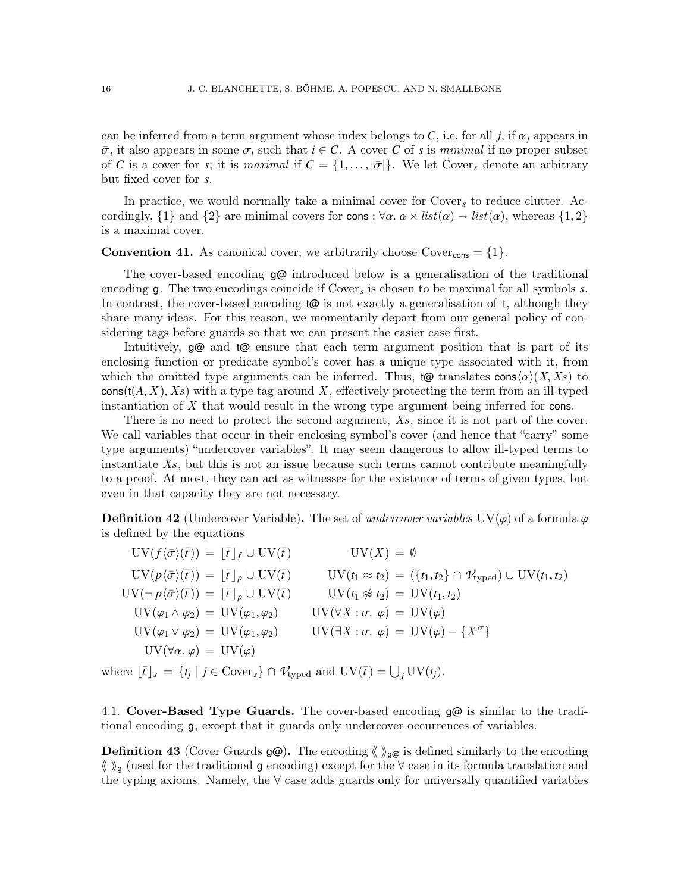can be inferred from a term argument whose index belongs to  $C$ , i.e. for all *j*, if  $\alpha_j$  appears in  $\bar{\sigma}$ , it also appears in some  $\sigma_i$  such that  $i \in \mathcal{C}$ . A cover C of *s* is *minimal* if no proper subset of *C* is a cover for *s*; it is *maximal* if  $C = \{1, \ldots, |\bar{\sigma}|\}$ . We let Cover<sub>*s*</sub> denote an arbitrary but fixed cover for *s*.

In practice, we would normally take a minimal cover for Cover*<sup>s</sup>* to reduce clutter. Accordingly,  $\{1\}$  and  $\{2\}$  are minimal covers for cons :  $\forall \alpha$ .  $\alpha \times list(\alpha) \rightarrow list(\alpha)$ , whereas  $\{1, 2\}$ is a maximal cover.

<span id="page-15-1"></span>**Convention 41.** As canonical cover, we arbitrarily choose  $\text{Cover}_\text{cons} = \{1\}.$ 

The cover-based encoding g@ introduced below is a generalisation of the traditional encoding g. The two encodings coincide if Cover*<sup>s</sup>* is chosen to be maximal for all symbols *s*. In contrast, the cover-based encoding  $\omega$  is not exactly a generalisation of t, although they share many ideas. For this reason, we momentarily depart from our general policy of considering tags before guards so that we can present the easier case first.

Intuitively, g@ and t@ ensure that each term argument position that is part of its enclosing function or predicate symbol's cover has a unique type associated with it, from which the omitted type arguments can be inferred. Thus,  $\phi$  translates cons $\langle \alpha \rangle (X, X_s)$  to  $\text{cons}(t(A, X), X_s)$  with a type tag around X, effectively protecting the term from an ill-typed instantiation of X that would result in the wrong type argument being inferred for cons.

There is no need to protect the second argument, Xs, since it is not part of the cover. We call variables that occur in their enclosing symbol's cover (and hence that "carry" some type arguments) "undercover variables". It may seem dangerous to allow ill-typed terms to instantiate  $X_s$ , but this is not an issue because such terms cannot contribute meaningfully to a proof. At most, they can act as witnesses for the existence of terms of given types, but even in that capacity they are not necessary.

**Definition 42** (Undercover Variable). The set of undercover variables UV $(\varphi)$  of a formula  $\varphi$ is defined by the equations

 $\mathrm{UV}(f\langle\bar{\sigma}\rangle(\bar{t})) = [\bar{t}]_f \cup \mathrm{UV}(\bar{t})$   $\mathrm{UV}(X) = \emptyset$  $\text{UV}(p\langle \bar{\sigma} \rangle(\bar{t})) = [\bar{t}]_p \cup \text{UV}(\bar{t})$   $\text{UV}(t_1 \approx t_2) = (\{t_1, t_2\} \cap \mathcal{V}_{\text{typed}}) \cup \text{UV}(t_1, t_2)$  $\text{UV}(\neg p\langle \bar{\sigma} \rangle(\bar{t})) = [\bar{t}]_p \cup \text{UV}(\bar{t}) \qquad \text{UV}(t_1 \not\approx t_2) = \text{UV}(t_1, t_2)$  $\mathrm{UV}(\varphi_1\wedge \varphi_2)\,=\,\mathrm{UV}(\varphi_1,\varphi_2)\qquad \quad \mathrm{UV}(\forall X:\sigma.\,\, \varphi)\,=\,\mathrm{UV}(\varphi)$  $\text{UV}(\varphi_1 \lor \varphi_2) = \text{UV}(\varphi_1, \varphi_2) \qquad \text{UV}(\exists X : \sigma. \varphi) = \text{UV}(\varphi) - \{X^{\sigma}\}\$  $UV(\forall \alpha, \varphi) = UV(\varphi)$ 

where  $\lfloor \bar{t} \rfloor_s = \{ t_j \mid j \in \text{Cover}_s \} \cap \mathcal{V}_{\text{typed}}$  and  $\text{UV}(\bar{t}) = \bigcup_j \text{UV}(t_j)$ .

<span id="page-15-0"></span>4.1. Cover-Based Type Guards. The cover-based encoding  $g\omega$  is similar to the traditional encoding g, except that it guards only undercover occurrences of variables.

**Definition 43** (Cover Guards  $g\omega$ ). The encoding  $\langle \rangle_{g\omega}$  is defined similarly to the encoding  $\langle \rangle$ <sub>g</sub> (used for the traditional g encoding) except for the  $\forall$  case in its formula translation and the typing axioms. Namely, the ∀ case adds guards only for universally quantified variables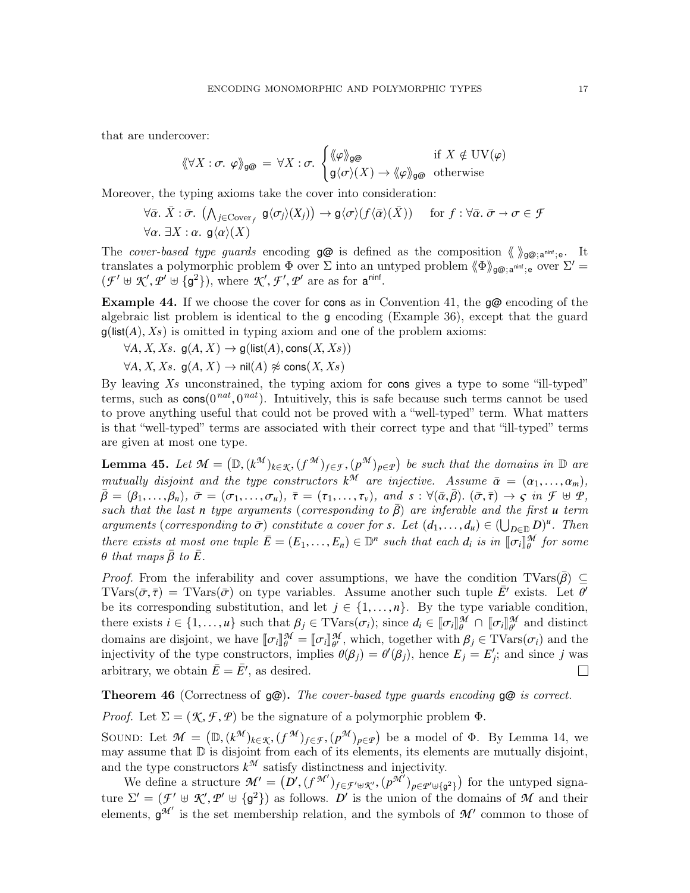that are undercover:

$$
\langle \! \langle \forall X : \sigma. \varphi \rangle \! \rangle_{\mathsf{g}\text{Q}} = \forall X : \sigma. \begin{cases} \langle \! \langle \varphi \rangle \! \rangle_{\mathsf{g}\text{Q}} & \text{if } X \notin \mathrm{UV}(\varphi) \\ \mathsf{g} \langle \sigma \rangle(X) \to \langle \! \langle \varphi \rangle \! \rangle_{\mathsf{g}\text{Q}} & \text{otherwise} \end{cases}
$$

Moreover, the typing axioms take the cover into consideration:

$$
\forall \bar{\alpha}. \ \bar{X} : \bar{\sigma}. \ \left(\bigwedge_{j \in \text{Cover}_f} \mathsf{g} \langle \sigma_j \rangle(X_j) \right) \to \mathsf{g} \langle \sigma \rangle(f \langle \bar{\alpha} \rangle(\bar{X})) \quad \text{for } f : \forall \bar{\alpha}. \ \bar{\sigma} \to \sigma \in \mathcal{F}
$$
  

$$
\forall \alpha. \ \exists X : \alpha. \ \mathsf{g} \langle \alpha \rangle(X)
$$

The cover-based type guards encoding  $g\omega$  is defined as the composition  $\langle \rangle_{g\omega; a^{\text{min}}; e}$ . It translates a polymorphic problem  $\Phi$  over  $\Sigma$  into an untyped problem  $\langle \Phi \rangle_{\mathcal{P}(\mathcal{Q})}$ ; aninf; e over  $\Sigma'$  =  $(\mathcal{F}' \oplus \mathcal{K}', \mathcal{P}' \oplus \{g^2\}),$  where  $\mathcal{K}', \mathcal{F}', \mathcal{P}'$  are as for  $a^{\text{ninf}}$ .

Example 44. If we choose the cover for cons as in Convention [41,](#page-15-1) the  $g\omega$  encoding of the algebraic list problem is identical to the g encoding (Example [36\)](#page-13-1), except that the guard  $g(\text{list}(A), X_s)$  is omitted in typing axiom and one of the problem axioms:

$$
\forall A, X, Xs. \mathsf{g}(A, X) \rightarrow \mathsf{g}(\mathsf{list}(A), \mathsf{cons}(X, Xs))
$$

 $\forall A, X, Xs.$  g $(A, X) \rightarrow \text{nil}(A) \not\approx \text{cons}(X, Xs)$ 

By leaving  $X_s$  unconstrained, the typing axiom for cons gives a type to some "ill-typed" terms, such as  $\cos(0^{nat}, 0^{nat})$ . Intuitively, this is safe because such terms cannot be used<br>to prove anything useful that could not be proved with a "well-typed" term. What matters to prove anything useful that could not be proved with a "well-typed" term. What matters is that "well-typed" terms are associated with their correct type and that "ill-typed" terms are given at most one type.

<span id="page-16-1"></span>**Lemma 45.** Let  $\mathcal{M} = (\mathbb{D}, (k^{\mathcal{M}})_{k \in \mathcal{K}}, (f^{\mathcal{M}})_{f \in \mathcal{F}}, (p^{\mathcal{M}})_{p \in \mathcal{P}})$  be such that the domains in  $\mathbb{D}$  are maturity discriptions of the type constructions  $k^{\mathcal{M}}$  are injective. Accuracy  $\bar{$ mutually disjoint and the type constructors  $k^{\mathcal{M}}$  are injective. Assume  $\bar{\alpha} = (\alpha_1, ..., \alpha_m)$ ,<br>  $\bar{R} - (R_1, \alpha_1, R_2)$ ,  $\bar{\sigma} - (\sigma_1, \sigma_2)$ ,  $\bar{\sigma} - (\tau_1, \tau_2)$ , and  $s : \forall (\bar{\alpha}, \bar{\beta})$ ,  $(\bar{\sigma}, \bar{\tau}) \rightarrow c$ , in  $\mathcal{F} \models \phi$  $\bar{\beta} = (\beta_1, \ldots, \beta_n), \bar{\sigma} = (\sigma_1, \ldots, \sigma_u), \bar{\tau} = (\tau_1, \ldots, \tau_v), \text{ and } s : \forall (\bar{\alpha}, \bar{\beta}). (\bar{\sigma}, \bar{\tau}) \rightarrow \varsigma \text{ in } \mathcal{F} \uplus \mathcal{P},$ such that the last *n* type arguments (corresponding to  $\bar{\beta}$ ) are inferable and the first *u* term arguments (corresponding to  $\bar{\sigma}$ ) constitute a cover for *s*. Let  $(d_1, ..., d_u) \in (\bigcup_{D \in \mathbb{D}} D)^u$ . Then<br>there exists at most and turbs  $\bar{F}$  ( $F$   $F$ )  $\in \mathbb{D}^n$  such that each d is in  $\mathbb{F} = \mathbb{D}^M$  for some there exists at most one tuple  $\bar{E} = (E_1, \ldots, E_n) \in \mathbb{D}^n$  such that each  $d_i$  is in  $[\![\sigma_i]\!]_{{\theta}}^{{\mathcal{M}}}$  for some  ${\theta}$  that maps  $\bar{R}$  to  $\bar{F}$ θ that maps  $\bar{\beta}$  to  $\bar{E}$ .

*Proof.* From the inferability and cover assumptions, we have the condition TVars( $\bar{\beta}$ ) ⊂ TVars( $\bar{\sigma}, \bar{\tau}$ ) = TVars( $\bar{\sigma}$ ) on type variables. Assume another such tuple  $\bar{E}'$  exists. Let  $\bar{\theta}'$ <br>be its corresponding substitution, and let  $i \in \{1, ..., n\}$ . By the type variable condition be its corresponding substitution, and let  $j \in \{1, ..., n\}$ . By the type variable condition, there exists  $i \in \{1, ..., u\}$  such that  $\beta_j \in \text{TVars}(\sigma_i)$ ; since  $d_i \in [\![\sigma_i]\!]_0^{\mathcal{M}} \cap [\![\sigma_i]\!]_0^{\mathcal{M}}$  and distinct<br>densing an distinct we have  $[\![\sigma_i]\!]_0^{\mathcal{M}}$   $[\![\sigma_i]\!]_0^{\mathcal{M}}$  which teacher with  $\theta_i \in \text{TN}_{\text{dom}}(\pi_i)$ domains are disjoint, we have  $[\![\sigma_i]\!]_{\theta}^{\mathcal{M}} = [\![\sigma_i]\!]_{\theta'}^{\mathcal{M}}$ , which, together with  $\beta_j \in \text{TVars}(\sigma_i)$  and the injectivity of the type constructors implies  $\theta(\beta_i) = \theta'(\beta_i)$  bence  $F_i = F'_i$ ; and since *i* was injectivity of the type constructors, implies  $\theta(\beta_j) = \theta'(\beta_j)$ , hence  $E_j = E'_j$ ; and since *j* was arbitrary, we obtain  $\bar{E} = \bar{E}'$ , as desired.  $\Box$ 

<span id="page-16-0"></span>**Theorem 46** (Correctness of  $g\omega$ ). The cover-based type quards encoding  $g\omega$  is correct.

*Proof.* Let  $\Sigma = (\mathcal{K}, \mathcal{F}, \mathcal{P})$  be the signature of a polymorphic problem  $\Phi$ .

SOUND: Let  $\mathcal{M} = (\mathbb{D}, (k^{\mathcal{M}})_{k \in \mathcal{K}}, (f^{\mathcal{M}})_{f \in \mathcal{F}}, (p^{\mathcal{M}})_{p \in \mathcal{P}})$  be a model of  $\Phi$ . By Lemma [14,](#page-6-1) we<br>may assume that  $\mathbb{D}$  is disjoint from each of its elements its elements are mutually disjoint may assume that  $\mathbb D$  is disjoint from each of its elements, its elements are mutually disjoint, and the type constructors  $k^{\mathcal{M}}$  satisfy distinctness and injectivity.

We define a structure  $\mathcal{M}' = (\mathcal{D}', (f^{\mathcal{M}'})_{f \in \mathcal{F}' \oplus \mathcal{K}'}, (p^{\mathcal{M}'})_{p \in \mathcal{P}' \oplus \{g^2\}})$  for the untyped signa-<br> $\mathcal{D}' = (\mathcal{F}' \cup \mathcal{K}' \mathcal{P}' \cup \{\mathcal{F}'\})$  as follows  $\mathcal{D}'$  is the union of the demoins of  $\mathcal{M}$ ture  $\Sigma' = (\mathcal{F}' \oplus \mathcal{K}', \mathcal{P}' \oplus {\mathfrak{g}}^2)$  as follows. *D'* is the union of the domains of *M* and their<br>elements  $\mathcal{F}^{\mathcal{M}'}$  is the set membership relation, and the symbols of  $\mathcal{M}'$  common to these of elements,  $g^{\mathcal{M}'}$  is the set membership relation, and the symbols of  $\mathcal{M}'$  common to those of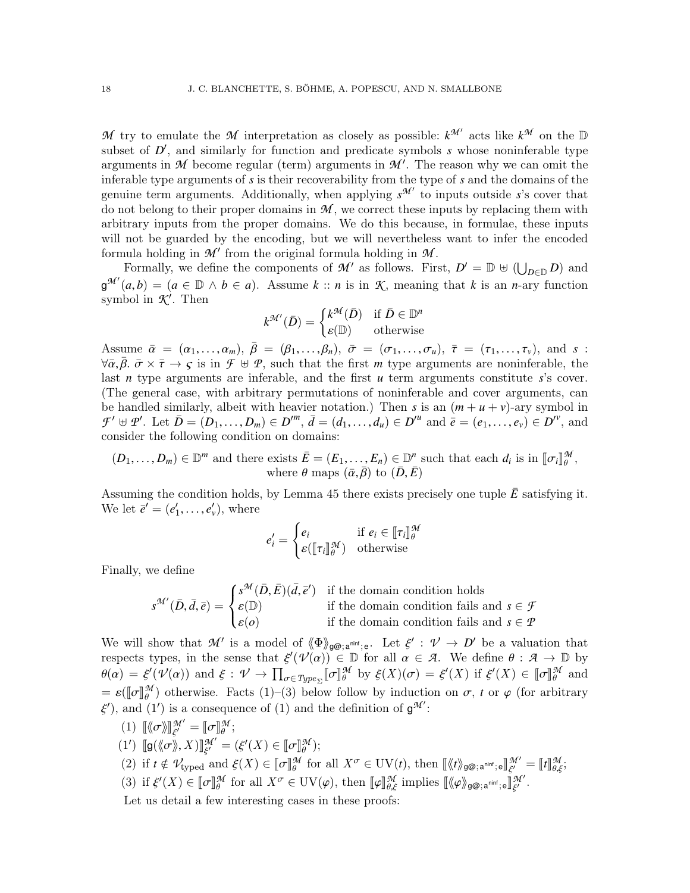*M* try to emulate the *M* interpretation as closely as possible:  $k^{\mathcal{M}}$  acts like  $k^{\mathcal{M}}$  on the  $\mathbb{D}$ subset of  $D'$ , and similarly for function and predicate symbols  $s$  whose noninferable type arguments in  $M$  become regular (term) arguments in  $M'$ . The reason why we can omit the inferable type arguments of *s* is their recoverability from the type of *s* and the domains of the genuine term arguments. Additionally, when applying  $s^{\mathcal{M}'}$  to inputs outside *s*'s cover that do not belong to their proper domains in  $M$ , we correct these inputs by replacing them with arbitrary inputs from the proper domains. We do this because, in formulae, these inputs will not be guarded by the encoding, but we will nevertheless want to infer the encoded formula holding in  $\mathcal{M}'$  from the original formula holding in  $\mathcal{M}$ .

Formally, we define the components of  $\mathcal{M}'$  as follows. First,  $D' = \mathbb{D} \cup (\bigcup_{D \in \mathbb{D}} D)$  and  $g^{\mathcal{M}'}(a,b) = (a \in \mathbb{D} \land b \in a)$ . Assume  $k :: n$  is in  $K$ , meaning that  $k$  is an *n*-ary function symbol in  $\mathcal{K}'$  Then symbol in  $K'$ . Then

$$
k^{\mathcal{M}'}(\bar{D}) = \begin{cases} k^{\mathcal{M}}(\bar{D}) & \text{if } \bar{D} \in \mathbb{D}^n \\ \varepsilon(\mathbb{D}) & \text{otherwise} \end{cases}
$$

Assume  $\bar{\alpha} = (\alpha_1, \ldots, \alpha_m)$ ,  $\bar{\beta} = (\beta_1, \ldots, \beta_n)$ ,  $\bar{\sigma} = (\sigma_1, \ldots, \sigma_u)$ ,  $\bar{\tau} = (\tau_1, \ldots, \tau_v)$ , and *s* :<br> $\forall \bar{\alpha}, \bar{\beta}, \bar{\sigma} \times \bar{\tau} \rightarrow c$  is in  $\mathcal{F} \models \mathcal{P}$  such that the first *m* type arguments are popinferable the  $\forall \bar{\alpha}, \bar{\beta} \in \bar{\sigma} \times \bar{\tau} \to \varsigma$  is in  $\mathcal{F} \oplus \mathcal{P}$ , such that the first *m* type arguments are noninferable, the last *n* type arguments are inferable, and the first *u* term arguments constitute *s*'s cover. (The general case, with arbitrary permutations of noninferable and cover arguments, can be handled similarly, albeit with heavier notation.) Then *s* is an  $(m + u + v)$ -ary symbol in  $\mathcal{F}' \uplus \mathcal{P}'$ . Let  $\bar{D} = (D_1, \ldots, D_m) \in D''^m$ ,  $\bar{d} = (d_1, \ldots, d_u) \in D''^u$  and  $\bar{e} = (e_1, \ldots, e_v) \in D''^v$ , and consider the following condition on domains: consider the following condition on domains:

$$
(D_1, ..., D_m) \in \mathbb{D}^m
$$
 and there exists  $\overline{E} = (E_1, ..., E_n) \in \mathbb{D}^n$  such that each  $d_i$  is in  $[\![\sigma_i]\!]_{\theta}^{\mathcal{M}}$ ,  
where  $\theta$  maps  $(\overline{\alpha}, \overline{\beta})$  to  $(\overline{D}, \overline{E})$ 

Assuming the condition holds, by Lemma [45](#page-16-1) there exists precisely one tuple  $\bar{E}$  satisfying it. We let  $\bar{e}' = (e'_1, \ldots, e'_v)$ , where

$$
e'_{i} = \begin{cases} e_{i} & \text{if } e_{i} \in [\![\tau_{i}]\!]_{\theta}^{\mathcal{M}} \\ \varepsilon([\![\tau_{i}]\!]_{\theta}^{\mathcal{M}}) & \text{otherwise} \end{cases}
$$

Finally, we define

$$
s^{\mathcal{M}'}(\bar{D}, \bar{d}, \bar{e}) = \begin{cases} s^{\mathcal{M}}(\bar{D}, \bar{E})(\bar{d}, \bar{e}') & \text{if the domain condition holds} \\ \varepsilon(\mathbb{D}) & \text{if the domain condition fails and } s \in \mathcal{F} \\ \varepsilon(o) & \text{if the domain condition fails and } s \in \mathcal{P} \end{cases}
$$

We will show that  $\mathcal{M}'$  is a model of  $\langle \Phi \rangle_{g\circledcirc; a^{\text{minf}};e}$ . Let  $\xi' : \mathcal{V} \to D'$  be a valuation that respects types in the sense that  $\xi'(1/\alpha) \in \mathbb{D}$  for all  $\alpha \in \mathcal{A}$ . We define  $\theta : \mathcal{A} \to \mathbb{D}$  by respects types, in the sense that  $\xi'(\mathcal{V}(\alpha)) \in \mathbb{D}$  for all  $\alpha \in \mathcal{A}$ . We define  $\theta : \mathcal{A} \to \mathbb{D}$  by<br> $\theta(\alpha) = \xi'(\mathcal{U}(\alpha))$  and  $\xi : \mathcal{U} \to \Pi$  for  $\mathbb{E}[\mathcal{M}]$  by  $\xi(Y)(\sigma) = \xi'(Y)$  if  $\xi'(Y) \subset \mathbb{E}[\mathcal{M}]$  and  $\theta(\alpha) = \xi'(\mathcal{V}(\alpha))$  and  $\xi: \mathcal{V} \to \prod_{\sigma \in Type_{\Sigma}} [\![\sigma]\!]_{\theta}^{\mathcal{M}}$  by  $\xi(X)(\sigma) = \xi'(X)$  if  $\xi'(X) \in [\![\sigma]\!]_{\theta}^{\mathcal{M}}$  and  $\mathcal{E}(\mathbb{Z}) = \mathcal{E}([\![\sigma]\!]_{\theta}^{\mathcal{M}})$  otherwise. Facts (1)–(3) below follow by induction on  $\sigma$ , *t* or  $\varphi$  (for arbitrary  $\mathcal{E}'$ ) and (1) is a consequence of (1) and the definition of  $\mathcal{R}'$ . θ ξ '), and (1') is a consequence of (1) and the definition of  $g^{\mathcal{M}}'$ :

- (1)  $\llbracket \langle \sigma \rangle \rrbracket_{\xi'}^{\mathcal{M}'} = \llbracket \sigma \rrbracket_{\theta}^{\mathcal{M}};$ <br>(1)  $\llbracket \langle \psi \rangle \rangle$   $\llbracket \langle \psi \rangle \rangle$
- (1')  $[\![\mathfrak{g}(\langle\!\langle \sigma \rangle\!\rangle, X)]\!]_{\xi'}^{\mathcal{M}'} = (\xi'(X) \in [\![\sigma]\!]_{\theta}^{\mathcal{M}});$
- (2) if  $t \notin \mathcal{V}_{\text{typeed}}$  and  $\xi(X) \in [\![\sigma]\!]_{{\theta}}^{\mathcal{M}}$  for all  $X^{\sigma} \in \text{UV}(t)$ , then  $[\![\langle t \rangle\!{{\theta}}_{{\theta}}\otimes_{;\alpha}^{\text{min}}; \mathrm{e} \,]\!]_{{\xi'}}^{\mathcal{M}'} = [\![t]\!]_{{\theta},\xi}^{\mathcal{M}}$ ;

ξ

(3) if  $\xi'(X) \in [\![\sigma]\!]_{{\theta}}^{\mathcal{M}}$  for all  $X^{\sigma} \in \mathrm{UV}(\varphi)$ , then  $[\![\varphi]\!]_{{\theta},\xi}^{\mathcal{M}}$  implies  $[\![\langle \varphi \rangle\!{\theta}_{g\circledcirc},\mathsf{a}^{\text{min}},\mathsf{e}]\!]_{{\xi}'}^{\mathcal{M}}$ u′.

Let us detail a few interesting cases in these proofs: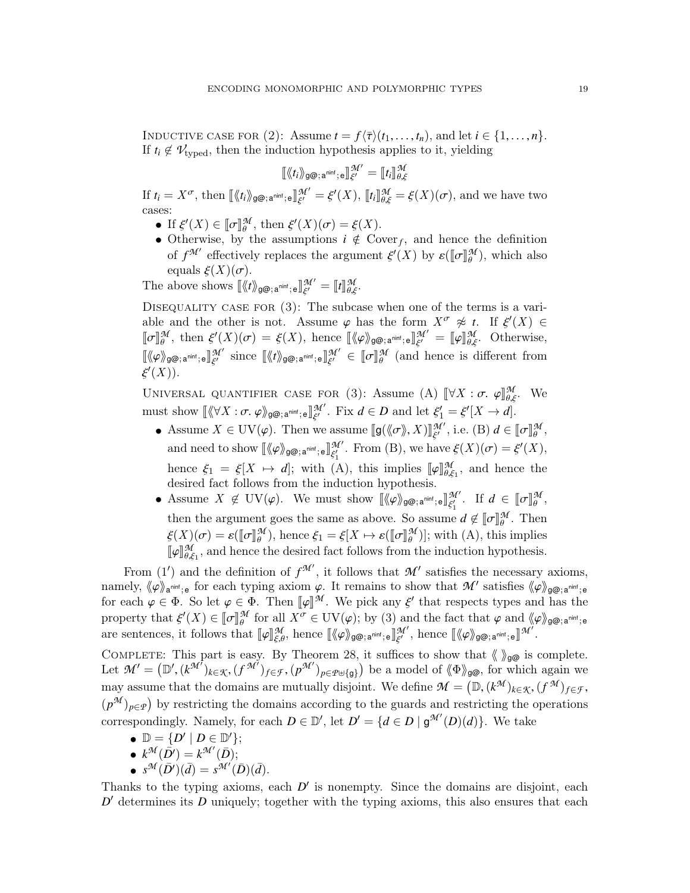INDUCTIVE CASE FOR (2): Assume  $t = f\langle \overline{\tau} \rangle(t_1, \ldots, t_n)$ , and let  $i \in \{1, \ldots, n\}$ . If  $t_i \notin V_{\text{typed}}$ , then the induction hypothesis applies to it, yielding

$$
[\![\langle t_i \rangle\!\rangle_{\mathsf{g}\mathsf{Q} ;\,\mathsf{a}^{\mathsf{nint}};\,\mathsf{e} }]\!]_{\xi'}^{\mathcal{M}'} = [\![t_i]\!]_{\theta,\xi}^{\mathcal{M}}
$$

If  $t_i = X^{\sigma}$ , then  $\llbracket \langle \langle t_i \rangle \rangle_{\mathcal{G}^{\mathcal{Q}}; \mathbf{a}^{\text{nint}}; \mathbf{e}} \rrbracket_{\xi'}^{\mathcal{M}'} = \xi'(X), \llbracket t_i \rrbracket_{\theta, \xi}^{\mathcal{M}} = \xi(X)(\sigma)$ , and we have two ξ cases:

- If  $\xi'(X) \in [\![\sigma]\!]_q^{\mathcal{M}}$ , then  $\xi'(X)(\sigma) = \xi(X)$ .<br>
 Otherwise, by the assumptions  $i \notin C$ .  $\mathscr{C}(X) \in \llbracket \sigma \rrbracket \mathscr{M}$  then  $\mathscr{E}'$
- Otherwise, by the assumptions  $i \notin \text{Cover}_f$ , and hence the definition of  $\mathcal{M}'$  effectively replaces the example  $\mathcal{L}'(X)$  by  $\mathcal{L}(\mathbb{Z}|\mathcal{M})$ , which also of  $f^{\mathcal{M}'}$  effectively replaces the argument  $\xi'(X)$  by  $\varepsilon([\![\sigma]\!]_{\theta}^{\mathcal{M}})$ , which also<br>equals  $\xi(X)(\sigma)$ equals  $\xi(X)(\sigma)$ .<br>shows shows  $\mathbb{I}/\ell$

The above shows  $[\langle \langle t \rangle \rangle_{\mathbb{S}^{\bigotimes}; \, \mathsf{a}^{\mathsf{nint}}; \, \mathsf{e}}]_{\xi'}^{\mathcal{M}'}$  $\frac{\mathcal{M}'}{\xi'} = \llbracket t \rrbracket_{\theta,\xi}^{\mathcal{M}}.$ 

DISEQUALITY CASE FOR  $(3)$ : The subcase when one of the terms is a variable and the other is not. Assume  $\varphi$  has the form  $X^{\sigma} \not\approx t$ . If  $\xi'(X) \in$ <br>  $\mathbb{R} \pi \mathbb{R}^M$  then  $\xi'(X)(\sigma) = \xi(X)$  hence  $\mathbb{R}^M$  and  $\mathbb{R}^M = \mathbb{R} \pi \mathbb{R}^M$  Otherwise l<sup>o</sup> j<br>πα *M*  $\mathcal{H}_{\theta}$ , then  $\xi'(X)(\sigma) = \xi(X)$ , hence  $[\langle \varphi \rangle]_{\mathcal{B}^{\bigotimes},a^{\text{minf}};\sigma}$   $[\mathcal{H}_{\xi'}']$  $\mathcal{L}_{\xi'}^{\mathcal{M}'} = [\![\varphi]\!]_{\theta,\xi}^{\mathcal{M}}$ . Otherwise,  $\llbracket \langle \varphi \rangle \rangle_{\mathcal{G}^{\bigotimes};\,\mathsf{a}^{\mathsf{ninf}};\,\mathsf{e}} \rrbracket^{\mathcal{M}'}_{\xi'}$  $\frac{\mathcal{M}'}{\xi'}$  since  $\llbracket \langle \! \langle t \rangle \! \rangle_{\mathsf{g}\textcircled{e};\,\mathsf{a}^{\mathsf{nint}};\,\mathsf{e}} \rrbracket^{\mathcal{M}'}_{\xi'}$  $\begin{array}{c} M' \\ \xi' \end{array} \in \llbracket \sigma \rrbracket^{\mathcal{M}}_{\theta}$ (and hence is different from  $'(X)).$ 

UNIVERSAL QUANTIFIER CASE FOR (3): Assume (A)  $\llbracket \forall X : \sigma. \varphi \rrbracket_{\theta,\xi}^{\mathcal{M}}$ . We must show  $\llbracket \langle \forall X : \sigma, \varphi \rangle_{\mathfrak{g}\circledcirc; \mathsf{a}^{\mathsf{min}}; \mathsf{e}} \rrbracket_{\xi'}^{\mathcal{M}'}$ . Fix  $d \in D$  and let  $\xi'_1 = \xi'[X \to d].$ 

- Assume  $X \in \mathrm{UV}(\varphi)$ . Then we assume  $[\![\mathfrak{g}(\langle\!\langle \sigma \rangle\!\rangle, X)]\!]_{\xi'}^{\mathcal{M}'},$  i.e. (B)  $d \in [\![\sigma]\!]_{\theta'}^{\mathcal{M}}$ , and need to show  $\llbracket \langle \varphi \rangle_{\mathsf{g}\circledcirc;\,\mathsf{a}^{\mathsf{nint}};\,\mathsf{e}} \rrbracket_{\xi_1'}^{\mathcal{M}'}$ . From (B), we have  $\xi(X)(\sigma) = \xi'(X)$ , hence  $\xi_1 = \xi[X \mapsto d]$ ; with (A), this implies  $[\![\varphi]\!]_{\theta,d}^M$ <br>desired fact follows from the induction bypothesis θ,ξ<sup>1</sup> , and hence the desired fact follows from the induction hypothesis.
- Assume  $X \notin UV(\varphi)$ . We must show  $\llbracket \langle \varphi \rangle_{\mathsf{g}\circledcirc;\,\mathsf{a}^{\mathsf{n}\mathsf{in}\mathsf{f}};\,\mathsf{e}} \rrbracket_{\xi_1'}^{\mathcal{M}'}$ . If  $d \in \llbracket \sigma \rrbracket_{\theta}^{\mathcal{M}}$ then the argument goes the same as above. So assume  $d \notin [\![\sigma]\!]_{\theta}^{\mathcal{M}}$ . Then  $\zeta(Y)(\sigma) = \varrho([\![\sigma]\!]_{\theta}^{\mathcal{M}})$  hence  $\zeta = \zeta[X \mapsto \varrho([\![\sigma]\!]_{\theta}^{\mathcal{M}})]$ , with  $(\Lambda)$  this implies ,  $\xi(X)(\sigma) = \varepsilon([\![\sigma]\!]_{{\theta}}^{{\mathcal{M}}})$ , hence  $\xi_1 = \xi[X \mapsto \varepsilon([\![\sigma]\!]_{{\theta}}^{{\mathcal{M}}})]$ ; with (A), this implies<br> $\iota_{\mathcal{M}}$  and hence the desired feat follows from the induction hypothesis. the degited feet follows from ╙<sup>┲</sup>╜ *M* θ,ξ<sup>1</sup> , and hence the desired fact follows from the induction hypothesis.

From (1') and the definition of  $f^{\mathcal{M}}'$ , it follows that  $\mathcal{M}'$  satisfies the necessary axioms, namely,  $\langle \varphi \rangle_{\mathbf{a}^{\text{min}}; \mathbf{e}}$  for each typing axiom  $\varphi$ . It remains to show that *M'* satisfies  $\langle \varphi \rangle_{\mathbf{g}\circledcirc;\mathbf{a}^{\text{min}}; \mathbf{e}}$  for each  $\langle \varphi \rangle_{\mathbf{g}\circledcirc;\mathbf{a}^{\text{min}}; \mathbf{e}}$  for each  $\langle \varphi \rangle_{\mathbf{g}\circledcirc}$ for each  $\varphi \in \Phi$ . So let  $\varphi \in \Phi$ . Then  $[\![\varphi]\!]^{\mathcal{M}}$ . We pick any  $\xi'$  that respects types and has the proporty that  $\xi'(X) \in [\![\pi]\!]^{\mathcal{M}}$  for all  $X^{\sigma} \in \text{IIV}(\infty)$  by (3) and the fact that  $\varphi$  and  $\ell(\infty)$ property that  $\xi'(X) \in [\![\sigma]\!]_q^{\mathcal{M}}$  for all  $X^{\sigma} \in \mathrm{UV}(\varphi)$ ; by (3) and the fact that  $\varphi$  and  $\langle \! \langle \varphi \rangle \! \rangle_{g\circledcirc; \mathfrak{a}^{\text{min}}; \mathfrak{e}}$ <br>are contoness it follows that  $\mathbb{L} \mathfrak{a}^{\mathcal{M}}$  hence  $\mathbb{L} \mathfrak{a}$ are sentences, it follows that  $[\![\varphi]\!]_{\xi,\theta}^{\mathcal{M}}$ , hence  $[\![\langle\varphi\rangle_{\mathsf{g}\mathsf{\mathcal{Q}};\,\mathsf{a}^{\mathsf{n}\mathsf{in}\mathsf{f}};\,\mathsf{e}}]\!]_{\xi'}^{\mathcal{M}'}$ , hence  $[\![\langle\varphi\rangle_{\mathsf{g}\mathsf{\mathcal{Q}};\,\mathsf{a}^{\mathsf{n}\mathsf{in}\mathsf{f}};\,\mathsf{e}}]\!]^{\mathcal{M}'}$ .

COMPLETE: This part is easy. By Theorem [28,](#page-11-0) it suffices to show that  $\langle \rangle_{\mathfrak{g}\mathfrak{G}}$  is complete. Let  $\mathcal{M}' = (\mathbb{D}', (k^{\mathcal{M}'}')_{k \in \mathcal{K}}, (f^{\mathcal{M}'})_{f \in \mathcal{F}}, (p^{\mathcal{M}'})_{p \in \mathcal{P} \cup \{\mathfrak{g}\}})$  be a model of  $\langle \Phi \rangle_{\mathfrak{g}\mathfrak{g}}$ , for which again we may assume that the domains are mutually disjoint. We define  $\mathcal{M} = (\mathbb{D}, (k^{\mathcal{M}})_{k \in \mathcal{K}}, (f^{\mathcal{M}})_{f \in \mathcal{F}},$ <br>( $\mathcal{M}$ ) by protection the domains association to the grouple and protection the approximation  $(p^{\mathcal{M}})_{p \in \mathcal{P}}$  by restricting the domains according to the guards and restricting the operations correspondingly. Namely, for each  $D \in \mathbb{D}'$ , let  $D' = \{d \in D \mid g^{\mathcal{M}'}(D)(d)\}\.$  We take

- $\mathbb{D} = \{ D' \mid D \in \mathbb{D}' \};$
- $k^{\mathcal{M}}(\bar{D'}) = k^{\mathcal{M'}}(\bar{D});$
- $s^{\mathcal{M}}(\bar{D}^{\prime})(\bar{d}) = s^{\mathcal{M}^{\prime}}(\bar{D})(\bar{d}).$

Thanks to the typing axioms, each  $D'$  is nonempty. Since the domains are disjoint, each  $D'$  determines its  $D$  uniquely; together with the typing axioms, this also ensures that each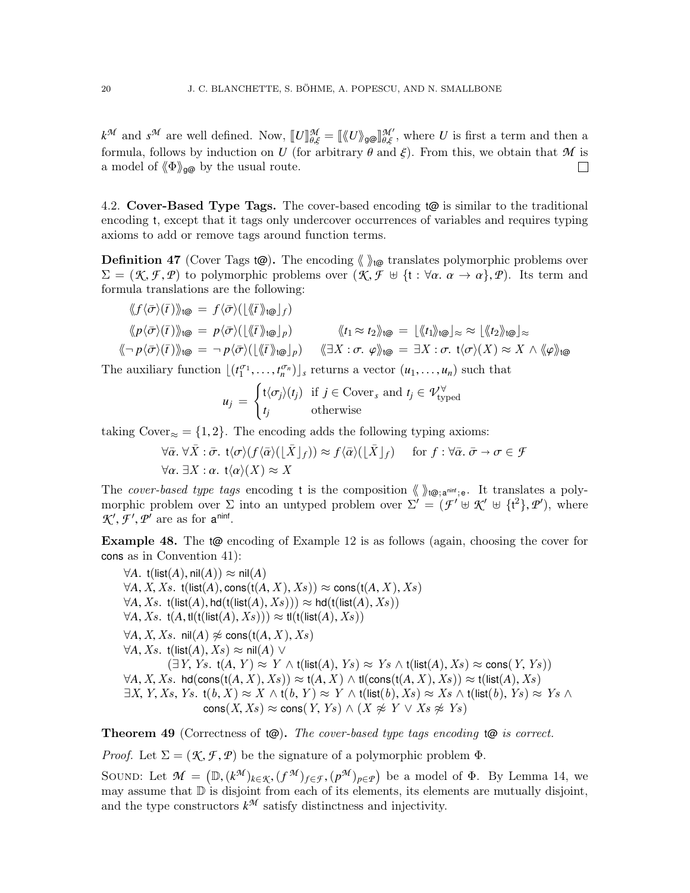$k^{\mathcal{M}}$  and  $s^{\mathcal{M}}$  are well defined. Now,  $\llbracket U \rrbracket_{\theta,\xi}^{\mathcal{M}} = \llbracket \langle \llbracket U \rangle_{\theta \otimes} \llbracket \theta_{\theta,\xi}^{\mathcal{M}} \rangle$ , where *U* is first a term and then a formula follows by induction on *U* (for orbitrary  $\theta$  and  $\xi$ ). formula, follows by induction on *U* (for arbitrary  $\theta$  and  $\xi$ ). From this, we obtain that *M* is a model of  $(\Phi)_{\alpha\omega}$  by the usual route. a model of  $\langle \Phi \rangle_{\mathfrak{g}\mathfrak{G}}$  by the usual route.

<span id="page-19-0"></span>4.2. Cover-Based Type Tags. The cover-based encoding  $\phi$  is similar to the traditional encoding t, except that it tags only undercover occurrences of variables and requires typing axioms to add or remove tags around function terms.

**Definition 47** (Cover Tags  $(\mathcal{Q})$ ). The encoding  $\langle \rangle_{\mathcal{U}}$  translates polymorphic problems over  $\Sigma = (\mathcal{K}, \mathcal{F}, \mathcal{P})$  to polymorphic problems over  $(\mathcal{K}, \mathcal{F} \oplus \{\mathfrak{t} : \forall \alpha \in \alpha \rightarrow \alpha\}, \mathcal{P})$ . Its term and formula translations are the following:

$$
\langle f \langle \bar{\sigma} \rangle(\bar{t}) \rangle_{\text{t}\text{Q}} = f \langle \bar{\sigma} \rangle \big( \lfloor \langle \bar{t} \rangle \rangle_{\text{t}\text{Q}} \rfloor_{f} \big) \n\langle p \langle \bar{\sigma} \rangle(\bar{t}) \rangle_{\text{t}\text{Q}} = p \langle \bar{\sigma} \rangle \big( \lfloor \langle \bar{t} \rangle \rangle_{\text{t}\text{Q}} \rfloor_{p} \big) \n\langle \langle \bar{t} \rangle_{\text{t}\text{Q}} = \lfloor \langle \bar{t} \rangle \rangle_{\text{t}\text{Q}} \big| \approx \frac{\langle \langle \bar{t} \rangle \rangle_{\text{t}\text{Q}}}{\langle \bar{t} \rangle_{\text{t}\text{Q}}} \big| \approx \frac{\langle \langle \bar{t} \rangle \rangle_{\text{t}\text{Q}}}{\langle \bar{t} \rangle_{\text{t}\text{Q}}} = \frac{\langle \langle \bar{t} \rangle \rangle_{\text{t}\text{Q}}}{\langle \bar{t} \rangle_{\text{t}\text{Q}}} \big| \approx \frac{\langle \langle \bar{t} \rangle \rangle_{\text{t}\text{Q}}}{\langle \bar{t} \rangle_{\text{t}\text{Q}}} \big| \approx \frac{\langle \langle \bar{t} \rangle \rangle_{\text{t}\text{Q}}}{\langle \bar{t} \rangle_{\text{t}\text{Q}}} = \frac{\langle \langle \bar{t} \rangle \rangle_{\text{t}\text{Q}}}{{\langle \bar{t} \rangle_{\text{t}\text{Q}}} \big| \approx \frac{\langle \langle \bar{t} \rangle \rangle_{\text{t}\text{Q}}}{{\langle \bar{t} \rangle_{\text{t}\text{Q}}} \big| \approx \frac{\langle \langle \bar{t} \rangle \rangle_{\text{t}\text{Q}}}{{\langle \bar{t} \rangle_{\text{t}\text{Q}}} \big| \approx \frac{\langle \langle \bar{t} \rangle \rangle_{\text{t}\text{Q}}}{{\langle \bar{t} \rangle_{\text{t}\text{Q}}} \big| \approx \frac{\langle \langle \bar{t} \rangle \rangle_{\text{t}\text{Q}}}{{\langle \bar{t} \rangle_{\text{t}\text{Q}}} \big| \approx \frac{\langle \langle \bar{t} \rangle \rangle_{\text{t}\text{Q}}}{{\langle \bar{t} \rangle_{\text{t}\text{Q}}} \big| \approx \frac{\langle \langle \
$$

The auxiliary function  $[(t_1^{\sigma_1}, \ldots, t_n^{\sigma_n})]_s$  returns a vector  $(u_1, \ldots, u_n)$  such that

$$
u_j = \begin{cases} t \langle \sigma_j \rangle (t_j) & \text{if } j \in \text{Cover}_s \text{ and } t_j \in \mathcal{V}^{\forall}_{\text{typed}} \\ t_j & \text{otherwise} \end{cases}
$$

taking Cover<sub>≈</sub> = {1, 2}. The encoding adds the following typing axioms:

$$
\forall \bar{\alpha}. \forall \bar{X}: \bar{\sigma}. \ t\langle \sigma \rangle(f\langle \bar{\alpha} \rangle(\lfloor \bar{X} \rfloor_f)) \approx f\langle \bar{\alpha} \rangle(\lfloor \bar{X} \rfloor_f) \quad \text{for } f: \forall \bar{\alpha}. \ \bar{\sigma} \to \sigma \in \mathcal{F}
$$

$$
\forall \alpha. \ \exists X: \alpha. \ t\langle \alpha \rangle(X) \approx X
$$

The *cover-based type tags* encoding t is the composition  $\langle \rangle_{t\omega; a^{\text{min}}; e}$ . It translates a polymorphic problem over  $\Sigma$  into an untyped problem over  $\Sigma' = (\mathcal{F}' \oplus \mathcal{K}' \oplus \{t^2\}, \mathcal{P}')$ , where  $\mathcal{K}' \oplus \{t^2\}$ ,  $\mathcal{P}'$ , where  $\mathcal{K}', \mathcal{F}', \mathcal{P}'$  are as for  $a^{minf}$ .

Example 48. The t@ encoding of Example [12](#page-5-0) is as follows (again, choosing the cover for cons as in Convention [41\)](#page-15-1):

 $\forall A. t(list(A), nil(A)) \approx nil(A)$  $\forall A, X, Xs$ . t(list(*A*), cons(t(*A*, *X*), *Xs*))  $\approx$  cons(t(*A*, *X*), *Xs*)  $\forall A, Xs$ . t(list(*A*), hd(t(list(*A*), Xs)))  $\approx$  hd(t(list(*A*), Xs))  $\forall A, Xs$ . t $(A, \text{tl}(\text{t}(\text{list}(A), Xs))) \approx \text{tl}(\text{t}(\text{list}(A), Xs))$  $\forall A, X, Xs$ . nil(*A*)  $\not\approx$  cons(t(*A*, *X*), *Xs*)  $\forall A, Xs$ . t(list(*A*), *Xs*) ≈ nil(*A*) ∨  $(\exists Y, Ys. t(A, Y) \approx Y \wedge t(\text{list}(A), Ys) \approx Ys \wedge t(\text{list}(A), Xs) \approx \text{cons}(Y, Ys))$  $\forall A, X, Xs.$  hd(cons(t( $A, X$ ),  $Xs$ ))  $\approx$  t( $A, X$ )  $\land$  tl(cons(t( $A, X$ ),  $Xs$ ))  $\approx$  t(list( $A$ ),  $Xs$ )  $\exists X, Y, Xs, Ys.$  t $(b, X) \approx X \wedge$  t $(b, Y) \approx Y \wedge$  t $(\mathsf{list}(b), Xs) \approx Xs \wedge$  t $(\mathsf{list}(b), Ys) \approx Ys \wedge$  $\text{cons}(X, X_s) \approx \text{cons}(Y, Y_s) \wedge (X \not\approx Y \vee X_s \not\approx Y_s)$ 

<span id="page-19-1"></span>**Theorem 49** (Correctness of  $\phi$ ). The cover-based type tags encoding  $\phi$  is correct.

*Proof.* Let  $\Sigma = (\mathcal{K}, \mathcal{F}, \mathcal{P})$  be the signature of a polymorphic problem  $\Phi$ .

SOUND: Let  $\mathcal{M} = (\mathbb{D}, (k^{\mathcal{M}})_{k \in \mathcal{K}}, (f^{\mathcal{M}})_{f \in \mathcal{F}}, (p^{\mathcal{M}})_{p \in \mathcal{P}})$  be a model of  $\Phi$ . By Lemma [14,](#page-6-1) we may assume that  $\mathbb{D}$  is disjoint from each of its elements its elements are mutually disjoint may assume that  $\mathbb D$  is disjoint from each of its elements, its elements are mutually disjoint, and the type constructors  $k^{\mathcal{M}}$  satisfy distinctness and injectivity.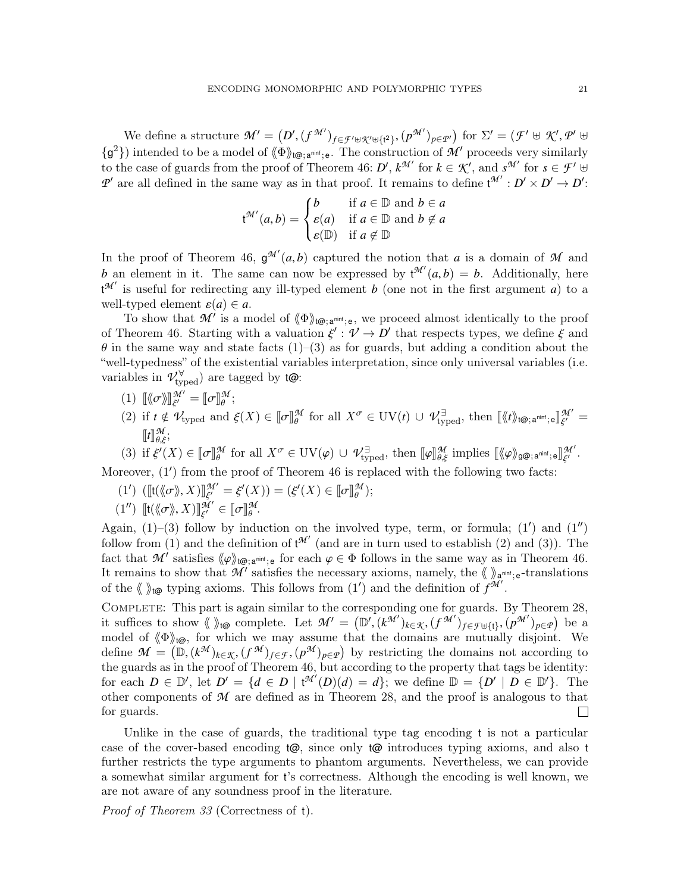We define a structure  $\mathcal{M}' = (D', (f^{\mathcal{M}'})_{f \in \mathcal{F}' \cup \mathcal{K}' \cup \{t^2\}}, (p^{\mathcal{M}'})_{p \in \mathcal{P}'})$  for  $\Sigma' = (\mathcal{F}' \cup \mathcal{K}', \mathcal{P}' \cup \mathcal{F}')$  ${g^2}$ ) intended to be a model of  $\langle \Phi \rangle_{\text{t@; amin'};e}$ . The construction of M' proceeds very similarly to the case of guards from the proof of Theorem [46:](#page-16-0) *D'*,  $k^{\mathcal{M}}$  for  $k \in \mathcal{K}'$ , and  $s^{\mathcal{M}'}$  for  $s \in \mathcal{F}'$   $\uplus$ *P*<sup> $\prime$ </sup> are all defined in the same way as in that proof. It remains to define  $t^{\mathcal{M}'} : D' \times D' \rightarrow D'$ :

$$
\mathsf{t}^{\mathcal{M}'}(a,b) = \begin{cases} b & \text{if } a \in \mathbb{D} \text{ and } b \in a \\ \varepsilon(a) & \text{if } a \in \mathbb{D} \text{ and } b \notin a \\ \varepsilon(\mathbb{D}) & \text{if } a \notin \mathbb{D} \end{cases}
$$

In the proof of Theorem [46,](#page-16-0)  $g^{\mathcal{M}'}(a,b)$  captured the notion that *a* is a domain of *M* and<br>*h* an element in it. The same can now be expressed by  $\mathcal{M}'(a,b) = b$ . Additionally, here *b* an element in it. The same can now be expressed by  $t^{\mathcal{M}'}(a,b) = b$ . Additionally, here  $t^{\mathcal{M}'}$  is useful for redirecting any ill typed element *b* (eps not in the first argument *a*) to a  $t^{\mathcal{M}'}$  is useful for redirecting any ill-typed element *b* (one not in the first argument *a*) to a well-typed element  $\varepsilon(a) \in a$ .

To show that  $\mathcal{M}'$  is a model of  $\langle\!\langle\Phi\rangle\!\rangle_{\text{t@;a<sup>nint</sup>; e}}$ , we proceed almost identically to the proof of Theorem [46.](#page-16-0) Starting with a valuation  $\xi' : \mathcal{V} \to D'$  that respects types, we define  $\xi$  and<br> $\theta$  in the same way and state facts (1)–(3) as for guards, but adding a condition about the  $\theta$  in the same way and state facts (1)–(3) as for guards, but adding a condition about the "well-typedness" of the existential variables interpretation, since only universal variables (i.e. variables in  $\mathcal{V}_{\text{typed}}^{\forall}$  are tagged by  $\phi$ :

- (1)  $\llbracket \langle \sigma \rangle \rrbracket_{\xi'}^{\mathcal{M}'} = \llbracket \sigma \rrbracket_{\theta}^{\mathcal{M}};$
- (2) if  $t \notin \mathcal{V}_{\text{typed}}$  and  $\xi(X) \in [\![\sigma]\!]_{\theta}^{\mathcal{M}}$  $\mathcal{H}$  for all  $X^{\sigma} \in \mathrm{UV}(t) \cup \mathcal{H}_{\mathrm{typed}}^{\exists}$ , then  $[\langle \mathcal{H} \rangle_{t\circledcirc;\mathsf{a}^{\text{minf}};\mathsf{e}}]_{\xi'}^{\mathcal{H}'}$ ξ  $\frac{M'}{I}$  =  $\llbracket t \rrbracket^{\mathcal{M}}_{\theta,\xi};$

(3) if  $\xi'(X) \in [\![\sigma]\!]_0^{\mathcal{M}}$  for all  $X^{\sigma} \in \mathrm{UV}(\varphi) \cup \mathcal{V}_{\mathrm{typed}}^{\exists}$ , then  $[\![\varphi]\!]_{\theta,\xi}^{\mathcal{M}}$  implies  $[\![\langle \varphi \rangle_{\mathcal{G}^{\mathcal{Q}};\mathbf{a}^{\text{minf}};\mathbf{e}}]\!]_{\xi'}^{\mathcal{M}'}$ Moreover,  $(1')$  from the proof of Theorem [46](#page-16-0) is replaced with the following two facts: ξ  $\frac{M^{\prime}}{\prime}$  .

- (1')  $[[t(\langle \sigma \rangle, X)]]_{\xi'}^{\mathcal{M}'}$  $\mathcal{L}^{M'}_{\xi'} = \xi'(X)) = (\xi'(X) \in \llbracket \sigma \rrbracket^{\mathcal{M}}_{\theta'}$ );
- $(1'') \left[ \llbracket \mathbf{t}(\langle \langle \sigma \rangle, X) \rrbracket_{\xi'}^{\mathcal{M}'} \in \llbracket \sigma \rrbracket_{\theta}^{\mathcal{M}}.$

Again,  $(1)$ – $(3)$  follow by induction on the involved type, term, or formula;  $(1')$  and  $(1'')$ follow from (1) and the definition of  $t^{\mathcal{M}'}$  (and are in turn used to establish (2) and (3)). The fact that *M'* satisfies  $\langle \varphi \rangle_{\mathsf{top}, \mathsf{a}^{\text{min}};\mathsf{e}}$  for each  $\varphi \in \Phi$  follows in the same way as in Theorem [46.](#page-16-0) It remains to show that  $\mathcal{M}'$  satisfies the necessary axioms, namely, the  $\langle \rangle_{\mathsf{a}^{\text{min}};\mathsf{e}}$ -translations of the  $\langle \rangle$  to typing axioms. This follows from  $(1')$  and the definition of  $f^{\mathcal{M}}$ .

Complete: This part is again similar to the corresponding one for guards. By Theorem [28,](#page-11-0) it suffices to show  $\langle \rangle_{\text{to}}$  complete. Let  $\mathcal{M}' = (\mathbb{D}', (k^{\mathcal{M}'})_{k \in \mathcal{K}}, (f^{\mathcal{M}'})_{f \in \mathcal{F} \cup \{t\}}, (p^{\mathcal{M}'})_{p \in \mathcal{P}})$  be a model of  $\langle \mathcal{M} \rangle_{\text{to}}$  for which we may assume that the domains are mutually dis model of  $\langle \Phi \rangle_{\text{top}}$ , for which we may assume that the domains are mutually disjoint. We define  $\mathcal{M} = (\mathbb{D}, (k^{\mathcal{M}})_{k \in \mathcal{K}}, (f^{\mathcal{M}})_{f \in \mathcal{F}}, (p^{\mathcal{M}})_{p \in \mathcal{P}})$  by restricting the domains not according to the grands as in the proof of Theorem 46, but according to the property that tags be identity the guards as in the proof of Theorem [46,](#page-16-0) but according to the property that tags be identity: for each  $D \in \mathbb{D}'$ , let  $D' = \{d \in D \mid t^{\mathcal{M}'}(D)(d) = d\}$ ; we define  $\mathbb{D} = \{D' \mid D \in \mathbb{D}'\}$ . The other components of *M* are defined as in Theorem [28,](#page-11-0) and the proof is analogous to that for guards.  $\Box$ 

Unlike in the case of guards, the traditional type tag encoding t is not a particular case of the cover-based encoding  $t\omega$ , since only  $t\omega$  introduces typing axioms, and also t further restricts the type arguments to phantom arguments. Nevertheless, we can provide a somewhat similar argument for t's correctness. Although the encoding is well known, we are not aware of any soundness proof in the literature.

Proof of Theorem [33](#page-13-2) (Correctness of t).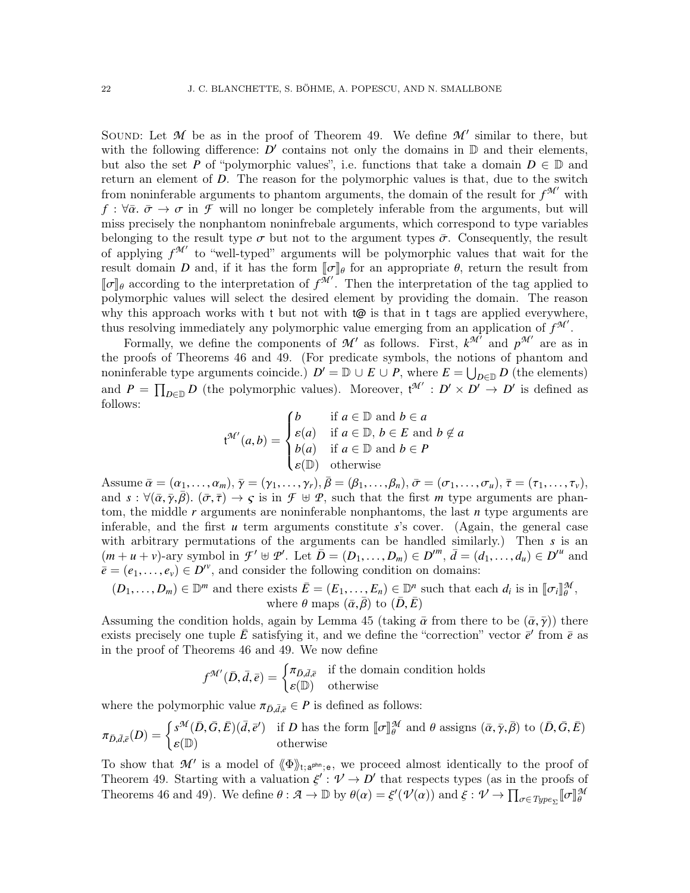SOUND: Let  $M$  be as in the proof of Theorem [49.](#page-19-1) We define  $M'$  similar to there, but with the following difference:  $D'$  contains not only the domains in  $D$  and their elements, but also the set *P* of "polymorphic values", i.e. functions that take a domain  $D \in \mathbb{D}$  and return an element of *D*. The reason for the polymorphic values is that, due to the switch from noninferable arguments to phantom arguments, the domain of the result for  $f^{\mathcal{M}'}$  with  $f: \forall \bar{\alpha}, \bar{\sigma} \to \sigma$  in *F* will no longer be completely inferable from the arguments, but will miss precisely the nonphantom noninfrebale arguments, which correspond to type variables belonging to the result type  $\sigma$  but not to the argument types  $\bar{\sigma}$ . Consequently, the result of applying  $f^{\mathcal{M}'}$  to "well-typed" arguments will be polymorphic values that wait for the result domain *D* and, if it has the form  $[\![\sigma]\!]_\theta$  for an appropriate  $\theta$ , return the result from  $[\![\tau]\!]$ , according to the interpretation of  $f^{\mathcal{H}'}$ . Then the interpretation of the tag applied to  $[\![\sigma]\!]_\theta$  according to the interpretation of  $f^{\tilde{M}'}$ . Then the interpretation of the tag applied to polymorphic values will select the desired element by providing the domain. The reason polymorphic values will select the desired element by providing the domain. The reason why this approach works with t but not with  $\omega$  is that in t tags are applied everywhere, thus resolving immediately any polymorphic value emerging from an application of  $f^{\mathcal{M}}$ .

Formally, we define the components of  $\mathcal{M}'$  as follows. First,  $k^{\mathcal{M}'}$  and  $p^{\mathcal{M}'}$  are as in the proofs of Theorems [46](#page-16-0) and [49.](#page-19-1) (For predicate symbols, the notions of phantom and noninferable type arguments coincide.)  $D' = D \cup E \cup P$ , where  $E = \bigcup_{D \in D} D$  (the elements) and  $P = \prod_{D \in \mathbb{D}} D$  (the polymorphic values). Moreover,  $\mathfrak{t}^{\mathcal{M}'} : D' \times D' \to D'$  is defined as follows:

$$
\mathsf{t}^{\mathcal{M}'}(a,b) = \begin{cases} b & \text{if } a \in \mathbb{D} \text{ and } b \in a \\ \varepsilon(a) & \text{if } a \in \mathbb{D}, \, b \in E \text{ and } b \notin a \\ b(a) & \text{if } a \in \mathbb{D} \text{ and } b \in P \\ \varepsilon(\mathbb{D}) & \text{otherwise} \end{cases}
$$

Assume  $\bar{\alpha} = (\alpha_1, \ldots, \alpha_m), \bar{\gamma} = (\gamma_1, \ldots, \gamma_r), \bar{\beta} = (\beta_1, \ldots, \beta_n), \bar{\sigma} = (\sigma_1, \ldots, \sigma_u), \bar{\tau} = (\tau_1, \ldots, \tau_v),$ <br>and  $s : \forall (\bar{\alpha}, \bar{\gamma}, \bar{\beta}) \; (\bar{\sigma}, \bar{\tau}) \rightarrow c$  is in  $\mathcal{F} \vdash \mathcal{P}$  such that the first *m* type arguments are phanand  $s : \forall (\bar{\alpha}, \bar{\gamma}, \bar{\beta})$ .  $(\bar{\sigma}, \bar{\tau}) \to \varsigma$  is in  $\mathcal{F} \oplus \mathcal{P}$ , such that the first *m* type arguments are phantom, the middle *r* arguments are noninferable nonphantoms, the last *n* type arguments are inferable, and the first *u* term arguments constitute *s*'s cover. (Again, the general case with arbitrary permutations of the arguments can be handled similarly.) Then *s* is an  $(m + u + v)$ -ary symbol in  $\mathcal{F}' \oplus \mathcal{P}'$ . Let  $\overline{D} = (D_1, \ldots, D_m) \in D''^m$ ,  $\overline{d} = (d_1, \ldots, d_u) \in D''^u$  and  $\overline{e} = (e_1, \ldots, e_n) \in D''^v$  and consider the following condition on domains:  $\vec{e} = (e_1, \ldots, e_v) \in D^{\prime v}$ , and consider the following condition on domains:

$$
(D_1, ..., D_m) \in \mathbb{D}^m
$$
 and there exists  $\bar{E} = (E_1, ..., E_n) \in \mathbb{D}^n$  such that each  $d_i$  is in  $[\![\sigma_i]\!]_{\theta}^{\mathcal{M}}$ ,  
where  $\theta$  maps  $(\bar{\alpha}, \bar{\beta})$  to  $(\bar{D}, \bar{E})$ 

Assuming the condition holds, again by Lemma [45](#page-16-1) (taking  $\bar{\alpha}$  from there to be  $(\bar{\alpha}, \bar{\gamma})$ ) there exists precisely one tuple  $\bar{F}$  satisfying it, and we define the "correction" vector  $\bar{\epsilon}'$  from  $\bar{\epsilon}$  as exists precisely one tuple  $\bar{E}$  satisfying it, and we define the "correction" vector  $\bar{e}'$  from  $\bar{e}$  as in the proof of Theorems [46](#page-16-0) and [49.](#page-19-1) We now define

$$
f^{\mathcal{M}'}(\bar{D}, \bar{d}, \bar{e}) = \begin{cases} \pi_{\bar{D}, \bar{d}, \bar{e}} & \text{if the domain condition holds} \\ \varepsilon(\mathbb{D}) & \text{otherwise} \end{cases}
$$

where the polymorphic value  $\pi_{\bar{D},\bar{d},\bar{e}} \in P$  is defined as follows:

$$
\pi_{\bar{D},\bar{d},\bar{e}}(D) = \begin{cases} s^{\mathcal{M}}(\bar{D},\bar{G},\bar{E})(\bar{d},\bar{e}') & \text{if } D \text{ has the form } [\![\sigma]\!]_{\theta}^{\mathcal{M}} \text{ and } \theta \text{ assigns } (\bar{\alpha},\bar{\gamma},\bar{\beta}) \text{ to } (\bar{D},\bar{G},\bar{E}) \\ \varepsilon(\mathbb{D}) & \text{otherwise} \end{cases}
$$

To show that  $\mathcal{M}'$  is a model of  $\langle \Phi \rangle_{t; a^{\text{pln}}; e}$ , we proceed almost identically to the proof of Theorem [49.](#page-19-1) Starting with a valuation  $\xi' : \mathcal{V} \to D'$  that respects types (as in the proofs of<br>Theorems 46 and 40) We define  $\theta : \mathcal{A} \to \mathbb{R}$  by  $\theta(x) = \xi'(d\ell(x))$  and  $\xi : \mathcal{A} \to \mathbb{R}$ Theorems [46](#page-16-0) and [49\)](#page-19-1). We define  $\theta : \mathcal{A} \to \mathbb{D}$  by  $\theta(\alpha) = \xi'(\mathcal{V}(\alpha))$  and  $\xi : \mathcal{V} \to \prod_{\sigma \in Type_{\Sigma}} [\![\sigma]\!]$ *M*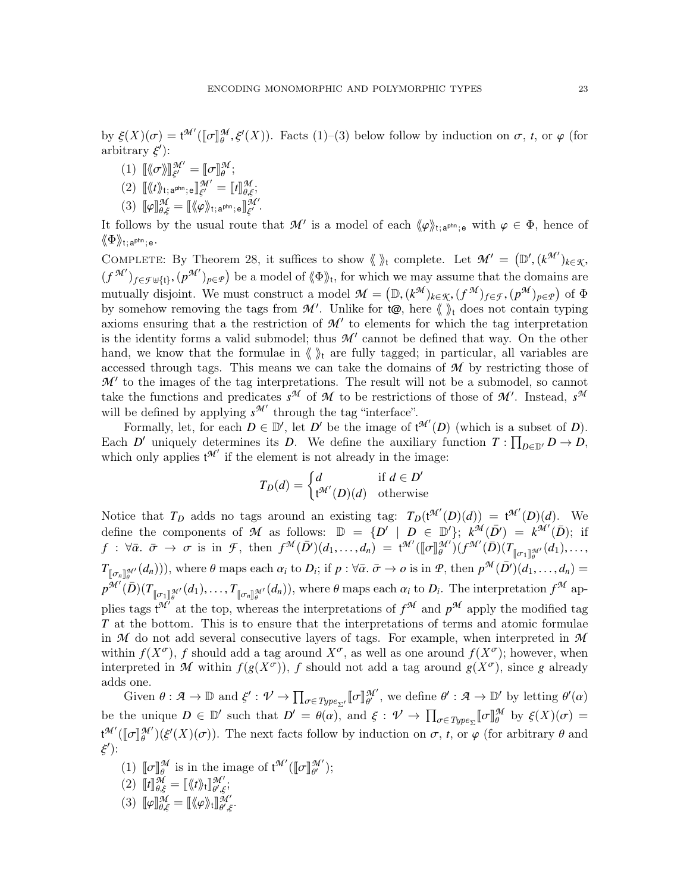by  $\xi(X)(\sigma) = t^{\mathcal{M}'}([\![\sigma]\!]_{\theta}^{\mathcal{M}}, \xi'(X)).$  Facts (1)–(3) below follow by induction on  $\sigma$ , *t*, or  $\varphi$  (for arbitrary  $\xi'$ ). arbitrary  $\xi$ <sup>'</sup>):

(1)  $\llbracket \langle \sigma \rangle \rrbracket_{\xi'}^{\mathcal{M}'} = \llbracket \sigma \rrbracket_{\theta}^{\mathcal{M}};$ 

$$
(2) \quad \lbrack \langle t \rangle \rangle_{t; \mathbf{a}^{\text{phn}}; \mathbf{e}} \rbrack \rbrack_{\xi'}^{\mathcal{M}'} = \lbrack \lbrack t \rbrack^{\mathcal{M}}_{\theta, \xi};
$$

 $(3)$   $[\![\varphi]\!]_{\theta,\xi}^{\mathcal{M}} = [\![\langle\!\langle\varphi\rangle\!\rangle_{\mathfrak{t};\,\mathsf{a}^{\mathsf{phn}};\,\mathsf{e}}]\!]_{\xi'}^{\mathcal{M}'}$ .

It follows by the usual route that  $\mathcal{M}'$  is a model of each  $\langle \varphi \rangle_{t; a^{plm}; e}$  with  $\varphi \in \Phi$ , hence of  $\langle \varphi \rangle_{t; a^{plm}}$ .  $\langle \! \langle \Phi \rangle \! \rangle_{\mathfrak{t};\,\mathsf{a}^{\mathsf{phn}};\,\mathsf{e}}.$ 

COMPLETE: By Theorem [28,](#page-11-0) it suffices to show  $\langle \rangle_t$  complete. Let  $\mathcal{M}' = (\mathbb{D}', (k^{\mathcal{M}'})_{k \in \mathcal{K}},$ <br>(*k*<sup>M'</sup>)  $\longrightarrow$  keep model of  $\langle \mathbb{A}^{\mathcal{N}} \rangle$  for which we may equive that the demains are  $(f^{\mathcal{M}'})_{f \in \mathcal{F} \uplus \{t\}}, (p^{\mathcal{M}'})_{p \in \mathcal{P}})$  be a model of  $\langle \Phi \rangle_t$ , for which we may assume that the domains are mutually disjoint. We must construct a model  $\mathcal{M} = (\mathbb{D}, (k^{\mathcal{M}})_{k \in \mathcal{K}}, (f^{\mathcal{M}})_{f \in \mathcal{F}}, (p^{\mathcal{M}})_{p \in \mathcal{P}})$  of  $\Phi$ <br>by somehow removing the tags from  $\mathcal{M}'$ . Unlike for  $t \otimes$  here  $\mathcal{M}$  does not contai by somehow removing the tags from  $\mathcal{M}'$ . Unlike for  $\phi$ , here  $\langle \psi \rangle$  does not contain typing axioms ensuring that a the restriction of  $\mathcal{M}'$  to elements for which the tag interpretation is the identity forms a valid submodel; thus  $\mathcal{M}'$  cannot be defined that way. On the other hand, we know that the formulae in  $\langle \rangle$  are fully tagged; in particular, all variables are accessed through tags. This means we can take the domains of *M* by restricting those of  $M'$  to the images of the tag interpretations. The result will not be a submodel, so cannot take the functions and predicates  $s^{\mathcal{M}}$  of  $\mathcal{M}$  to be restrictions of those of  $\mathcal{M}'$ . Instead,  $s^{\mathcal{M}}$ will be defined by applying  $s^{\mathcal{M}'}$  through the tag "interface".

Formally, let, for each  $D \in \mathbb{D}'$ , let  $D'$  be the image of  $t^{\mathcal{M}'}(D)$  (which is a subset of *D*). Each *D*<sup> $\prime$ </sup> uniquely determines its *D*. We define the auxiliary function  $T: \prod_{D \in \mathbb{D}'} D \to D$ , which only applies  $t^{\mathcal{M}'}$  if the element is not already in the image:

$$
T_D(d) = \begin{cases} d & \text{if } d \in D' \\ t^{\mathcal{M}'}(D)(d) & \text{otherwise} \end{cases}
$$

Notice that  $T_D$  adds no tags around an existing tag:  $T_D(t^{\mathcal{M}'}(D)(d)) = t^{\mathcal{M}'}(D)(d)$ . We define the components of *M* as follows:  $\mathbb{D} = \{D' \mid D \in \mathbb{D}'\}; k^{\mathcal{M}}(\bar{D}') = k^{\mathcal{M}'}(\bar{D})$ ; if  $f: \forall \bar{\alpha}. \ \bar{\sigma} \rightarrow \sigma \text{ is in } \mathcal{F}, \text{ then } f^{\mathcal{M}}(\bar{D}')(d_1, \ldots, d_n) = \mathfrak{t}^{\mathcal{M}'}([\![\sigma]\!]_{\theta}^{\mathcal{M}'}) (f^{\mathcal{M}'}(\bar{D})(T))$  $T_{\llbracket \sigma_n \rrbracket_{\theta}^{\mathcal{M}}}(d_n))$ , where  $\theta$  maps each  $\alpha_i$  to  $D_i$ ; if  $p : \forall \bar{\alpha}$ ,  $\bar{\sigma} \to o$  is in  $\mathcal{P}$ , then  $p^{\mathcal{M}}(\bar{D}')(d_1, \ldots, d_n) =$  $\begin{array}{c} \mathbb{I}_{\sigma_1 \mathbb{J}_{\theta}^{\mathcal{M}'} } (d_1), \ldots, \ \mathbb{I}_{\theta} \end{array}$  $p^{\mathcal{M}'}(\bar{D})(T)$  $\begin{bmatrix} \mathbb{F}_{\mathbb{Z}} \mathbb{F}_{\mathbb{Z}}^{M'}(d_1), \ldots, T_{\mathbb{F}_{\mathbb{Z}}^{M'}}(d_n) \end{bmatrix}$ , where  $\theta$  maps each  $\alpha_i$  to  $D_i$ . The interpretation  $f^{\mathcal{M}}$  applies tags  $t^{\mathcal{M}'}$  at the top, whereas the interpretations of  $f^{\mathcal{M}}$  and  $p^{\mathcal{M}}$  apply the modified tag *T* at the bottom. This is to ensure that the interpretations of terms and atomic formulae in *M* do not add several consecutive layers of tags. For example, when interpreted in *M* within  $f(X^{\sigma})$ , *f* should add a tag around  $X^{\sigma}$ , as well as one around  $f(X^{\sigma})$ ; however, when interpreted in *M* within  $f(g(X^{\sigma}))$ , *f* should not add a tag around  $g(X^{\sigma})$ , since *g* already adds one.

Given  $\theta : \mathcal{A} \to \mathbb{D}$  and  $\xi' : \mathcal{V} \to \prod_{\sigma \in Type_{\Sigma'}} [\![\sigma]\!]$  $\mathcal{M}'$ , we define  $\theta' : \mathcal{A} \to \mathbb{D}'$  by letting  $\theta'(\alpha)$ be the unique  $D \in \mathbb{D}'$  such that  $D' = \theta(\alpha)$ , and  $\xi : \mathcal{V} \to \prod_{\sigma \in Type_{\Sigma}} [\sigma]$  $\frac{\mathcal{M}}{\theta}$  by  $\xi(X)(\sigma) =$  $\mathfrak{t}^{\mathcal{M}'}(\llbracket \sigma \rrbracket_{\theta}^{\mathcal{M}'})(\xi'(X)(\sigma)).$  The next facts follow by induction on  $\sigma$ ,  $t$ , or  $\varphi$  (for  $\mathcal{H}'_0(\mathcal{E}'(X)(\sigma))$ . The next facts follow by induction on  $\sigma$ , *t*, or  $\varphi$  (for arbitrary  $\theta$  and ξ  $')$ :

- (1)  $\llbracket \sigma \rrbracket_{\theta}^{\mathcal{M}}$  is in the image of  $\mathfrak{t}^{\mathcal{M}'}(\llbracket \sigma \rrbracket_{\theta'}^{\mathcal{M}'}$  $\binom{n}{'}$ ;
- $\begin{bmatrix} (2) \end{bmatrix} \begin{bmatrix} t \end{bmatrix} \begin{bmatrix} M \\ \theta, \xi \end{bmatrix} = \begin{bmatrix} \langle \langle t \rangle \rangle_t \end{bmatrix} \begin{bmatrix} M' \\ \theta', \xi \end{bmatrix}$ 94΄;<br>θ',ξ;<br>π 94΄
- (3)  $\llbracket \varphi \rrbracket_{\theta,\xi}^{\mathcal{M}} = \llbracket \langle \varphi \rangle \rangle_t \rrbracket_{\theta',\xi}^{\mathcal{M}'}$ .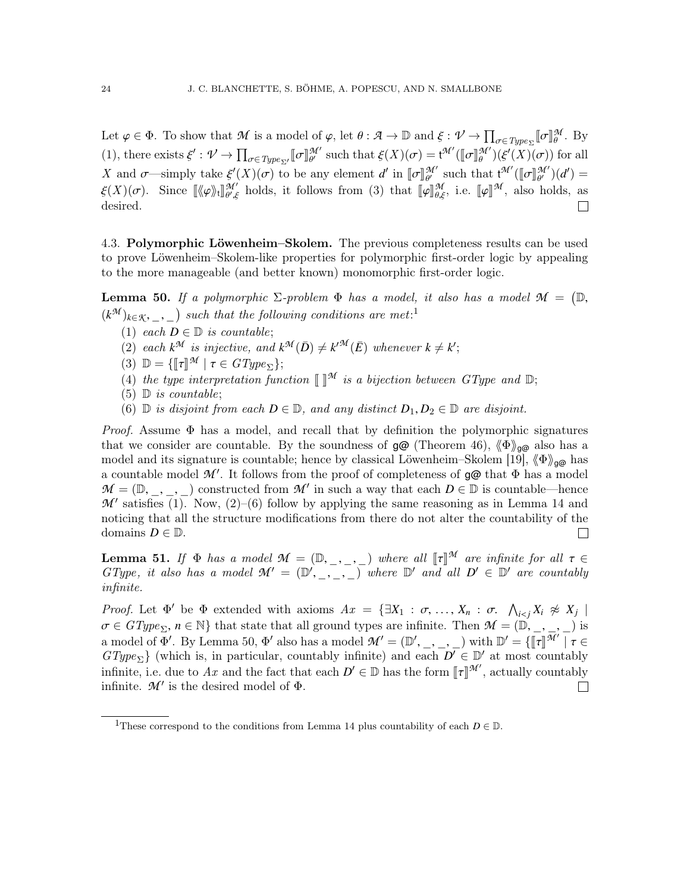Let  $\varphi \in \Phi$ . To show that *M* is a model of  $\varphi$ , let  $\theta : \mathcal{A} \to \mathbb{D}$  and  $\xi : \mathcal{V} \to \prod_{\sigma \in Type_{\Sigma}} [\sigma]_{\theta}^{\mathcal{M}}$ . By Let  $\varphi \in \varPhi$ . To show that  $\mathcal{M}$  is a model of  $\varphi$ , let  $\vartheta : \mathcal{A} \to \mathbb{D}$  and  $\zeta : \mathcal{V} \to \prod_{\sigma \in Type \Sigma} \mathbb{D} \parallel_{\theta}$ <br>
(1), there exists  $\xi' : \mathcal{V} \to \prod_{\sigma \in Type \Sigma'} \llbracket \sigma \rrbracket_{\theta'}^{\mathcal{M}'}$  such that  $\xi(X)(\sigma) = t^{\mathcal{M}'}$  $\mathcal{H}'$  such that  $\xi(X)(\sigma) = t^{\mathcal{H}'}([\![\sigma]\!]_{\theta}^{\mathcal{M}'}) (\xi'(X)\sigma)$  for all *X* and *σ*—simply take  $\xi'(X)(\sigma)$  to be any element *d'* in  $[\![\sigma]\!]_{\theta'}^{\mathcal{M}'}$  such that  $\mathfrak{t}^{\mathcal{M}'}([\![\sigma]\!]_{\theta'}^{\mathcal{M}'})(d') = \xi(X)(\sigma)$ . Since  $[\![\mathbb{M}]\!]_{\theta'}^{\mathcal{M}'}$  holds it follows from (2) that  $[\![\mathfrak{u}]\!]_{\theta}^{\$  $\xi(X)(\sigma)$ . Since  $[\langle \varphi \rangle_{t}]_{\theta',\xi}^{\mathcal{M}'}$  holds, it follows from (3) that  $[\![\varphi]\!]_{\theta,\xi}^{\mathcal{M}}$ , i.e.  $[\![\varphi]\!]^{\mathcal{M}}$ , also leads  $\mathcal{H}'$  holds, it follows from (3) that  $[\![\varphi]\!]_{\theta,\xi}^{\mathcal{M}}$ , i.e.  $[\![\varphi]\!]^{\mathcal{M}}$ , also holds, as desired.  $\Box$ 

4.3. Polymorphic Löwenheim–Skolem. The previous completeness results can be used to prove Löwenheim–Skolem-like properties for polymorphic first-order logic by appealing to the more manageable (and better known) monomorphic first-order logic.

<span id="page-23-1"></span>**Lemma 50.** If a polymorphic  $\Sigma$ -problem  $\Phi$  has a model, it also has a model  $\mathcal{M} = (\mathbb{D},$  $(k^{\mathcal{M}})_{k \in \mathcal{K}, \underline{\hspace{1cm}}, \underline{\hspace{1cm}}}$  $(k^{\mathcal{M}})_{k \in \mathcal{K}, \underline{\hspace{1cm}}, \underline{\hspace{1cm}}}$  $(k^{\mathcal{M}})_{k \in \mathcal{K}, \underline{\hspace{1cm}}, \underline{\hspace{1cm}}}$  such that the following conditions are met:<sup>1</sup>

(1) each  $D \in \mathbb{D}$  is countable;

(2) each  $k^{\mathcal{M}}$  is injective, and  $k^{\mathcal{M}}(\bar{D}) \neq k^{\prime\mathcal{M}}(\bar{E})$  whenever  $k \neq k'$ ;

(3)  $\mathbb{D} = \{\llbracket \tau \rrbracket^{\mathcal{M}} \mid \tau \in GType_{\Sigma}\};$ <br>(4) the two interpretation fun

- (4) the type interpretation function  $\llbracket \rrbracket^{\mathcal{M}}$  is a bijection between GType and  $\mathbb{D}$ ;
- $(5)$  D is countable;
- (6)  $\mathbb D$  is disjoint from each  $D \in \mathbb D$ , and any distinct  $D_1, D_2 \in \mathbb D$  are disjoint.

*Proof.* Assume  $\Phi$  has a model, and recall that by definition the polymorphic signatures that we consider are countable. By the soundness of  $g\omega$  (Theorem [46\)](#page-16-0),  $\langle \Phi \rangle_{\alpha\omega}$  also has a model and its signature is countable; hence by classical Löwenheim–Skolem [\[19\]](#page-50-10),  $\langle \Phi \rangle_{\alpha\alpha}$  has a countable model  $\mathcal{M}'$ . It follows from the proof of completeness of  $\mathfrak{g}\mathfrak{G}$  that  $\Phi$  has a model  $M = (\mathbb{D}, \_, \_)$  constructed from  $M'$  in such a way that each  $D \in \mathbb{D}$  is countable—hence<br>*M'* satisfies (1) Now (2)–(6) follow by applying the same reasoning as in Lemma 14 and  $M'$  satisfies  $\overline{(1)}$ . Now,  $\overline{(2)}$ – $\overline{(6)}$  follow by applying the same reasoning as in Lemma [14](#page-6-1) and noticing that all the structure modifications from there do not alter the countability of the domains  $D \in \mathbb{D}$ .  $\Box$ 

<span id="page-23-2"></span>**Lemma 51.** If  $\Phi$  has a model  $\mathcal{M} = (\mathbb{D}, \_ \_ \_ \_ \_ )$  where all  $[\![\tau]\!]^{\mathcal{M}}$  are infinite for all  $\tau \in GType$ , it also has a model  $\mathcal{M}' = (\mathbb{D}', \_ \_ \_ \_ )$  where  $\mathbb{D}'$  and all  $D' \in \mathbb{D}'$  are countably infinite infinite.

Proof. Let  $\Phi'$  be  $\Phi$  extended with axioms  $Ax = {\exists X_1 : \sigma, ..., X_n : \sigma, \bigwedge_{i < j} X_i \not\approx X_j \mid}$ <br> $\sigma \in C^{T_{\text{temp}}}, n \in \mathbb{N}$  that state that all ground types are infinite. Then  $\mathcal{M} = (\mathbb{N} \setminus \mathbb{N})$  $\sigma \in GType_{\Sigma}$ ,  $n \in \mathbb{N}$  that state that all ground types are infinite. Then  $\mathcal{M} = (\mathbb{D}, \_ , \_ , \_ )$  is<br>a model of  $\Phi'$ . By Lemma [50,](#page-23-1)  $\Phi'$  also has a model  $\mathcal{M}' = (\mathbb{D}', \_ , \_ , \_ )$  with  $\mathbb{D}' = \{\llbracket \tau \rrbracket^{\mathcal{M}'} \mid \tau$  $GType_{\Sigma}$  (which is, in particular, countably infinite) and each  $D^{\top} \in \mathbb{D}'$  at most countably infinite, i.e. due to Ax and the fact that each  $D' \in \mathbb{D}$  has the form  $[\![\tau]\!]^{\mathcal{M}'}$ , actually countably infinite  $\mathcal{M}'$  is the desired model of  $\Phi$ infinite.  $\mathcal{M}'$  is the desired model of  $\Phi$ .  $\Box$ 

<span id="page-23-0"></span><sup>&</sup>lt;sup>1</sup>These correspond to the conditions from Lemma [14](#page-6-1) plus countability of each  $D \in \mathbb{D}$ .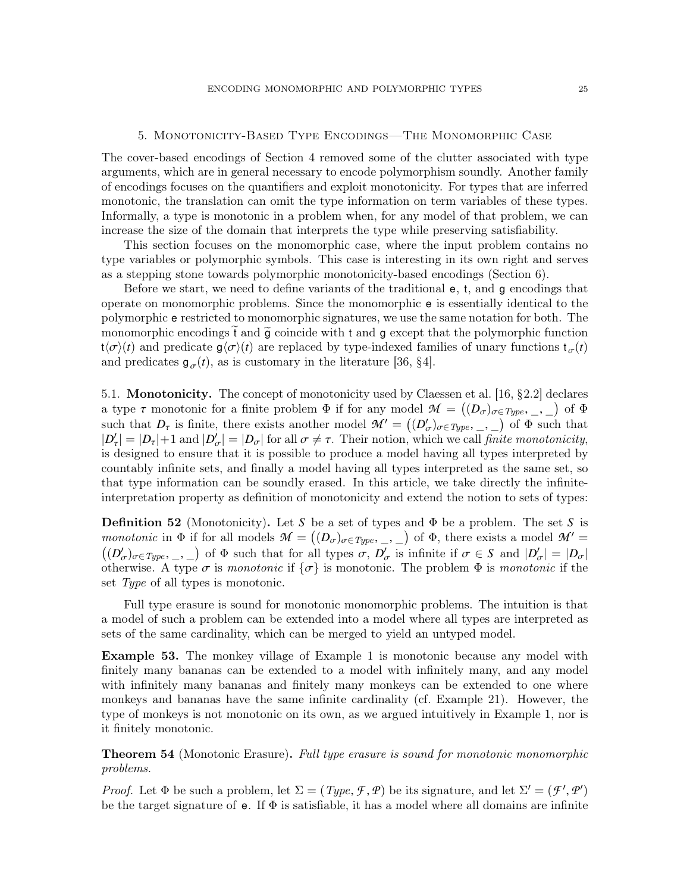#### ENCODING MONOMORPHIC AND POLYMORPHIC TYPES 25

## 5. Monotonicity-Based Type Encodings—The Monomorphic Case

<span id="page-24-0"></span>The cover-based encodings of Section [4](#page-14-0) removed some of the clutter associated with type arguments, which are in general necessary to encode polymorphism soundly. Another family of encodings focuses on the quantifiers and exploit monotonicity. For types that are inferred monotonic, the translation can omit the type information on term variables of these types. Informally, a type is monotonic in a problem when, for any model of that problem, we can increase the size of the domain that interprets the type while preserving satisfiability.

This section focuses on the monomorphic case, where the input problem contains no type variables or polymorphic symbols. This case is interesting in its own right and serves as a stepping stone towards polymorphic monotonicity-based encodings (Section [6\)](#page-32-0).

Before we start, we need to define variants of the traditional e, t, and g encodings that operate on monomorphic problems. Since the monomorphic e is essentially identical to the polymorphic e restricted to monomorphic signatures, we use the same notation for both. The monomorphic encodings t and  $\tilde{g}$  coincide with t and g except that the polymorphic function  $t\langle\sigma\rangle(t)$  and predicate  $g\langle\sigma\rangle(t)$  are replaced by type-indexed families of unary functions  $t_{\sigma}(t)$ and predicates  $g_{\sigma}(t)$ , as is customary in the literature [\[36,](#page-50-8) §4].

<span id="page-24-2"></span>5.1. Monotonicity. The concept of monotonicity used by Claessen et al. [\[16,](#page-50-2) §2.2] declares a type  $\tau$  monotonic for a finite problem  $\Phi$  if for any model  $\mathcal{M} = ((D_{\sigma})_{\sigma \in Type, \_, \_})$  of  $\Phi$ <br>such that  $D$  is finite there exists another model  $\mathcal{M}' = ((D')_{\sigma \in \mathcal{M}})_{\sigma \in \Phi}$  and that such that  $D_{\tau}$  is finite, there exists another model  $\mathcal{M}' = ((D'_{\sigma})_{\sigma \in Type}, \_ , \_ )$  of  $\Phi$  such that  $|D'| = |D| + 1$  and  $|D'| = |D|$  for all  $\sigma \neq \tau$ . Their notion, which we call finite monotonicity  $|D'_\tau| = |D_\tau| + 1$  and  $|D'_\sigma| = |D_\sigma|$  for all  $\sigma \neq \tau$ . Their notion, which we call *finite monotonicity*, is designed to ensure that it is possible to produce a model having all types interpreted by is designed to ensure that it is possible to produce a model having all types interpreted by countably infinite sets, and finally a model having all types interpreted as the same set, so that type information can be soundly erased. In this article, we take directly the infiniteinterpretation property as definition of monotonicity and extend the notion to sets of types:

<span id="page-24-3"></span>**Definition 52** (Monotonicity). Let *S* be a set of types and  $\Phi$  be a problem. The set *S* is monotonic in  $\Phi$  if for all models  $\mathcal{M} = ((D_{\sigma})_{\sigma \in Type}, \_ , \_ )$  of  $\Phi$ , there exists a model  $\mathcal{M}' =$ <br> $((D')$  $((D'_{\sigma})_{\sigma \in Type}, \_, \_ )$  of  $\Phi$  such that for all types  $\sigma, D'_{\sigma}$  is infinite if  $\sigma \in S$  and  $|D'_{\sigma}| = |D_{\sigma}|$ <br>otherwise A type  $\sigma$  is manatonic if  $\{\sigma\}$  is monotonic. The problem  $\Phi$  is manatonic if the otherwise. A type  $\sigma$  is monotonic if  $\{\sigma\}$  is monotonic. The problem  $\Phi$  is monotonic if the set Type of all types is monotonic.

Full type erasure is sound for monotonic monomorphic problems. The intuition is that a model of such a problem can be extended into a model where all types are interpreted as sets of the same cardinality, which can be merged to yield an untyped model.

Example 53. The monkey village of Example [1](#page-1-0) is monotonic because any model with finitely many bananas can be extended to a model with infinitely many, and any model with infinitely many bananas and finitely many monkeys can be extended to one where monkeys and bananas have the same infinite cardinality (cf. Example [21\)](#page-9-1). However, the type of monkeys is not monotonic on its own, as we argued intuitively in Example [1,](#page-1-0) nor is it finitely monotonic.

<span id="page-24-1"></span>**Theorem 54** (Monotonic Erasure). Full type erasure is sound for monotonic monomorphic problems.

*Proof.* Let  $\Phi$  be such a problem, let  $\Sigma = (Type, \mathcal{F}, \mathcal{P})$  be its signature, and let  $\Sigma' = (\mathcal{F}', \mathcal{P}')$ <br>be the target signature of  $\Phi$ . If  $\Phi$  is satisfiable, it has a model where all domains are infinite be the target signature of  $e$ . If  $\Phi$  is satisfiable, it has a model where all domains are infinite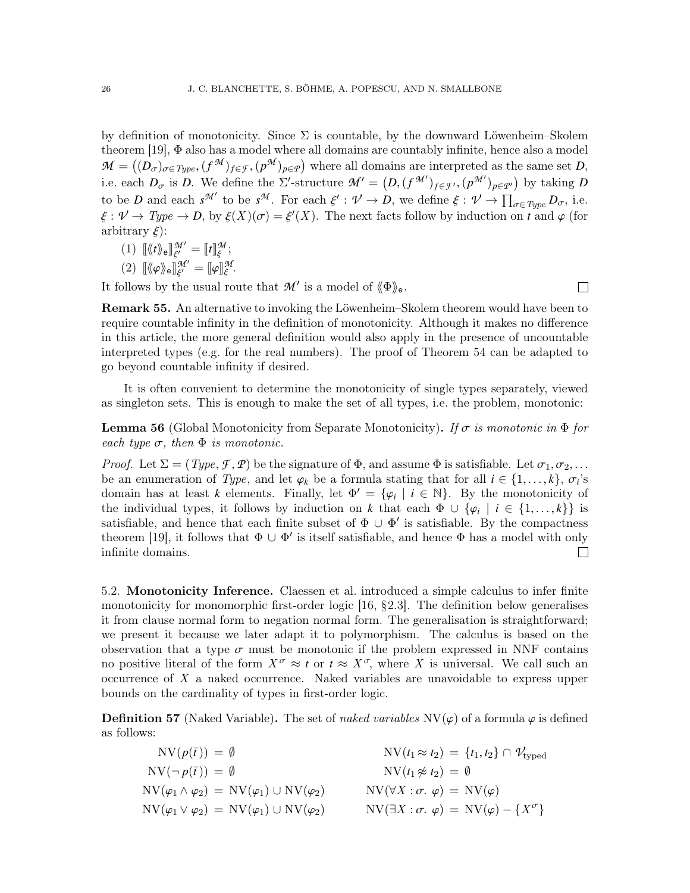by definition of monotonicity. Since  $\Sigma$  is countable, by the downward Löwenheim–Skolem theorem [\[19\]](#page-50-10), Φ also has a model where all domains are countably infinite, hence also a model  $\mathcal{M} = ((D_{\sigma})_{\sigma \in Type}, (f^{\mathcal{M}})_{f \in \mathcal{F}}, (p^{\mathcal{M}})_{p \in \mathcal{P}})$  where all domains are interpreted as the same set *D*, i.e. each  $D_{\sigma}$  is *D*. We define the  $\Sigma'$ -structure  $\mathcal{M}' = (D, (f^{\mathcal{M}'})_{f \in \mathcal{F}'}, (p^{\mathcal{M}'})_{p \in \mathcal{P}'})$  by taking *D*<br>to be *D* and each  $\mathcal{M}'$  to be  $\mathcal{M}$ . For each  $\mathcal{L}' \cdot \mathcal{M} \rightarrow D$  we define  $\mathcal{L} \cdot \mathcal{$ to be *D* and each  $s^{\mathcal{M}'}$  to be  $s^{\mathcal{M}}$ . For each  $\xi' : \mathcal{V} \to D$ , we define  $\xi : \mathcal{V} \to \prod_{\sigma \in Type} D_{\sigma}$ , i.e.<br> $\xi : \mathcal{V} \to \prod_{\sigma \in Type} D_{\sigma}$ , i.e.  $\xi : \mathcal{V} \to Type \to D$ , by  $\xi(X)(\sigma) = \xi'(X)$ . The next facts follow by induction on *t* and  $\varphi$  (for arbitrary  $\xi$ ). arbitrary  $\xi$ :

- (1)  $\llbracket \langle \nmid t \rangle \rangle_e \rrbracket_{\xi'}^{\mathcal{M}'}$  $\begin{array}{l} \mathcal{M}^{\prime}=\llbracket t \rrbracket^{\mathcal{M}}_{\xi} \ \mathcal{M}^{\prime}=\mathbb{I} \end{array}$ ;
- ξ (2)  $\llbracket \langle \varphi \rangle \rangle_e \rrbracket_{\xi'}^{\mathcal{M}'} = \llbracket \varphi \rrbracket_{\xi}^{\mathcal{M}}.$

It follows by the usual route that  $\mathcal{M}'$  is a model of  $\langle \Phi \rangle_{e}$ .

 $\Box$ 

Remark 55. An alternative to invoking the Löwenheim–Skolem theorem would have been to require countable infinity in the definition of monotonicity. Although it makes no difference in this article, the more general definition would also apply in the presence of uncountable interpreted types (e.g. for the real numbers). The proof of Theorem [54](#page-24-1) can be adapted to go beyond countable infinity if desired.

It is often convenient to determine the monotonicity of single types separately, viewed as singleton sets. This is enough to make the set of all types, i.e. the problem, monotonic:

<span id="page-25-0"></span>**Lemma 56** (Global Monotonicity from Separate Monotonicity). If  $\sigma$  is monotonic in  $\Phi$  for each type  $\sigma$ , then  $\Phi$  is monotonic.

*Proof.* Let  $\Sigma = (Type, \mathcal{F}, \mathcal{P})$  be the signature of  $\Phi$ , and assume  $\Phi$  is satisfiable. Let  $\sigma_1, \sigma_2, \ldots$ be an enumeration of *Type*, and let  $\varphi_k$  be a formula stating that for all  $i \in \{1, ..., k\}$ ,  $\sigma_i$ 's domain has at least k elements. Finally, let  $\Phi' = \{g \mid i \in \mathbb{N}\}$ . By the monotonicity of domain has at least *k* elements. Finally, let  $\Phi' = {\varphi_i \mid i \in \mathbb{N}}$ . By the monotonicity of<br>the individual types it follows by induction on *k* that each  $\Phi \cup \{a_i \mid i \in \{1, \ldots, k\}}$  is the individual types, it follows by induction on *k* that each  $\Phi \cup {\varphi_i \mid i \in \{1, ..., k\}}$  is<br>satisfiable, and hence that each finite subset of  $\Phi \cup \Phi'$  is satisfiable. By the compactness satisfiable, and hence that each finite subset of  $\Phi \cup \Phi'$  is satisfiable. By the compactness theorem [\[19\]](#page-50-10), it follows that  $\Phi \cup \Phi'$  is itself satisfiable, and hence  $\Phi$  has a model with only infinite domains.  $\Box$ 

<span id="page-25-1"></span>5.2. Monotonicity Inference. Claessen et al. introduced a simple calculus to infer finite monotonicity for monomorphic first-order logic [\[16,](#page-50-2) §2.3]. The definition below generalises it from clause normal form to negation normal form. The generalisation is straightforward; we present it because we later adapt it to polymorphism. The calculus is based on the observation that a type  $\sigma$  must be monotonic if the problem expressed in NNF contains no positive literal of the form  $X^{\sigma} \approx t$  or  $t \approx X^{\sigma}$ , where X is universal. We call such an occurrence of  $X$  a naked occurrence. Naked variables are unavoidable to express upper bounds on the cardinality of types in first-order logic.

<span id="page-25-2"></span>**Definition 57** (Naked Variable). The set of naked variables  $NV(\varphi)$  of a formula  $\varphi$  is defined as follows:

$$
NV(p(\bar{t})) = \emptyset
$$
  
\n
$$
NV(\tau_1 \approx t_2) = \{t_1, t_2\} \cap \mathcal{V}_{\text{typed}}
$$
  
\n
$$
NV(\tau_1 \approx t_2) = \{t_1, t_2\} \cap \mathcal{V}_{\text{typed}}
$$
  
\n
$$
NV(\tau_1 \approx t_2) = \emptyset
$$
  
\n
$$
NV(t_1 \approx t_2) = \emptyset
$$
  
\n
$$
NV(t_1 \approx t_2) = \emptyset
$$
  
\n
$$
NV(t_1 \approx t_2) = \emptyset
$$
  
\n
$$
NV(t_1 \approx t_2) = \emptyset
$$
  
\n
$$
NV(t_1 \approx t_2) = \emptyset
$$
  
\n
$$
NV(t_1 \approx t_2) = \emptyset
$$
  
\n
$$
NV(t_1 \approx t_2) = \emptyset
$$
  
\n
$$
NV(t_1 \approx t_2) = \emptyset
$$
  
\n
$$
NV(\tau_1 \approx t_2) = \emptyset
$$
  
\n
$$
NV(\tau_2 \approx t_1, t_2) = \emptyset
$$
  
\n
$$
NV(\tau_1 \approx t_2) = \emptyset
$$
  
\n
$$
NV(\tau_2 \approx t_1, t_2) = \emptyset
$$
  
\n
$$
NV(\tau_1 \approx t_2) = \emptyset
$$
  
\n
$$
NV(\tau_2 \approx t_1, t_2) = \emptyset
$$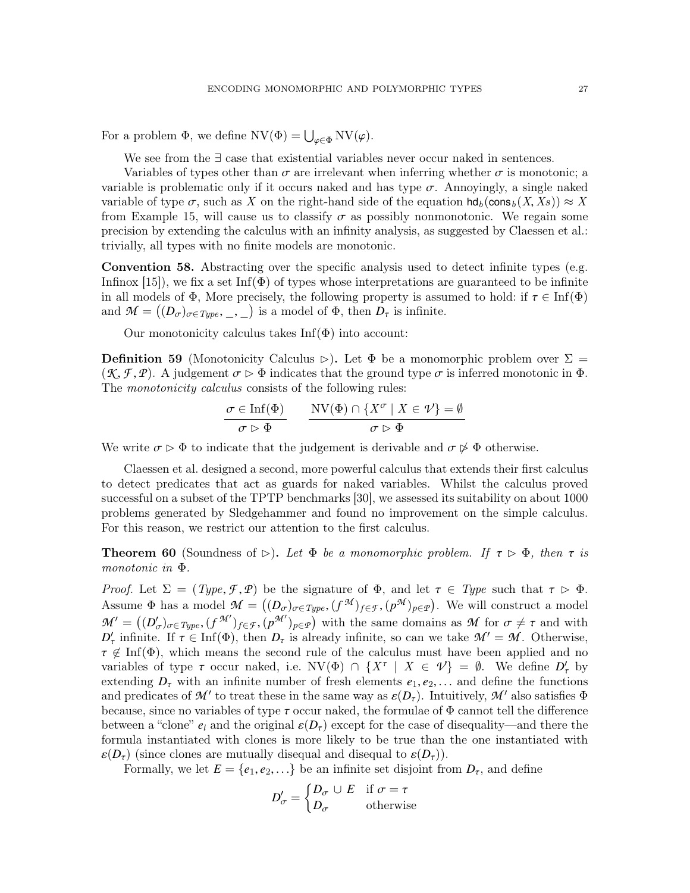For a problem  $\Phi$ , we define  $\text{NV}(\Phi) = \bigcup_{\varphi \in \Phi} \text{NV}(\varphi)$ .

We see from the ∃ case that existential variables never occur naked in sentences.

Variables of types other than  $\sigma$  are irrelevant when inferring whether  $\sigma$  is monotonic; a variable is problematic only if it occurs naked and has type  $\sigma$ . Annoyingly, a single naked variable of type  $\sigma$ , such as X on the right-hand side of the equation  $h d_b(\cos_b(X, X_s)) \approx X$ from Example [15,](#page-7-2) will cause us to classify  $\sigma$  as possibly nonmonotonic. We regain some precision by extending the calculus with an infinity analysis, as suggested by Claessen et al.: trivially, all types with no finite models are monotonic.

Convention 58. Abstracting over the specific analysis used to detect infinite types (e.g. Infinox [\[15\]](#page-50-11)), we fix a set Inf( $\Phi$ ) of types whose interpretations are guaranteed to be infinite in all models of  $\Phi$ , More precisely, the following property is assumed to hold: if  $\tau \in \text{Inf}(\Phi)$ and  $\mathcal{M} = ((D_{\sigma})_{\sigma \in Type, \_ \mathcal{I}})$  is a model of  $\Phi$ , then  $D_{\tau}$  is infinite.

Our monotonicity calculus takes  $\text{Inf}(\Phi)$  into account:

**Definition 59** (Monotonicity Calculus  $\triangleright$ ). Let  $\Phi$  be a monomorphic problem over  $\Sigma$  =  $(K, \mathcal{F}, \mathcal{P})$ . A judgement  $\sigma \triangleright \Phi$  indicates that the ground type  $\sigma$  is inferred monotonic in  $\Phi$ . The *monotonicity calculus* consists of the following rules:

$$
\frac{\sigma \in \text{Inf}(\Phi)}{\sigma \rhd \Phi} \qquad \frac{\text{NV}(\Phi) \cap \{X^{\sigma} \mid X \in \mathcal{V}\} = \emptyset}{\sigma \rhd \Phi}
$$

We write  $\sigma \triangleright \Phi$  to indicate that the judgement is derivable and  $\sigma \not\triangleright \Phi$  otherwise.

Claessen et al. designed a second, more powerful calculus that extends their first calculus to detect predicates that act as guards for naked variables. Whilst the calculus proved successful on a subset of the TPTP benchmarks [\[30\]](#page-50-6), we assessed its suitability on about 1000 problems generated by Sledgehammer and found no improvement on the simple calculus. For this reason, we restrict our attention to the first calculus.

<span id="page-26-0"></span>**Theorem 60** (Soundness of  $\triangleright$ ). Let  $\Phi$  be a monomorphic problem. If  $\tau \triangleright \Phi$ , then  $\tau$  is monotonic in Φ.

*Proof.* Let  $\Sigma = (Type, \mathcal{F}, \mathcal{P})$  be the signature of  $\Phi$ , and let  $\tau \in Type$  such that  $\tau \triangleright \Phi$ . Assume  $\Phi$  has a model  $\mathcal{M} = ((D_{\sigma})_{\sigma \in Type}$ ,  $(f^{\mathcal{M}})_{f \in \mathcal{F}}, (p^{\mathcal{M}})_{p \in \mathcal{P}})$ . We will construct a model  $\mathcal{M}$  ( $(N \setminus G^{\mathcal{M}'})$ ) with the same demogrape of  $\mathcal{M}$  for  $\pi$  ( $\pi$  and with  $\mathcal{M}' = ((D'_{\sigma})_{\sigma \in Type}, (f^{\mathcal{M}'})_{f \in \mathcal{F}}, (p^{\mathcal{M}'})_{p \in \mathcal{P}})$  with the same domains as  $\mathcal{M}$  for  $\sigma \neq \tau$  and with  $D'$  infinite If  $\tau \in \text{Inf}(\Phi)$ , then  $D$  is already infinite, so can we take  $\mathcal{M}' = \mathcal{M}$ . Othe  $D'_\tau$  infinite. If  $\tau \in \text{Inf}(\Phi)$ , then  $D_\tau$  is already infinite, so can we take  $\mathcal{M}' = \mathcal{M}$ . Otherwise,  $\tau \notin \text{Inf}(\Phi)$ , which means the second rule of the calculus must have been applied and no  $\tau \notin \text{Inf}(\Phi)$ , which means the second rule of the calculus must have been applied and no<br>variables of type  $\tau$  occur naked i.e.  $\text{NV}(\Phi) \cap \text{LY} \tau + \text{Y} \in \mathcal{U} = \emptyset$ . We define D' by variables of type  $\tau$  occur naked, i.e.  $\text{NV}(\Phi) \cap \{X^{\tau} \mid X \in \mathcal{V}\} = \emptyset$ . We define  $D_{\tau}$  by extending  $D$  with an infinite number of fresh elements  $e_1$ ,  $e_2$  and define the functions extending  $D_{\tau}$  with an infinite number of fresh elements  $e_1, e_2, \ldots$  and define the functions and predicates of  $\mathcal{M}'$  to treat these in the same way as  $\varepsilon(D_{\tau})$ . Intuitively,  $\mathcal{M}'$  also satisfies  $\Phi$  because since no variables of type  $\tau$  occur paked, the formulae of  $\Phi$  cannot tell the difference because, since no variables of type  $\tau$  occur naked, the formulae of  $\Phi$  cannot tell the difference between a "clone"  $e_i$  and the original  $\varepsilon(D_\tau)$  except for the case of disequality—and there the formula instantiated with clones is more likely to be true than the one instantiated with  $\varepsilon(D_\tau)$  (since clones are mutually disequal and disequal to  $\varepsilon(D_\tau)$ ).

Formally, we let  $E = \{e_1, e_2, ...\}$  be an infinite set disjoint from  $D_{\tau}$ , and define

$$
D'_{\sigma} = \begin{cases} D_{\sigma} \cup E & \text{if } \sigma = \tau \\ D_{\sigma} & \text{otherwise} \end{cases}
$$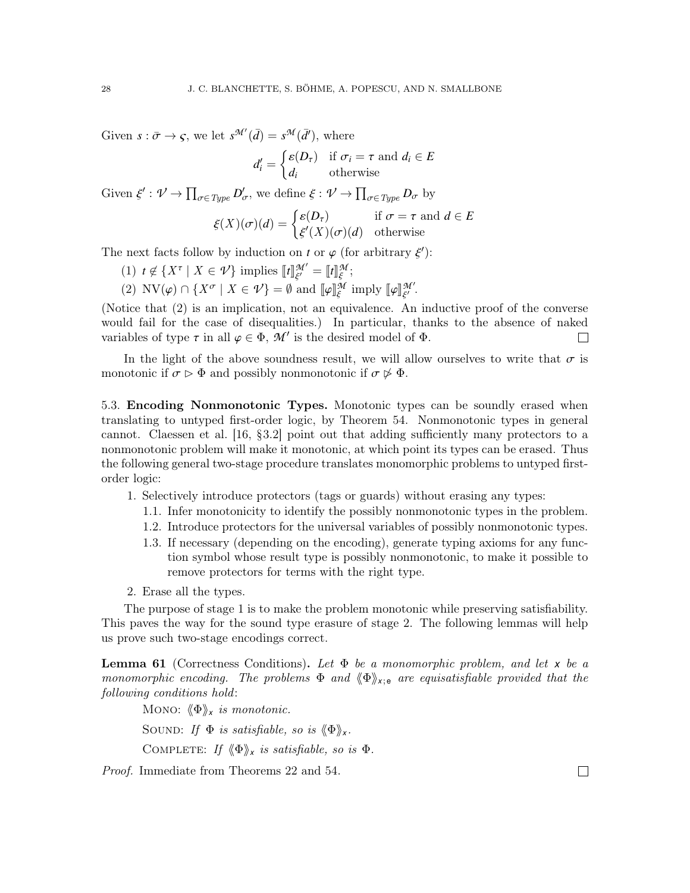Given  $s : \bar{\sigma} \to \varsigma$ , we let  $s^{\mathcal{M}'}(\bar{d}) = s^{\mathcal{M}}(\bar{d}'),$  where

$$
d'_{i} = \begin{cases} \varepsilon(D_{\tau}) & \text{if } \sigma_{i} = \tau \text{ and } d_{i} \in E \\ d_{i} & \text{otherwise} \end{cases}
$$

Given  $\xi': \mathcal{V} \to \prod_{\sigma \in Type} D'_{\sigma}$ , we define  $\xi: \mathcal{V} \to \prod_{\sigma \in Type} D_{\sigma}$  by

$$
\xi(X)(\sigma)(d) = \begin{cases} \varepsilon(D_{\tau}) & \text{if } \sigma = \tau \text{ and } d \in E \\ \xi'(X)(\sigma)(d) & \text{otherwise} \end{cases}
$$

The next facts follow by induction on *t* or  $\varphi$  (for arbitrary  $\xi'$ ):

- (1)  $t \notin \{X^{\tau} \mid X \in \mathcal{V}\}\$ implies  $\llbracket t \rrbracket_{\xi'}^{\mathcal{M}'}$  $\begin{array}{c} \mathcal{M}^\prime = \llbracket t \rrbracket^{\mathcal{M}}_{\xi} \ \mathcal{M} \ \mathcal{M} \end{array}$ ;
- ξ (2)  $\text{NV}(\varphi) \cap \{X^{\sigma} \mid X \in \mathcal{V}\} = \emptyset$  and  $[\![\varphi]\!]_{\xi}^{\mathcal{M}}$  imply  $[\![\varphi]\!]_{\xi'}^{\mathcal{M}'}$ .

(Notice that (2) is an implication, not an equivalence. An inductive proof of the converse would fail for the case of disequalities.) In particular, thanks to the absence of naked variables of type  $\tau$  in all  $\varphi \in \Phi$ ,  $\mathcal{M}'$  is the desired model of  $\Phi$ .  $\Box$ 

In the light of the above soundness result, we will allow ourselves to write that  $\sigma$  is monotonic if  $\sigma \triangleright \Phi$  and possibly nonmonotonic if  $\sigma \not\triangleright \Phi$ .

5.3. Encoding Nonmonotonic Types. Monotonic types can be soundly erased when translating to untyped first-order logic, by Theorem [54.](#page-24-1) Nonmonotonic types in general cannot. Claessen et al. [\[16,](#page-50-2) §3.2] point out that adding sufficiently many protectors to a nonmonotonic problem will make it monotonic, at which point its types can be erased. Thus the following general two-stage procedure translates monomorphic problems to untyped firstorder logic:

- 1. Selectively introduce protectors (tags or guards) without erasing any types:
	- 1.1. Infer monotonicity to identify the possibly nonmonotonic types in the problem.
	- 1.2. Introduce protectors for the universal variables of possibly nonmonotonic types.
	- 1.3. If necessary (depending on the encoding), generate typing axioms for any function symbol whose result type is possibly nonmonotonic, to make it possible to remove protectors for terms with the right type.
- 2. Erase all the types.

The purpose of stage 1 is to make the problem monotonic while preserving satisfiability. This paves the way for the sound type erasure of stage 2. The following lemmas will help us prove such two-stage encodings correct.

<span id="page-27-0"></span>**Lemma 61** (Correctness Conditions). Let  $\Phi$  be a monomorphic problem, and let x be a monomorphic encoding. The problems  $\Phi$  and  $\langle \Phi \rangle_{\chi;e}$  are equisatisfiable provided that the following conditions hold:

Mono:  $\langle \Phi \rangle_{\mathsf{x}}$  is monotonic. SOUND: If  $\Phi$  is satisfiable, so is  $\langle \Phi \rangle_{\mathbf{x}}$ . COMPLETE: If  $\langle \Phi \rangle_{\mathsf{x}}$  is satisfiable, so is  $\Phi$ .

Proof. Immediate from Theorems [22](#page-9-0) and [54.](#page-24-1)

 $\Box$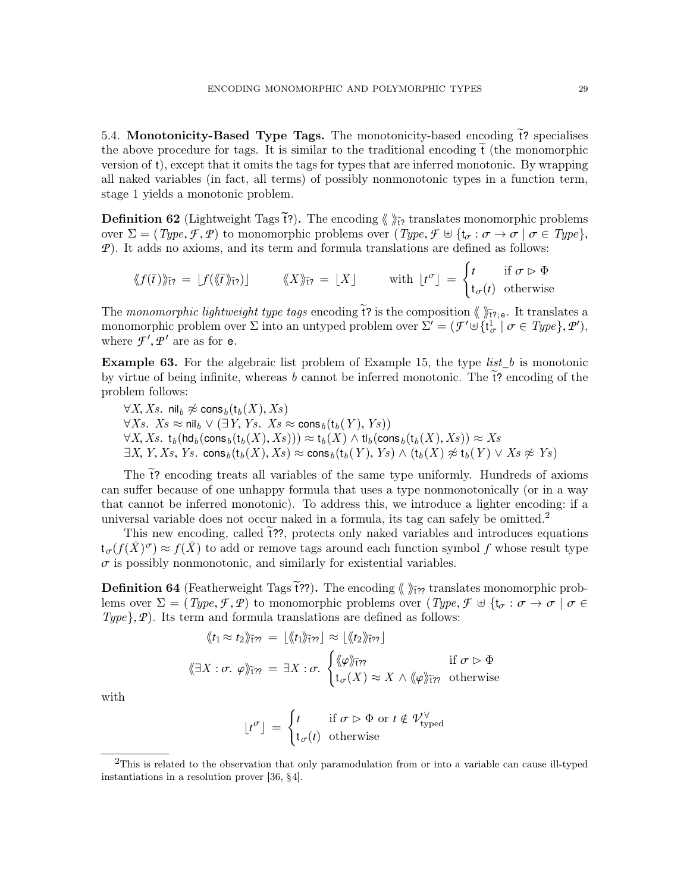<span id="page-28-0"></span>5.4. Monotonicity-Based Type Tags. The monotonicity-based encoding  $\tilde{t}$ ? specialises the above procedure for tags. It is similar to the traditional encoding  $\tilde{t}$  (the monomorphic version of t), except that it omits the tags for types that are inferred monotonic. By wrapping all naked variables (in fact, all terms) of possibly nonmonotonic types in a function term, stage 1 yields a monotonic problem.

**Definition 62** (Lightweight Tags  $\tilde{f}$ ?). The encoding  $\langle \rangle$   $\tilde{f}$ ? translates monomorphic problems over  $\Sigma = (Type, \mathcal{F}, \mathcal{P})$  to monomorphic problems over  $Type, \mathcal{F} \oplus \{t_{\sigma} : \sigma \to \sigma \mid \sigma \in Type\},$ *P*). It adds no axioms, and its term and formula translations are defined as follows:

$$
\langle f(\bar{t}) \rangle_{\tilde{t}^{\gamma}} = \lfloor f(\langle \bar{t} \rangle_{\tilde{t}^{\gamma}}) \rfloor \qquad \langle \langle X \rangle_{\tilde{t}^{\gamma}} = \lfloor X \rfloor \qquad \text{with } \lfloor t^{\sigma} \rfloor = \begin{cases} t & \text{if } \sigma \triangleright \Phi \\ t_{\sigma}(t) & \text{otherwise} \end{cases}
$$

The monomorphic lightweight type tags encoding  $\tilde{t}$ ? is the composition  $\langle \rangle_{\tilde{t}^2; e}$ . It translates a monomorphic problem over  $\Sigma$  into an untyped problem over  $\Sigma' = (\mathcal{F}' \cup \{t^1_\sigma \mid \sigma \in Type\}, \mathcal{P}')$ ,<br>where  $\mathcal{F}'$  are as for  $\mathbf{e}$ where  $\mathcal{F}', \mathcal{P}'$  are as for **e**.

**Example 63.** For the algebraic list problem of Example [15,](#page-7-2) the type *list* b is monotonic by virtue of being infinite, whereas  $b$  cannot be inferred monotonic. The  $t$ ? encoding of the problem follows:

 $\forall X, Xs$ . nil<sub>b</sub>  $\not\approx$  cons<sub>b</sub> (t<sub>b</sub>(X), Xs)  $\forall Xs$ .  $Xs \approx \mathsf{nil}_b \vee (\exists Y, Ys$ .  $Xs \approx \mathsf{cons}_b(\mathsf{t}_b(Y), Ys))$  $\forall X, Xs. t_b (hd_b (cons_b (t_b (X), Xs))) \approx t_b (X) \wedge tl_b (cons_b (t_b (X), Xs)) \approx Xs$  $\exists X, Y, Xs, Ys.$  cons $_b(t_b(X), Xs) \approx \text{cons}_b(t_b(Y), Ys) \wedge (t_b(X) \not\approx t_b(Y) \vee Xs \not\approx Ys)$ 

The  $\tilde{t}$ ? encoding treats all variables of the same type uniformly. Hundreds of axioms can suffer because of one unhappy formula that uses a type nonmonotonically (or in a way that cannot be inferred monotonic). To address this, we introduce a lighter encoding: if a universal variable does not occur naked in a formula, its tag can safely be omitted.<sup>[2](#page-28-1)</sup>

This new encoding, called  $\tilde{t}$ ??, protects only naked variables and introduces equations  $t_{\sigma}(f(\bar{X})^{\sigma}) \approx f(\bar{X})$  to add or remove tags around each function symbol *f* whose result type  $\sigma$  is possibly nonmonotonic, and similarly for existential variables.

**Definition 64** (Featherweight Tags  $\tilde{f}$ ??). The encoding  $\langle \rangle$   $\tilde{f}$ <sub>1</sub>? translates monomorphic problems over  $\Sigma = (Type, \mathcal{F}, \mathcal{P})$  to monomorphic problems over  $Type, \mathcal{F} \cup \{t_{\sigma} : \sigma \to \sigma \mid \sigma \in$  $Type\}, \mathcal{P})$ . Its term and formula translations are defined as follows:

$$
\langle \langle t_1 \approx t_2 \rangle \rangle_{\tilde{\mathfrak{t}}\tilde{\mathfrak{t}}\tilde{\mathfrak{t}}\tilde{\mathfrak{t}}\tilde{\mathfrak{t}}\tilde{\mathfrak{t}}\tilde{\mathfrak{t}}\tilde{\mathfrak{t}}\tilde{\mathfrak{t}}\tilde{\mathfrak{t}}\tilde{\mathfrak{t}}\tilde{\mathfrak{t}}\tilde{\mathfrak{t}}\tilde{\mathfrak{t}}\tilde{\mathfrak{t}}\tilde{\mathfrak{t}}\tilde{\mathfrak{t}}\tilde{\mathfrak{t}}\tilde{\mathfrak{t}}\tilde{\mathfrak{t}}\tilde{\mathfrak{t}}\tilde{\mathfrak{t}}\tilde{\mathfrak{t}}\tilde{\mathfrak{t}}\tilde{\mathfrak{t}}\tilde{\mathfrak{t}}\tilde{\mathfrak{t}}\tilde{\mathfrak{t}}\tilde{\mathfrak{t}}\tilde{\mathfrak{t}}\tilde{\mathfrak{t}}\tilde{\mathfrak{t}}\tilde{\mathfrak{t}}\tilde{\mathfrak{t}}\tilde{\mathfrak{t}}\tilde{\mathfrak{t}}\tilde{\mathfrak{t}}\tilde{\mathfrak{t}}\tilde{\mathfrak{t}}\tilde{\mathfrak{t}}\tilde{\mathfrak{t}}\tilde{\mathfrak{t}}\tilde{\mathfrak{t}}\tilde{\mathfrak{t}}\tilde{\mathfrak{t}}\tilde{\mathfrak{t}}\tilde{\mathfrak{t}}\tilde{\mathfrak{t}}\tilde{\mathfrak{t}}\tilde{\mathfrak{t}}\tilde{\mathfrak{t}}\tilde{\mathfrak{t}}\tilde{\mathfrak{t}}\tilde{\mathfrak{t}}\tilde{\mathfrak{t}}\tilde{\mathfrak{t}}\tilde{\mathfrak{t}}\tilde{\mathfrak{t}}\tilde{\mathfrak{t}}\tilde{\mathfrak{t}}\tilde{\mathfrak{t}}\tilde{\mathfrak{t}}\tilde{\mathfrak{t}}\tilde{\mathfrak{t}}\tilde{\mathfrak{t}}\tilde{\mathfrak{t}}\tilde{\mathfrak{t}}\tilde{\mathfrak{t}}\tilde{\mathfrak{t}}\tilde{\mathfrak{t}}\tilde{\mathfrak{t}}\tilde{\mathfrak{t}}\tilde{\mathfrak{t}}\tilde{\mathfrak{t}}\tilde
$$

with

$$
\lfloor t^{\sigma} \rfloor = \begin{cases} t & \text{if } \sigma \vartriangleright \Phi \text{ or } t \notin \mathcal{V}_{\text{typed}}^{\forall} \\ t_{\sigma}(t) & \text{otherwise} \end{cases}
$$

<span id="page-28-1"></span> $2$ This is related to the observation that only paramodulation from or into a variable can cause ill-typed instantiations in a resolution prover [\[36,](#page-50-8) §4].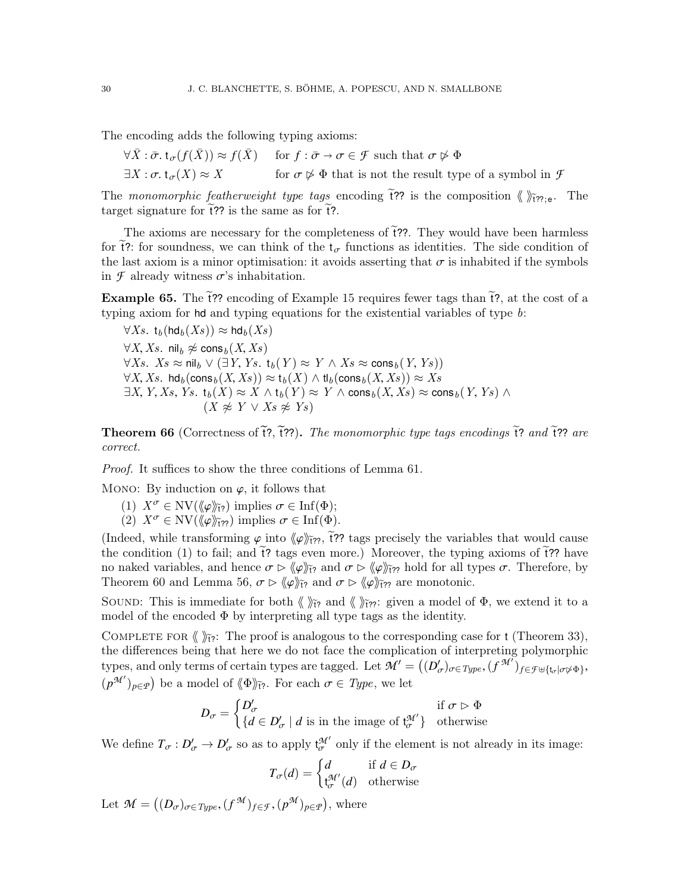The encoding adds the following typing axioms:

$$
\forall \bar{X} : \bar{\sigma} \cdot t_{\sigma}(f(\bar{X})) \approx f(\bar{X}) \quad \text{for } f : \bar{\sigma} \to \sigma \in \mathcal{F} \text{ such that } \sigma \not\rhd \Phi
$$
  

$$
\exists X : \sigma \cdot t_{\sigma}(X) \approx X \quad \text{for } \sigma \not\rhd \Phi \text{ that is not the result type of a symbol in } \mathcal{F}
$$

The monomorphic featherweight type tags encoding  $\tilde{f}$ ?? is the composition  $\langle \rangle \rangle_{\tilde{f}$ ??;e. The target signature for  $\tilde{t}$ ?? is the same as for  $\tilde{t}$ ?.

The axioms are necessary for the completeness of  $\tilde{t}$ ??. They would have been harmless for  $\tilde{t}$ ?: for soundness, we can think of the  $t_{\sigma}$  functions as identities. The side condition of the last axiom is a minor optimisation: it avoids asserting that  $\sigma$  is inhabited if the symbols in  $\mathcal F$  already witness  $\sigma$ 's inhabitation.

Example 65. The  $\tilde{t}$ ?? encoding of Example [15](#page-7-2) requires fewer tags than  $\tilde{t}$ ?, at the cost of a typing axiom for hd and typing equations for the existential variables of type  $b$ :

 $\forall Xs. t_h(\text{hd}_h(Xs)) \approx \text{hd}_h(Xs)$  $\forall X, Xs$ . nil<sub>b</sub>  $\not\approx$  cons<sub>b</sub>  $(X, Xs)$  $\forall Xs. \ Xs \approx \mathsf{nil}_b \ \vee (\exists Y, Ys. \ \mathsf{t}_b(Y) \approx Y \land Xs \approx \mathsf{cons}_b(Y, Ys))$  $\forall X, Xs.$  hd<sub>b</sub> $(\text{cons}_b(X, Xs)) \approx t_b(X) \land t_b(\text{cons}_b(X, Xs)) \approx Xs$  $\exists X, Y, Xs, Ys. t_b(X) \approx X \wedge t_b(Y) \approx Y \wedge \text{cons}_b(X, Xs) \approx \text{cons}_b(Y, Ys) \wedge$  $(X \not\approx Y \vee Xs \not\approx Ys)$ 

<span id="page-29-0"></span>**Theorem 66** (Correctness of  $\tilde{t}$ ?,  $\tilde{t}$ ??). The monomorphic type tags encodings  $\tilde{t}$ ? and  $\tilde{t}$ ?? are correct.

Proof. It suffices to show the three conditions of Lemma [61.](#page-27-0)

MONO: By induction on  $\varphi$ , it follows that

- (1)  $X^{\sigma} \in \text{NV}(\langle \varphi \rangle \tilde{H}^2)$  implies  $\sigma \in \text{Inf}(\Phi);$
- (2)  $X^{\sigma} \in \text{NV}(\langle \varphi \rangle_{\tilde{\mathcal{H}}?})$  implies  $\sigma \in \text{Inf}(\Phi)$ .

(Indeed, while transforming  $\varphi$  into  $\langle \varphi \rangle$ <sub>i??</sub>, i?? tags precisely the variables that would cause the condition (1) to fail; and  $\tilde{t}$ ? tags even more.) Moreover, the typing axioms of  $\tilde{t}$ ?? have no naked variables, and hence  $\sigma \triangleright \langle \varphi \rangle \widetilde{H}$ <sub>i</sub> and  $\sigma \triangleright \langle \varphi \rangle \widetilde{H}$ <sub>i</sub> hold for all types  $\sigma$ . Therefore, by Theorem [60](#page-26-0) and Lemma [56,](#page-25-0)  $\sigma \triangleright \langle \varphi \rangle \widetilde{H}$  and  $\sigma \triangleright \langle \varphi \rangle \widetilde{H}$ ? are monotonic.

SOUND: This is immediate for both  $\langle \rangle_{\tilde{H}2}^{\tilde{r}}$  and  $\langle \rangle_{\tilde{H}2}^{\tilde{r}}$ : given a model of  $\Phi$ , we extend it to a model of the encoded  $\Phi$  by interpreting all type tags as the identity.

COMPLETE FOR  $\langle \rangle_{\tilde{r}2}$ : The proof is analogous to the corresponding case for t (Theorem [33\)](#page-13-2), the differences being that here we do not face the complication of interpreting polymorphic types, and only terms of certain types are tagged. Let  $\mathcal{M}' = ((D'_{\sigma})_{\sigma \in Type}, (f^{\mathcal{M}})_{f \in \mathcal{F} \uplus \{\mathsf{t}_{\sigma} | \sigma \not\sim \Phi\}},$  $(p^{\mathcal{M}^{\prime}})_{p\in\mathcal{P}}$  be a model of  $\langle \Phi \rangle_{\tilde{\mathfrak{k}}}.$  For each  $\sigma \in Type$ , we let

$$
D_{\sigma} = \begin{cases} D'_{\sigma} & \text{if } \sigma \vartriangleright \Phi \\ \{d \in D'_{\sigma} \mid d \text{ is in the image of } \mathfrak{t}_{\sigma}^{\mathcal{M}'}\} & \text{otherwise} \end{cases}
$$

We define  $T_{\sigma}: D'_{\sigma} \to D'_{\sigma}$  so as to apply  $t_{\sigma}^{\mathcal{M}'}$  only if the element is not already in its image:

$$
T_{\sigma}(d) = \begin{cases} d & \text{if } d \in D_{\sigma} \\ t_{\sigma}^{\mathcal{M}'}(d) & \text{otherwise} \end{cases}
$$

Let  $\mathcal{M} = ((D_{\sigma})_{\sigma \in Type}, (f^{\mathcal{M}})_{f \in \mathcal{F}}, (p^{\mathcal{M}})_{p \in \mathcal{P}})$ , where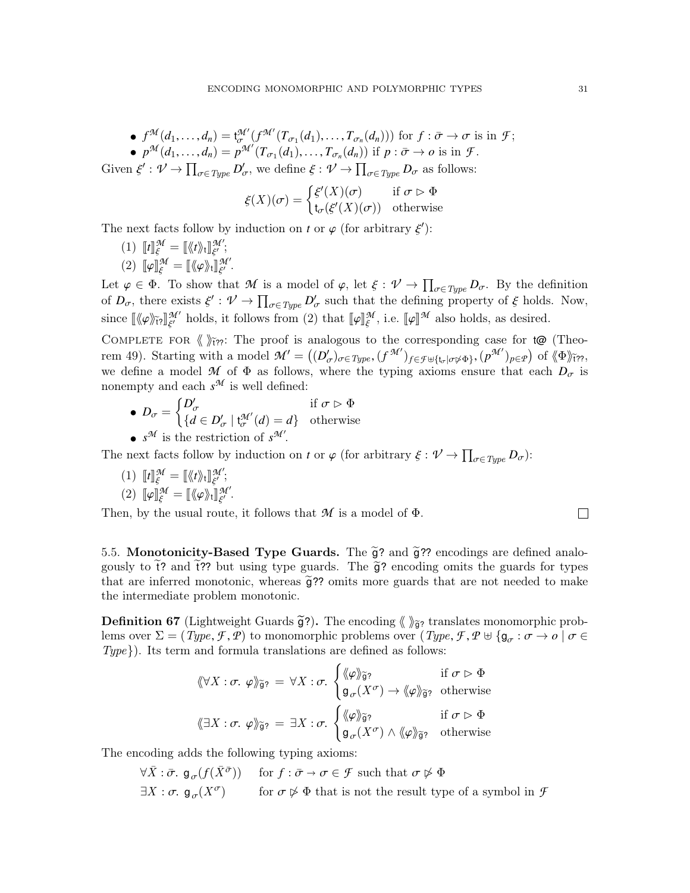• 
$$
f^{\mathcal{M}}(d_1, ..., d_n) = t^{\mathcal{M}'}_{\sigma}(f^{\mathcal{M}'}(T_{\sigma_1}(d_1), ..., T_{\sigma_n}(d_n)))
$$
 for  $f : \bar{\sigma} \to \sigma$  is in  $\mathcal{F}$ ;  
\n•  $p^{\mathcal{M}}(d_1, ..., d_n) = p^{\mathcal{M}'}(T_{\sigma_1}(d_1), ..., T_{\sigma_n}(d_n))$  if  $p : \bar{\sigma} \to o$  is in  $\mathcal{F}$ .

Given  $\xi': \mathcal{V} \to \prod_{\sigma \in Type} D'_{\sigma}$ , we define  $\xi: \mathcal{V} \to \prod_{\sigma \in Type} D_{\sigma}$  as follows:

$$
\xi(X)(\sigma) = \begin{cases} \xi'(X)(\sigma) & \text{if } \sigma \triangleright \Phi \\ t_{\sigma}(\xi'(X)(\sigma)) & \text{otherwise} \end{cases}
$$

The next facts follow by induction on *t* or  $\varphi$  (for arbitrary  $\xi'$ ):

(1)  $\llbracket t \rrbracket_{\xi}^{\mathcal{M}} = \llbracket \langle \langle t \rangle \rangle_{t} \rrbracket_{\xi'}^{\mathcal{M}'};$ <br>(2)  $\llbracket \mathbb{T}, \mathbb{M} \rangle = \llbracket \langle \langle t \rangle \rangle_{\mathbb{N}}^{\mathcal{M}'} \rrbracket_{\mathcal{M}}^{\mathcal{M}'}$ (2)  $\llbracket \varphi \rrbracket_{\xi}^{\mathcal{M}} = \llbracket \langle \varphi \rangle \rangle_{\mathsf{t}} \rrbracket_{\xi'}^{\mathcal{M}'}$ .

Let  $\varphi \in \Phi$ . To show that *M* is a model of  $\varphi$ , let  $\xi : \mathcal{V} \to \prod_{\sigma \in Type} D_{\sigma}$ . By the definition<br>of *D*, there exists  $\xi' : \mathcal{V} \to \Pi$  *D'* such that the defining property of  $\xi$  holds. Now of  $D_{\sigma}$ , there exists  $\xi' : \mathcal{V} \to \prod_{\sigma \in Type} D_{\sigma}'$  such that the defining property of  $\xi$  holds. Now, since  $\llbracket \langle \varphi \rangle \rangle_{\{f\}} \llbracket \varphi \rrbracket_{\xi'}^{\mathcal{M}'}$  holds, it follows from (2) that  $\llbracket \varphi \rrbracket_{\xi}^{\mathcal{M}}$ , i.e.  $\llbracket \varphi \rrbracket^{\mathcal{M}}$  also holds, as desired.

COMPLETE FOR  $\langle \rangle_{\tilde{l}7}^{\tilde{r}}$ ?: The proof is analogous to the corresponding case for t@ (Theo-rem [49\)](#page-19-1). Starting with a model  $\mathcal{M}' = ((D'_{\sigma})_{\sigma \in Type}, (f^{\mathcal{M}'})_{f \in \mathcal{F} \cup \{t_{\sigma} | \sigma \not\sim \Phi\}}, (p^{\mathcal{M}'})_{p \in \mathcal{P}})$  of  $\langle \Phi \rangle_{\tilde{t} \gamma}$ ,<br>we define a model  $\mathcal{M}$  of  $\Phi$  as follows, where the typing evidence open that we define a model *M* of  $\Phi$  as follows, where the typing axioms ensure that each  $D_{\sigma}$  is nonempty and each  $s^{\mathcal{M}}$  is well defined:

• 
$$
D_{\sigma} = \begin{cases} D'_{\sigma} & \text{if } \sigma \triangleright \Phi \\ \{d \in D'_{\sigma} \mid \mathbf{t}^{\mathcal{M}'}_{\sigma}(d) = d\} & \text{otherwise} \end{cases}
$$

•  $s^{\mathcal{M}}$  is the restriction of  $s^{\mathcal{M}}$ .

The next facts follow by induction on *t* or  $\varphi$  (for arbitrary  $\xi : \mathcal{V} \to \prod_{\sigma \in Type} D_{\sigma}$ ):

(1)  $\llbracket t \rrbracket_{\xi}^{\mathcal{M}} = \llbracket \langle \langle t \rangle \rangle_{\mathbf{t}} \rrbracket_{\xi'}^{\mathcal{M}'};$ <br>(2)  $\llbracket \mathbb{I} \rrbracket_{\mathcal{M}}^{\mathcal{M}} \sim \mathbb{I}_{\mathcal{M}}^{\mathcal{M}} \rangle$ (2)  $\llbracket \varphi \rrbracket_{\xi}^{\mathcal{M}} = \llbracket \langle \varphi \rangle \rangle_t \rrbracket_{\xi'}^{\mathcal{M}'}$ .

Then, by the usual route, it follows that  $M$  is a model of  $\Phi$ .

<span id="page-30-0"></span>5.5. Monotonicity-Based Type Guards. The  $\tilde{g}$ ? and  $\tilde{g}$ ?? encodings are defined analogously to t? and t?? but using type guards. The  $\tilde{g}$ ? encoding omits the guards for types that are inferred monotonic, whereas  $\tilde{g}$ ?? omits more guards that are not needed to make the intermediate problem monotonic.

**Definition 67** (Lightweight Guards  $\tilde{g}$ ?). The encoding  $\langle \rangle_{\tilde{g}$ ? translates monomorphic problems over  $\Sigma = (Type, \mathcal{F}, \mathcal{P})$  to monomorphic problems over  $Type, \mathcal{F}, \mathcal{P} \cup \{g_{\sigma} : \sigma \to \rho \mid \sigma \in \mathcal{P} \}$  $Type\$ ). Its term and formula translations are defined as follows:

$$
\langle \! \langle \forall X : \sigma. \varphi \rangle \! \rangle_{\widetilde{\mathfrak{g}}?} = \forall X : \sigma. \begin{cases} \langle \varphi \rangle \! \rangle_{\widetilde{\mathfrak{g}}?} & \text{if } \sigma \triangleright \Phi \\ \mathfrak{g}_{\sigma}(X^{\sigma}) \to \langle \varphi \rangle \! \rangle_{\widetilde{\mathfrak{g}}?} & \text{otherwise} \end{cases}
$$

$$
\langle \! \langle \exists X : \sigma. \varphi \rangle \! \rangle_{\widetilde{\mathfrak{g}}?} = \exists X : \sigma. \begin{cases} \langle \! \langle \varphi \rangle \rangle \! \rangle_{\widetilde{\mathfrak{g}}?} & \text{if } \sigma \triangleright \Phi \\ \mathfrak{g}_{\sigma}(X^{\sigma}) \wedge \langle \! \langle \varphi \rangle \rangle \! \rangle_{\widetilde{\mathfrak{g}}?} & \text{otherwise} \end{cases}
$$

The encoding adds the following typing axioms:

$$
\forall \bar{X} : \bar{\sigma}. \mathfrak{g}_{\sigma}(f(\bar{X}^{\bar{\sigma}})) \quad \text{for } f : \bar{\sigma} \to \sigma \in \mathcal{F} \text{ such that } \sigma \not\rhd \Phi
$$
  

$$
\exists X : \sigma. \mathfrak{g}_{\sigma}(X^{\sigma}) \quad \text{for } \sigma \not\rhd \Phi \text{ that is not the result type of a symbol in } \mathcal{F}
$$

 $\Box$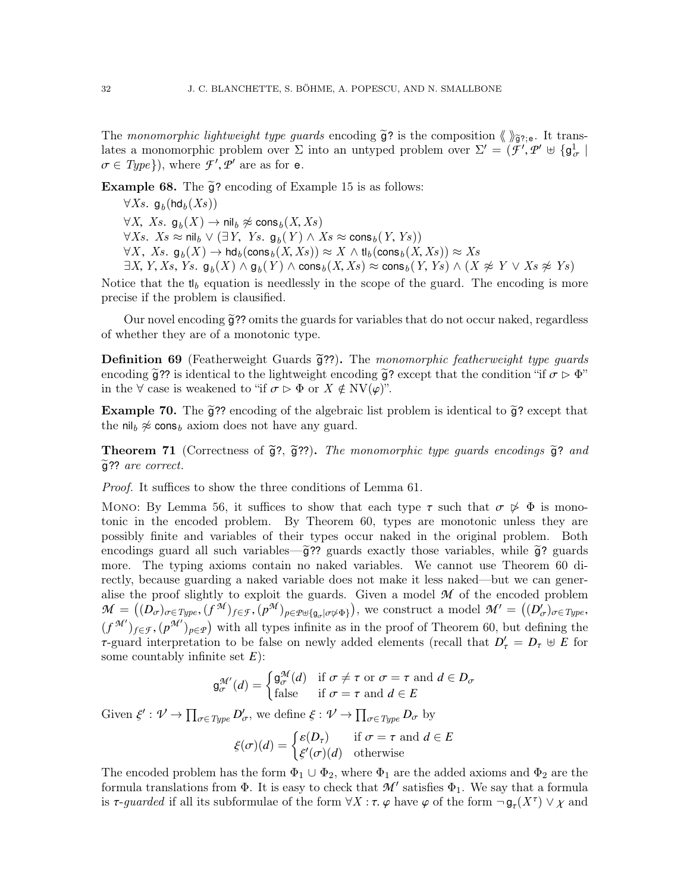The monomorphic lightweight type guards encoding  $\tilde{g}$ ? is the composition  $\langle \rangle_{\tilde{g}$ ?;e. It translates a monomorphic problem over  $\Sigma$  into an untyped problem over  $\Sigma' = (\tilde{\mathcal{F}}', \mathcal{P}' \oplus {\mathfrak{g}}_{\sigma}^1 | \mathcal{F} \in \mathcal{F}'$ <br> $\sigma \in \mathcal{F}'$  where  $\mathcal{F}' \circ \mathcal{P}'$  are as for  $\mathsf{e}_{\sigma}$  $\sigma \in Type$ }), where  $\mathcal{F}', \mathcal{P}'$  are as for **e**.

Example 68. The  $\tilde{g}$ ? encoding of Example [15](#page-7-2) is as follows:

∀ $Xs$ . g<sub>b</sub>(hd<sub>b</sub> $(Xs)$ ) <sup>∀</sup>X, Xs. <sup>g</sup><sup>b</sup> (<sup>X</sup> ) <sup>→</sup> nil<sup>b</sup> 6≈ cons<sup>b</sup> (X, Xs)  $\forall Xs. \ Xs \approx \mathsf{nil}_b \ \vee \ (\exists Y, \ Ys. \ \mathsf{g}_b(Y) \ \wedge \ Xs \approx \mathsf{cons}_b(Y, Ys))$ <br>  $\forall Y \ Xs. \ \mathsf{g}_b(X) \rightarrow \mathsf{hd}_b(\mathsf{cons}_b(X, Xs)) \approx X \wedge \mathsf{d}_b(\mathsf{cons}_b(X))$  $\forall X, Xs.$   $\mathfrak{g}_b(X) \to \mathsf{hd}_b(\mathsf{cons}_b(X, Xs)) \approx X \land \mathfrak{t}_b(\mathsf{cons}_b(X, Xs)) \approx Xs$ <br> $\exists X \, Y \, Xs \, Ys \, \mathfrak{g}_b(X) \land \mathfrak{g}_b(Y) \land \mathsf{cons}_b(X, Xs) \approx \mathsf{cons}_b(Y, Ys) \land (X, Ys)$  $\exists X, Y, Xs, Ys, g_b(X) \wedge g_b(Y) \wedge \text{cons}_b(X, Xs) \approx \text{cons}_b(Y, Ys) \wedge (X \not\approx Y \vee Xs \not\approx Ys)$ 

Notice that the t<sub>lb</sub> equation is needlessly in the scope of the guard. The encoding is more precise if the problem is clausified.

Our novel encoding  $\tilde{g}$ ?? omits the guards for variables that do not occur naked, regardless of whether they are of a monotonic type.

**Definition 69** (Featherweight Guards  $\tilde{g}$ ??). The monomorphic featherweight type guards encoding  $\tilde{q}$ ?? is identical to the lightweight encoding  $\tilde{q}$ ? except that the condition "if  $\sigma \triangleright \Phi$ " in the  $\forall$  case is weakened to "if  $\sigma \triangleright \Phi$  or  $X \notin \mathrm{NV}(\varphi)$ ".

**Example 70.** The  $\tilde{q}$ ?? encoding of the algebraic list problem is identical to  $\tilde{q}$ ? except that the nil<sub>b</sub>  $\approx$  cons<sub>b</sub> axiom does not have any guard.

<span id="page-31-0"></span>**Theorem 71** (Correctness of  $\tilde{g}$ ?,  $\tilde{g}$ ??). The monomorphic type guards encodings  $\tilde{g}$ ? and  $\widetilde{g}$ ?? are correct.

Proof. It suffices to show the three conditions of Lemma [61.](#page-27-0)

Mono: By Lemma [56,](#page-25-0) it suffices to show that each type  $\tau$  such that  $\sigma \not\triangleright \Phi$  is monotonic in the encoded problem. By Theorem [60,](#page-26-0) types are monotonic unless they are possibly finite and variables of their types occur naked in the original problem. Both encodings guard all such variables— $\tilde{g}$ ?? guards exactly those variables, while  $\tilde{g}$ ? guards more. The typing axioms contain no naked variables. We cannot use Theorem [60](#page-26-0) directly, because guarding a naked variable does not make it less naked—but we can generalise the proof slightly to exploit the guards. Given a model *M* of the encoded problem  $\mathcal{M} = ((D_{\sigma})_{\sigma \in Type}, (f^{\mathcal{M}})_{f \in \mathcal{F}}, (p^{\mathcal{M}})_{p \in \mathcal{P}} \cup \{g_{\sigma} | \sigma \not\sim \Phi\})$ , we construct a model  $\mathcal{M}' = ((D'_{\sigma})_{\sigma \in Type},$ <br>(*c*<sup> $\mathcal{M}'$ </sup>) (*M*<sup>'</sup>) construct a model  $\mathcal{M}' = ((D'_{\sigma})_{\sigma \in Type},$  $(f^{\mathcal{M'}})_{f \in \mathcal{F}}$ ,  $(p^{\mathcal{M'}})_{p \in \mathcal{P}}$  with all types infinite as in the proof of Theorem [60,](#page-26-0) but defining the **τ**-guard interpretation to be false on newly added elements (recall that  $D'_\tau = D_\tau \oplus E$  for some countably infinite set *F*). some countably infinite set *E*):

$$
g_{\sigma}^{\mathcal{M}'}(d) = \begin{cases} g_{\sigma}^{\mathcal{M}}(d) & \text{if } \sigma \neq \tau \text{ or } \sigma = \tau \text{ and } d \in D_{\sigma} \\ \text{false} & \text{if } \sigma = \tau \text{ and } d \in E \end{cases}
$$

Given  $\xi': \mathcal{V} \to \prod_{\sigma \in Type} D'_{\sigma}$ , we define  $\xi: \mathcal{V} \to \prod_{\sigma \in Type} D_{\sigma}$  by

 $\xi(\sigma)(d) = \begin{cases} \varepsilon(D_{\tau}) & \text{if } \sigma = \tau \text{ and } d \in E \\ \xi'(\sigma)(d) & \text{otherwise} \end{cases}$ ξ

The encoded problem has the form  $\Phi_1 \cup \Phi_2$ , where  $\Phi_1$  are the added axioms and  $\Phi_2$  are the formula translations from  $\Phi$ . It is easy to check that  $\mathcal{M}'$  satisfies  $\Phi_1$ . We say that a formula is  $\tau$ -*guarded* if all its subformulae of the form  $\forall X : \tau$ .  $\varphi$  have  $\varphi$  of the form  $\neg \mathsf{g}_{\tau}(X^{\tau}) \lor \chi$  and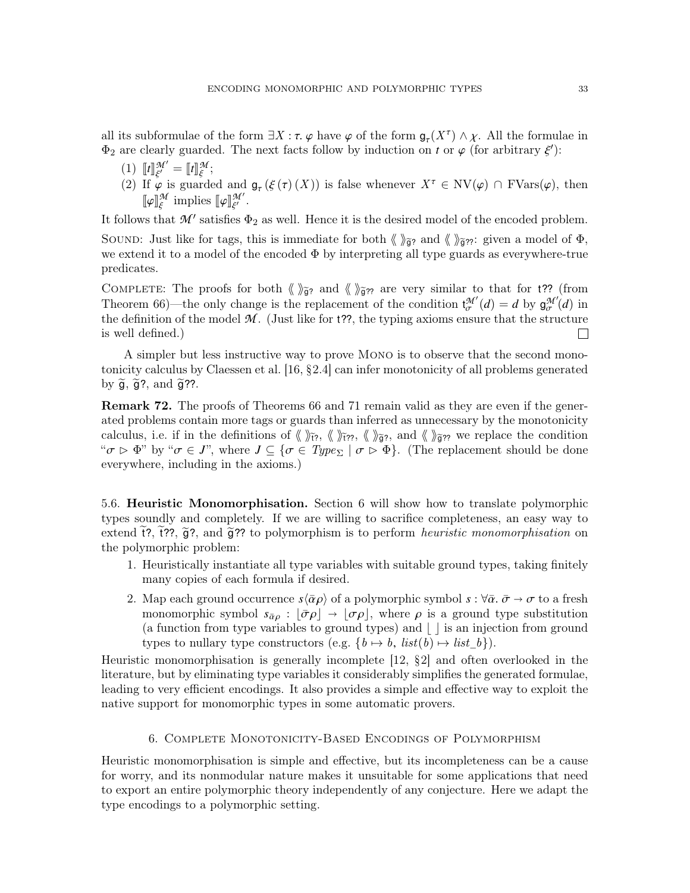all its subformulae of the form  $\exists X : \tau$ .  $\varphi$  have  $\varphi$  of the form  $\mathfrak{g}_{\tau}(X^{\tau}) \wedge \chi$ . All the formulae in  $\Phi_{\alpha}$  are clearly guarded. The next facts follow by induction on t or  $\varphi$  (for arbitrary  $\xi'$ ).  $\Phi_2$  are clearly guarded. The next facts follow by induction on *t* or  $\varphi$  (for arbitrary  $\xi'$ ):

- $\begin{bmatrix} 1 \end{bmatrix}$   $\begin{bmatrix} t \end{bmatrix}$   $\begin{bmatrix} \mathcal{M}' \\ \mathcal{E}' \end{bmatrix}$  $\begin{bmatrix} M' \\ \xi' \end{bmatrix} = \llbracket t \rrbracket^{\mathcal{M}}_{\xi}$ ;
- ξ (2) If  $\varphi$  is guarded and  $\mathfrak{g}_{\tau}(\xi(\tau)(X))$  is false whenever  $X^{\tau} \in \text{NV}(\varphi) \cap \text{FVars}(\varphi)$ , then  $\llbracket \varphi \rrbracket^{\mathcal{M}}$  implies  $\llbracket \varphi \rrbracket^{\mathcal{M}'}$ *M* implies  $\llbracket \varphi \rrbracket_{\xi'}^{\mathcal{M}'}$ .

∐ T It follows that  $\mathcal{M}'$  satisfies  $\Phi_2$  as well. Hence it is the desired model of the encoded problem.

SOUND: Just like for tags, this is immediate for both  $\langle \rangle_{\tilde{g}'}$  and  $\langle \rangle_{\tilde{g}''}$ : given a model of  $\Phi$ , we extend it to a model of the encoded  $\Phi$  by interpreting all type guards as everywhere-true predicates.

COMPLETE: The proofs for both  $\langle \rangle_{\tilde{g}'}$  and  $\langle \rangle_{\tilde{g}''}$  are very similar to that for t?? (from Theorem [66\)](#page-29-0)—the only change is the replacement of the condition  $t_{\sigma}^{\mathcal{M}'}(d) = d$  by  $g_{\sigma}^{\mathcal{M}'}(d)$  in the definition of the model  $\mathcal{M}$  (lust like for t??) the typing axioms ensure that the structure the definition of the model  $M$ . (Just like for t??, the typing axioms ensure that the structure is well defined.)  $\Box$ 

A simpler but less instructive way to prove Mono is to observe that the second monotonicity calculus by Claessen et al. [\[16,](#page-50-2) §2.4] can infer monotonicity of all problems generated by  $\widetilde{g}$ ,  $\widetilde{g}$ ?, and  $\widetilde{g}$ ??.

Remark 72. The proofs of Theorems [66](#page-29-0) and [71](#page-31-0) remain valid as they are even if the generated problems contain more tags or guards than inferred as unnecessary by the monotonicity calculus, i.e. if in the definitions of  $\langle \rangle \rangle$ <sub>ii</sub>et?,  $\langle \rangle \rangle$ <sub>i</sub><sub>i</sub>et<sub>2</sub>, and  $\langle \rangle$ <sub>j</sub><sub>2</sub>, we replace the condition " $\sigma \triangleright \Phi$ " by " $\sigma \in J$ ", where  $J \subseteq {\sigma \in Type_{\Sigma} | \sigma \triangleright \Phi}$ . (The replacement should be done everywhere, including in the axioms.)

<span id="page-32-1"></span>5.6. Heuristic Monomorphisation. Section [6](#page-32-0) will show how to translate polymorphic types soundly and completely. If we are willing to sacrifice completeness, an easy way to extend  $\tilde{f}$ ?,  $\tilde{f}$ ??, and  $\tilde{g}$ ?? to polymorphism is to perform *heuristic monomorphisation* on the polymorphic problem:

- 1. Heuristically instantiate all type variables with suitable ground types, taking finitely many copies of each formula if desired.
- 2. Map each ground occurrence  $s\langle \bar{\alpha} \rho \rangle$  of a polymorphic symbol  $s : \forall \bar{\alpha} \cdot \bar{\sigma} \to \sigma$  to a fresh monomorphic symbol  $s_{\bar{\alpha}\rho}: |\bar{\sigma}\rho| \to |\sigma\rho|$ , where  $\rho$  is a ground type substitution (a function from type variables to ground types) and  $\vert \cdot \vert$  is an injection from ground types to nullary type constructors (e.g.  $\{b \mapsto b, \text{ list}(b) \mapsto \text{list}_b\}.$

Heuristic monomorphisation is generally incomplete [\[12,](#page-50-12) §2] and often overlooked in the literature, but by eliminating type variables it considerably simplifies the generated formulae, leading to very efficient encodings. It also provides a simple and effective way to exploit the native support for monomorphic types in some automatic provers.

## 6. Complete Monotonicity-Based Encodings of Polymorphism

<span id="page-32-0"></span>Heuristic monomorphisation is simple and effective, but its incompleteness can be a cause for worry, and its nonmodular nature makes it unsuitable for some applications that need to export an entire polymorphic theory independently of any conjecture. Here we adapt the type encodings to a polymorphic setting.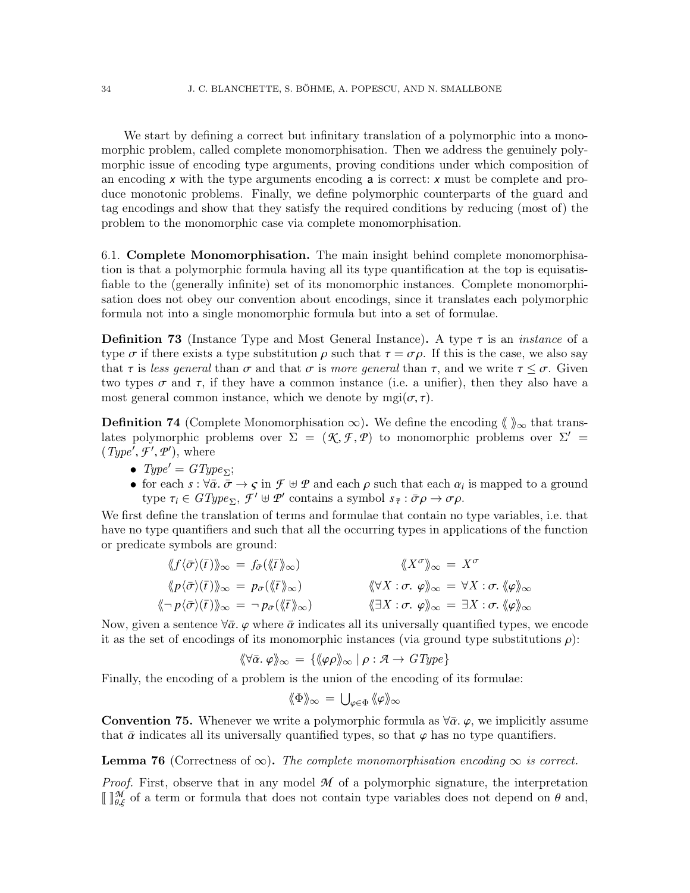We start by defining a correct but infinitary translation of a polymorphic into a monomorphic problem, called complete monomorphisation. Then we address the genuinely polymorphic issue of encoding type arguments, proving conditions under which composition of an encoding *x* with the type arguments encoding a is correct: *x* must be complete and produce monotonic problems. Finally, we define polymorphic counterparts of the guard and tag encodings and show that they satisfy the required conditions by reducing (most of) the problem to the monomorphic case via complete monomorphisation.

<span id="page-33-1"></span>6.1. Complete Monomorphisation. The main insight behind complete monomorphisation is that a polymorphic formula having all its type quantification at the top is equisatisfiable to the (generally infinite) set of its monomorphic instances. Complete monomorphisation does not obey our convention about encodings, since it translates each polymorphic formula not into a single monomorphic formula but into a set of formulae.

**Definition 73** (Instance Type and Most General Instance). A type  $\tau$  is an *instance* of a type  $\sigma$  if there exists a type substitution  $\rho$  such that  $\tau = \sigma \rho$ . If this is the case, we also say that  $\tau$  is less general than  $\sigma$  and that  $\sigma$  is more general than  $\tau$ , and we write  $\tau \leq \sigma$ . Given two types  $\sigma$  and  $\tau$ , if they have a common instance (i.e. a unifier), then they also have a most general common instance, which we denote by mgi( $\sigma$ , $\tau$ ).

**Definition 74** (Complete Monomorphisation  $\infty$ ). We define the encoding  $\langle \rangle_{\infty}$  that translates polymorphic problems over  $\Sigma = (\mathcal{K}, \mathcal{F}, \mathcal{P})$  to monomorphic problems over  $\Sigma' = (\mathcal{F}_{\text{true}}^{\prime} \mathcal{F}' \mathcal{P}')$  where  $(Type^{\overline{I}}, \overline{F}^{\prime}, \mathcal{P}^{\prime}),$  where

- $Type' = GType_{\Sigma};$
- for each  $s : \forall \bar{\alpha} \cdot \bar{\sigma} \to \varsigma$  in  $\mathcal{F} \oplus \mathcal{P}$  and each  $\rho$  such that each  $\alpha_i$  is mapped to a ground<br>type  $\tau \in \mathcal{CF}$ <br> $\mathcal{F}' \oplus \mathcal{P}'$  contains a symbol  $s : \bar{\sigma} \to \sigma \circ$ type  $\tau_i \in GType_{\Sigma}, \mathcal{F}' \cup \mathcal{P}'$  contains a symbol  $s_{\bar{\tau}} : \bar{\sigma}\rho \to \sigma\rho$ .

We first define the translation of terms and formulae that contain no type variables, i.e. that have no type quantifiers and such that all the occurring types in applications of the function or predicate symbols are ground:

$$
\langle f \langle \bar{\sigma} \rangle(\bar{t}) \rangle_{\infty} = f_{\bar{\sigma}}(\langle \langle \bar{t} \rangle_{\infty}) \qquad \langle \langle X^{\sigma} \rangle_{\infty} = X^{\sigma}
$$
  

$$
\langle p \langle \bar{\sigma} \rangle(\bar{t}) \rangle_{\infty} = p_{\bar{\sigma}}(\langle \langle \bar{t} \rangle_{\infty}) \qquad \langle \langle \forall X : \sigma, \varphi \rangle_{\infty} = \forall X : \sigma, \langle \varphi \rangle_{\infty}
$$
  

$$
\langle \neg p \langle \bar{\sigma} \rangle(\bar{t}) \rangle_{\infty} = \neg p_{\bar{\sigma}}(\langle \langle \bar{t} \rangle \rangle_{\infty}) \qquad \langle \langle \exists X : \sigma, \varphi \rangle_{\infty} = \exists X : \sigma, \langle \varphi \rangle_{\infty}
$$

Now, given a sentence  $\forall \bar{\alpha}$ ,  $\varphi$  where  $\bar{\alpha}$  indicates all its universally quantified types, we encode it as the set of encodings of its monomorphic instances (via ground type substitutions  $\rho$ ):

$$
\langle \langle \nabla \bar{\alpha}, \varphi \rangle \rangle_{\infty} = \{ \langle \varphi \rho \rangle \rangle_{\infty} \mid \rho : \mathcal{A} \to GType \}
$$

Finally, the encoding of a problem is the union of the encoding of its formulae:

$$
\langle \! \langle \Phi \rangle \! \rangle_{\infty} \, = \, \bigcup_{\varphi \in \Phi} \, \langle \! \langle \varphi \rangle \! \rangle_{\infty}
$$

**Convention 75.** Whenever we write a polymorphic formula as  $\forall \bar{\alpha}$ ,  $\varphi$ , we implicitly assume that  $\bar{\alpha}$  indicates all its universally quantified types, so that  $\varphi$  has no type quantifiers.

<span id="page-33-0"></span>**Lemma 76** (Correctness of  $\infty$ ). The complete monomorphisation encoding  $\infty$  is correct.

*Proof.* First, observe that in any model  $M$  of a polymorphic signature, the interpretation  $\llbracket \cdot \rrbracket^{\mathcal{H}}_{\theta,\xi}$  of a term or formula that does not contain type variables does not depend on  $\theta$  and,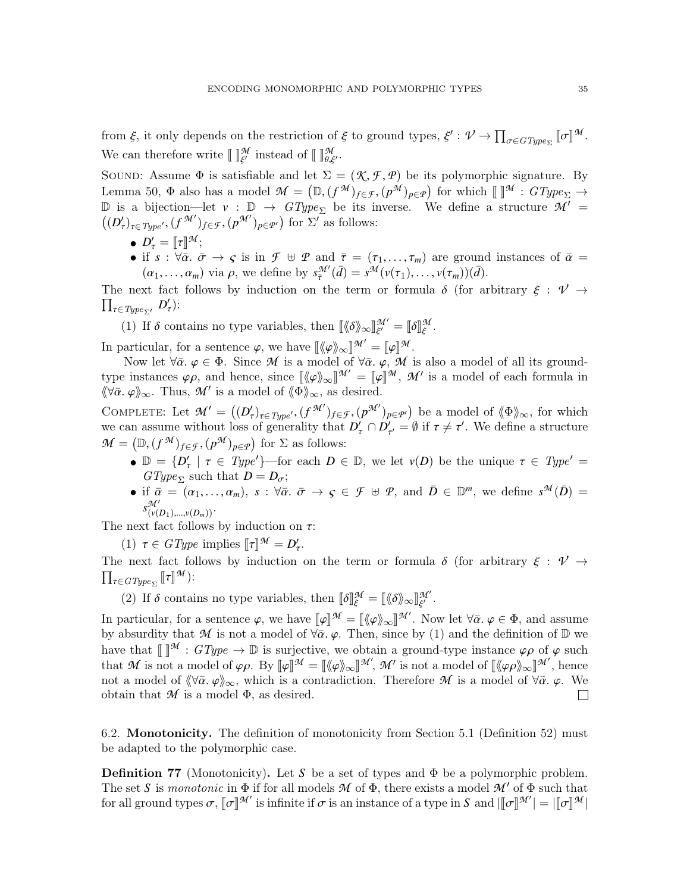from  $\xi$ , it only depends on the restriction of  $\xi$  to ground types,  $\xi' : \mathcal{V} \to \prod_{\sigma \in GType_{\Sigma}} [\![\sigma]\!]$ *M* . We can therefore write  $\llbracket \, \rrbracket_{\xi'}^{\mathcal{M}}$  instead of  $\llbracket \, \rrbracket_{\theta,\xi'}^{\mathcal{M}}$ .

SOUND: Assume  $\Phi$  is satisfiable and let  $\Sigma = (\mathcal{K}, \mathcal{F}, \mathcal{P})$  be its polymorphic signature. By Lemma [50,](#page-23-1)  $\Phi$  also has a model  $\mathcal{M} = (\mathbb{D}, (f^{\mathcal{M}})_{f \in \mathcal{F}}, (p^{\mathcal{M}})_{p \in \mathcal{P}})$  for which  $[\![\ ]^{\mathcal{M}} : GType_{\Sigma} \to \mathbb{D}$  is a bijection-let  $y : \mathbb{D} \to GType$  be its inverse. We define a structure  $\mathcal{M}' =$ D is a bijection—let  $v : D \to GType_{\Sigma}$  be its inverse. We define a structure  $\overline{M'} =$  $((D'_\tau)_{\tau \in Type'}, (f^{\mathcal{M}'})_{f \in \mathcal{F}}, (p^{\mathcal{M}'})_{p \in \mathcal{P}'})$  for  $\Sigma'$  as follows:

•  $D'_{\tau} = [\![\tau]\!]^{\mathcal{M}};$ <br>• if  $s : \forall \bar{\alpha}$ 

• if  $s : \forall \bar{\alpha}, \bar{\sigma} \to \varsigma$  is in  $\mathcal{F} \oplus \mathcal{P}$  and  $\bar{\tau} = (\tau_1, \ldots, \tau_m)$  are ground instances of  $\bar{\alpha} = (\alpha_1, \ldots, \alpha_m)$  via a we define by  $\alpha^{\mathcal{M}}(\bar{\alpha}) = \alpha^{\mathcal{M}}(\omega(\tau_1), \ldots, \omega(\tau_m))(\bar{\alpha})$  $(\alpha_1, \ldots, \alpha_m)$  via  $\rho$ , we define by  $s_{\overline{\tau}}^{\mathcal{M}'}(\overline{d}) = s^{\mathcal{M}}(\nu(\tau_1), \ldots, \nu(\tau_m))(\overline{d})$ .

( $\alpha_1, \ldots, \alpha_m$ ) via  $\rho$ , we define by  $s_{\overline{\tau}}(a) = s^{-1}(\nu(\tau_1), \ldots, \nu(\tau_m))(a)$ .<br>The next fact follows by induction on the term or formula  $\delta$  (for arbitrary  $\xi : \mathcal{V} \to \Pi$  $\prod_{\tau \in Type_{\Sigma'}} D'_{\tau}$ ):

(1) If  $\delta$  contains no type variables, then  $\begin{bmatrix} \langle \delta \rangle \rangle_{\infty} \end{bmatrix}_{\xi'}^{\mathcal{M}'} = \begin{bmatrix} \delta \end{bmatrix}_{\xi}^{\mathcal{M}}$ . ξ

In particular, for a sentence  $\varphi$ , we have  $[\langle \varphi \rangle]_{\infty}^{\mathcal{M}} = [\varphi]^{M}$ .<br>Now let  $\forall \bar{\alpha} \in \mathfrak{G}$ . Since M is a model of  $\forall \bar{\alpha} \in \mathfrak{G}$ .

Now let  $\forall \bar{\alpha}$ ,  $\varphi \in \Phi$ . Since M is a model of  $\forall \bar{\alpha}$ ,  $\varphi$ ,  $\mathcal{M}$  is also a model of all its groundtype instances  $\varphi \rho$ , and hence, since  $\llbracket \langle \varphi \rangle \rangle_{\infty} \llbracket \mathcal{M}' = \llbracket \varphi \rrbracket^{\mathcal{M}}$ ,  $\mathcal{M}'$  is a model of  $\langle \varphi \rangle$  as desired  $\langle \langle \nabla \bar{\alpha}, \varphi \rangle \rangle_{\infty}$ . Thus, *M'* is a model of  $\langle \langle \Phi \rangle \rangle_{\infty}$ , as desired.

COMPLETE: Let  $\mathcal{M}' = ((D'_\tau)_{\tau \in Type'}, (f^{\mathcal{M}'})_{f \in \mathcal{F}}, (p^{\mathcal{M}'})_{p \in \mathcal{P}'})$  be a model of  $\langle \Phi \rangle_{\infty}$ , for which we can assume without loss of generality that  $D'_\tau \cap D'_{\tau'} = \emptyset$  if  $\tau \neq \tau'$ . We define a structure  $\mathcal{M} = (\mathbb{D}, (f^{\mathcal{M}})_{f \in \mathcal{F}}, (p^{\mathcal{M}})_{p \in \mathcal{P}})$  for  $\Sigma$  as follows:

- $\mathbb{D} = \{D'_{\tau} \mid \tau \in Type'\}$ —for each  $D \in \mathbb{D}$ , we let  $v(D)$  be the unique  $\tau \in Type' =$ <br>*GTune*-such that  $D D$ .  $GType_{\Sigma}$  such that  $D = D_{\sigma}$ ;
- if  $\bar{\alpha} = (\alpha_1, \ldots, \alpha_m)$ ,  $s : \forall \bar{\alpha}$ .  $\bar{\sigma} \to \varsigma \in \mathcal{F} \oplus \mathcal{P}$ , and  $\bar{D} \in \mathbb{D}^m$ , we define  $s^{\mathcal{M}}(\bar{D}) = s^{\mathcal{M}'}$  $s^{\mathcal{M}'}_{(\nu(D_1),...,\nu(D_m))}$ .

The next fact follows by induction on  $\tau$ :

(1)  $\tau \in GType$  implies  $[\![\tau]\!]^{\mathcal{M}} = D'_\tau$ .

The next fact follows by induction on the term or formula  $\delta$  (for arbitrary  $\xi : \mathcal{V} \to \Pi$  $\prod_{\tau \in \textit{GType}_{\Sigma}} \llbracket \tau \rrbracket$ *M* ):

(2) If  $\delta$  contains no type variables, then  $\llbracket \delta \rrbracket_{\xi}^{\mathcal{M}} = \llbracket \langle \delta \rangle_{\infty} \llbracket \frac{\mathcal{M}'}{\xi'}$ .

In particular, for a sentence  $\varphi$ , we have  $[\![\varphi]\!]^{\mathcal{M}} = [\![\langle \varphi \rangle]_{\infty}]^{\mathcal{M}}'$ . Now let  $\forall \bar{\alpha}, \varphi \in \Phi$ , and assume by absurdity that  $\mathcal{M}$  is not a model of  $\forall \bar{\alpha}$  is a Then since by (1) and the definition by absurdity that M is not a model of  $\forall \bar{\alpha}$ ,  $\varphi$ . Then, since by (1) and the definition of D we have that  $\llbracket \llbracket M : GType \rightarrow \mathbb{D}$  is surjective, we obtain a ground-type instance  $\varphi \rho$  of  $\varphi$  such that *M* is not a model of  $\varphi \rho$ . By  $[\![\varphi]\!]^{\mathcal{M}} = [\![\langle \varphi \rangle]_{\infty}]^{\mathcal{M}'}, \mathcal{M}'$  is not a model of  $[\langle \varphi \rho \rangle]_{\infty}]^{\mathcal{M}'},$  hence<br>not a model of  $\langle \forall \bar{\alpha}, \varphi \rangle$  which is a contradiction. Therefore *M* is a model of not a model of  $\langle \forall \bar{\alpha}, \varphi \rangle_{\infty}$ , which is a contradiction. Therefore *M* is a model of  $\forall \bar{\alpha}, \varphi$ . We obtain that *M* is a model  $\Phi$ , as desired. obtain that  $M$  is a model  $\Phi$ , as desired.

6.2. Monotonicity. The definition of monotonicity from Section [5.1](#page-24-2) (Definition [52\)](#page-24-3) must be adapted to the polymorphic case.

**Definition 77** (Monotonicity). Let *S* be a set of types and  $\Phi$  be a polymorphic problem. The set *S* is monotonic in  $\Phi$  if for all models  $\mathcal M$  of  $\Phi$ , there exists a model  $\mathcal M'$  of  $\Phi$  such that for all ground types  $\sigma$ ,  $[\![\sigma]\!]^{\mathcal{M}'}$  is infinite if  $\sigma$  is an instance of a type in *S* and  $|[\![\sigma]\!]^{\mathcal{M}'}| = |[\![\sigma]\!]^{\mathcal{M}'}|$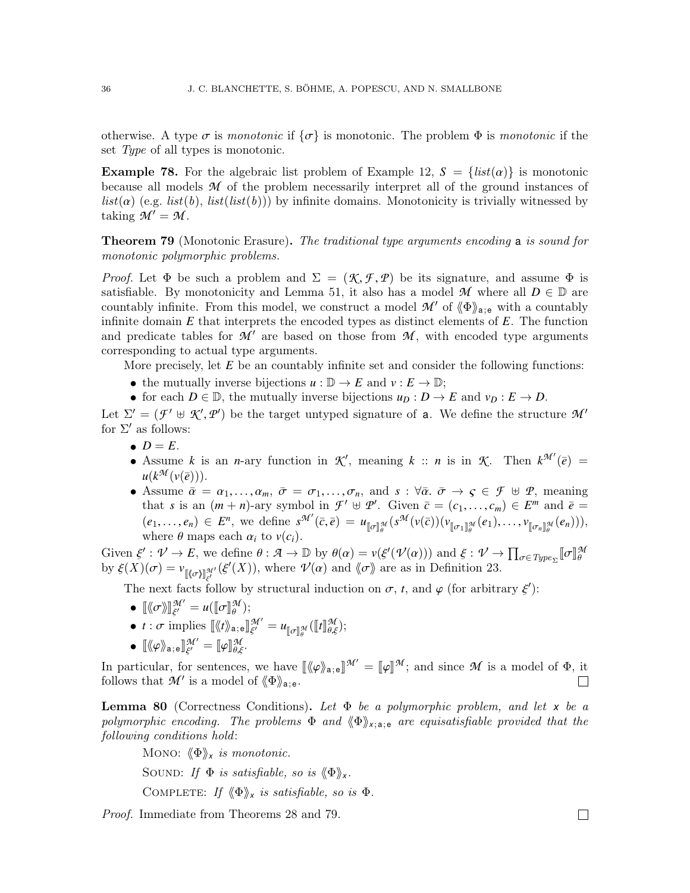otherwise. A type  $\sigma$  is monotonic if  $\{\sigma\}$  is monotonic. The problem  $\Phi$  is monotonic if the set Type of all types is monotonic.

**Example 78.** For the algebraic list problem of Example [12,](#page-5-0)  $S = \{list(\alpha)\}\$ is monotonic because all models *M* of the problem necessarily interpret all of the ground instances of  $list(\alpha)$  (e.g.  $list(b), list(list(b))$ ) by infinite domains. Monotonicity is trivially witnessed by taking  $M' = M$ .

<span id="page-35-0"></span>**Theorem 79** (Monotonic Erasure). The traditional type arguments encoding a is sound for monotonic polymorphic problems.

*Proof.* Let  $\Phi$  be such a problem and  $\Sigma = (\mathcal{K}, \mathcal{F}, \mathcal{P})$  be its signature, and assume  $\Phi$  is satisfiable. By monotonicity and Lemma [51,](#page-23-2) it also has a model  $\mathcal{M}$  where all  $D \in \mathbb{D}$  are countably infinite. From this model, we construct a model  $\mathcal{M}'$  of  $\langle \Phi \rangle_{a,e}$  with a countably infinite domain *E* that interprets the encoded types as distinct elements of *E*. The function and predicate tables for  $\mathcal{M}'$  are based on those from  $\mathcal{M}$ , with encoded type arguments corresponding to actual type arguments.

More precisely, let *E* be an countably infinite set and consider the following functions:

- the mutually inverse bijections  $u : \mathbb{D} \to E$  and  $v : E \to \mathbb{D}$ ;
- for each  $D \in \mathbb{D}$ , the mutually inverse bijections  $u_D : D \to E$  and  $v_D : E \to D$ .

Let  $\Sigma' = (\mathcal{F}' \oplus \mathcal{K}', \mathcal{P}')$  be the target untyped signature of **a**. We define the structure  $\mathcal{M}'$  for  $\Sigma'$  as follows: for  $\Sigma'$  as follows:

- $\bullet$   $D = E$ .
- Assume *k* is an *n*-ary function in  $K'$ , meaning *k* :: *n* is in  $K$ . Then  $k^{\mathcal{M}'}(\bar{e})$  =  $u(k^{\mathcal{M}}(v(\overline{e}))).$
- Assume  $\bar{\alpha} = \alpha_1, \ldots, \alpha_m, \bar{\sigma} = \sigma_1, \ldots, \sigma_n$ , and  $s : \forall \bar{\alpha}, \bar{\sigma} \rightarrow \varsigma \in \mathcal{F} \oplus \mathcal{P}$ , meaning that *s* is an  $(m + n)$ -ary symbol in  $\mathcal{F}' \oplus \mathcal{P}'$ . Given  $\bar{c} = (c_1, \ldots, c_m) \in E^m$  and  $\bar{e} = (c_2, \ldots, c_m) \in E^n$  and  $\bar{e} = (c_3, \ldots, c_m) \in E^n$  $(e_1, \ldots, e_n) \in E^n$ , we define  $s^{\mathcal{M}'}(\bar{c}, \bar{e}) = u_{\llbracket \sigma \rrbracket_{\theta}^{\mathcal{M}}} (s^{\mathcal{M}}(v(\bar{c}))(v)$ <br>where  $\theta$  mans each  $\alpha$ ; to  $v(c)$  $[\![\sigma_1]\!]_{\theta}^{\mathcal{M}}(e_1), \ldots, \nu_{[\![\sigma_n]\!]_{\theta}^{\mathcal{M}}}(e_n)$ )), where  $\theta$  maps each  $\alpha_i$  to  $v(c_i)$ .

Given  $\xi' : \mathcal{V} \to E$ , we define  $\theta : \mathcal{A} \to \mathbb{D}$  by  $\theta(\alpha) = v(\xi'(\mathcal{V}(\alpha)))$  and  $\xi : \mathcal{V} \to \prod_{\sigma \in Type_{\Sigma}} [\sigma]$ <br>by  $\xi(X)(\sigma) = v$   $\leq u(\xi'(X))$  where  $\mathcal{V}(\alpha)$  and  $\langle \sigma \rangle$  are as in Definition 23 *M* by  $\xi(X)(\sigma) = v_{\llbracket (\sigma) \rrbracket_{\xi'}^{M'}}(\xi'(X))$ , where  $\mathcal{V}(\alpha)$  and  $\langle \sigma \rangle$  are as in Definition [23.](#page-10-1)

The next facts follow by structural induction on  $\sigma$ , *t*, and  $\varphi$  (for arbitrary  $\xi'$ ):

- $\bullet \ \llbracket \langle \hspace{-0.2em} \langle \sigma \rangle \rangle \rrbracket_{\xi'}^{\mathcal{M}'} = u(\llbracket \sigma \rrbracket_{\theta}^{\mathcal{M}});$
- $t : \sigma$  implies  $\llbracket \langle \langle t \rangle \rangle_{\mathbf{a};\mathbf{e}} \rrbracket_{\xi'}^{\mathcal{M}'} = u_{\llbracket \sigma \rrbracket_{\theta}^{\mathcal{M}}}(\llbracket t \rrbracket_{\theta,\xi}^{\mathcal{M}});$

ξ

 $\mathbb{L}$ σ

 $\bullet \ [\![\langle \varphi \rangle\!\rangle_{\mathsf{a};\,\mathsf{e}}]\!]_{\xi'}^{\mathcal{M}'} = [\![\varphi]\!]_{\theta,\xi}^{\mathcal{M}}.$ 

In particular, for sentences, we have  $[\langle \varphi \rangle_{a,e}]^{\mathcal{M}'} = [\varphi]^{\mathcal{M}}$ ; and since  $\mathcal M$  is a model of  $\Phi$ , it follows that  $\mathcal M'$  is a model of  $\langle \varphi \rangle$ follows that  $\mathcal{M}'$  is a model of  $\langle \Phi \rangle_{a;e}$ .

<span id="page-35-1"></span>**Lemma 80** (Correctness Conditions). Let  $\Phi$  be a polymorphic problem, and let x be a polymorphic encoding. The problems  $\Phi$  and  $\langle \Phi \rangle_{x; a; e}$  are equisatisfiable provided that the following conditions hold:

Mono:  $\langle \Phi \rangle_{\mathbf{x}}$  *is monotonic.* SOUND: If  $\Phi$  is satisfiable, so is  $\langle \Phi \rangle_{\mathbf{x}}$ . COMPLETE: If  $\langle \Phi \rangle_{\mathsf{x}}$  is satisfiable, so is  $\Phi$ .

Proof. Immediate from Theorems [28](#page-11-0) and [79.](#page-35-0)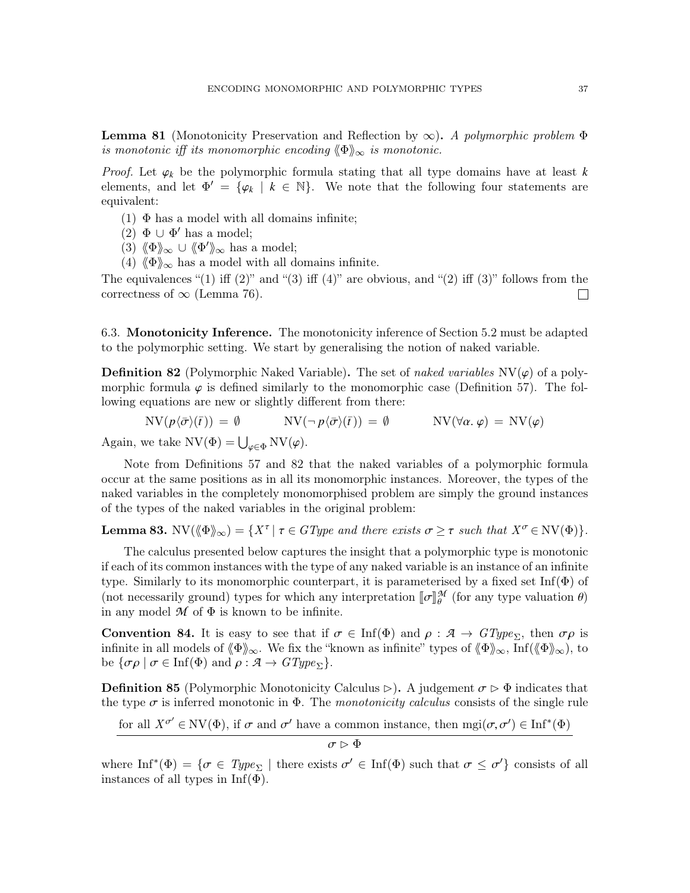<span id="page-36-2"></span>**Lemma 81** (Monotonicity Preservation and Reflection by  $\infty$ ). A polymorphic problem  $\Phi$ is monotonic iff its monomorphic encoding  $\langle \Phi \rangle_{\infty}$  is monotonic.

*Proof.* Let  $\varphi_k$  be the polymorphic formula stating that all type domains have at least  $k$ elements, and let  $\Phi' = {\varphi_k \mid k \in \mathbb{N}}$ . We note that the following four statements are equivalent: equivalent:

- (1)  $\Phi$  has a model with all domains infinite;
- (2)  $\Phi \cup \Phi'$  has a model;
- (3)  $\langle \Phi \rangle_{\infty} \cup \langle \Phi' \rangle_{\infty}$  has a model;
- (4)  $\langle \Phi \rangle_{\infty}$  has a model with all domains infinite.

The equivalences "(1) iff  $(2)$ " and " $(3)$  iff  $(4)$ " are obvious, and " $(2)$  iff  $(3)$ " follows from the correctness of  $\infty$  (Lemma [76\)](#page-33-0).  $\Box$ 

6.3. Monotonicity Inference. The monotonicity inference of Section [5.2](#page-25-1) must be adapted to the polymorphic setting. We start by generalising the notion of naked variable.

<span id="page-36-0"></span>**Definition 82** (Polymorphic Naked Variable). The set of naked variables  $\text{NV}(\varphi)$  of a polymorphic formula  $\varphi$  is defined similarly to the monomorphic case (Definition [57\)](#page-25-2). The following equations are new or slightly different from there:

 $NV(p\langle\bar{\sigma}\rangle(\bar{t})) = \emptyset$   $NV(\neg p\langle\bar{\sigma}\rangle(\bar{t})) = \emptyset$   $NV(\forall\alpha, \varphi) = NV(\varphi)$ Again, we take  $\mathrm{NV}(\Phi) = \bigcup_{\varphi \in \Phi} \mathrm{NV}(\varphi)$ .

Note from Definitions [57](#page-25-2) and [82](#page-36-0) that the naked variables of a polymorphic formula occur at the same positions as in all its monomorphic instances. Moreover, the types of the naked variables in the completely monomorphised problem are simply the ground instances of the types of the naked variables in the original problem:

**Lemma 83.** NV( $\langle \Phi \rangle_{\infty}$ ) = {X<sup> $\tau$ </sup> |  $\tau \in GType$  and there exists  $\sigma \geq \tau$  such that  $X^{\sigma} \in \mathrm{NV}(\Phi)$ }.

The calculus presented below captures the insight that a polymorphic type is monotonic if each of its common instances with the type of any naked variable is an instance of an infinite type. Similarly to its monomorphic counterpart, it is parameterised by a fixed set  $\text{Inf}(\Phi)$  of (not necessarily ground) types for which any interpretation  $[\![\sigma]\!]_{\theta}^{\mathcal{M}}$ <br>in any model  $\mathcal{M}$  of  $\Phi$  is known to be infinite  $\frac{\partial \mathcal{U}}{\partial \theta}$  (for any type valuation  $\theta$ ) in any model  $M$  of  $\Phi$  is known to be infinite.

<span id="page-36-1"></span>**Convention 84.** It is easy to see that if  $\sigma \in \text{Inf}(\Phi)$  and  $\rho : \mathcal{A} \to GType_{\Sigma}$ , then  $\sigma \rho$  is infinite in all models of  $\langle \Phi \rangle_{\infty}$ . We fix the "known as infinite" types of  $\langle \Phi \rangle_{\infty}$ , Inf( $\langle \Phi \rangle_{\infty}$ ), to be  $\{\sigma \rho \mid \sigma \in \text{Inf}(\Phi) \text{ and } \rho : A \to GType_{\Sigma}\}.$ 

**Definition 85** (Polymorphic Monotonicity Calculus  $\triangleright$ ). A judgement  $\sigma \triangleright \Phi$  indicates that the type  $\sigma$  is inferred monotonic in  $\Phi$ . The monotonicity calculus consists of the single rule

for all  $X^{\sigma'} \in \text{NV}(\Phi)$ , if  $\sigma$  and  $\sigma'$  have a common instance, then  $\text{mgi}(\sigma, \sigma') \in \text{Inf}^*(\Phi)$ 

$$
\sigma \rhd \Phi
$$

where  $\text{Inf}^*(\Phi) = \{ \sigma \in \text{Type}_{\Sigma} \mid \text{there exists } \sigma' \in \text{Inf}(\Phi) \text{ such that } \sigma \leq \sigma' \}$  consists of all types in  $\text{Inf}(\Phi)$ instances of all types in  $Inf(\Phi)$ .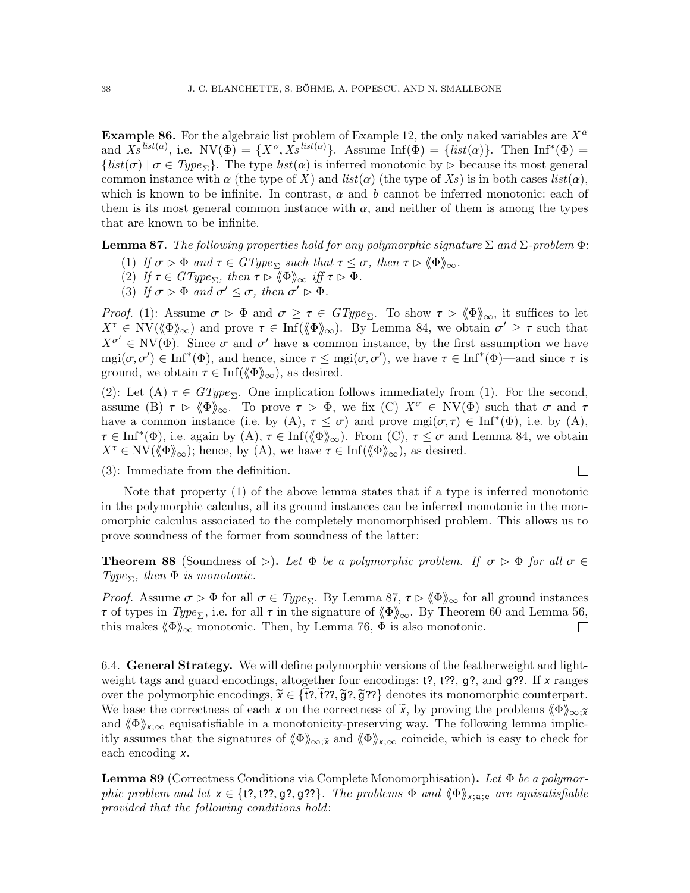**Example 86.** For the algebraic list problem of Example [12,](#page-5-0) the only naked variables are  $X^{\alpha}$ and  $X_s^{list(a)}$ , i.e.  $NV(\Phi) = \{X^a, X_s^{list(a)}\}$ . Assume  $Inf(\Phi) = \{list(a)\}$ . Then  $Inf^*(\Phi) = \{list(\sigma) \mid \sigma \in Time_s\}$ . The type  $list(\alpha)$  is inferred monotonic by  $\triangleright$  because its most general  $\{list(\sigma) | \sigma \in Type_{\Sigma}\}.$  The type  $list(\alpha)$  is inferred monotonic by  $\triangleright$  because its most general common instance with  $\alpha$  (the type of X) and list( $\alpha$ ) (the type of Xs) is in both cases list( $\alpha$ ), which is known to be infinite. In contrast,  $\alpha$  and  $b$  cannot be inferred monotonic: each of them is its most general common instance with  $\alpha$ , and neither of them is among the types that are known to be infinite.

<span id="page-37-0"></span>**Lemma 87.** The following properties hold for any polymorphic signature  $\Sigma$  and  $\Sigma$ -problem  $\Phi$ :

- (1) If  $\sigma \triangleright \Phi$  and  $\tau \in GType_{\Sigma}$  such that  $\tau \leq \sigma$ , then  $\tau \triangleright \langle \Phi \rangle_{\infty}$ .
- (2) If  $\tau \in GType_{\Sigma}$ , then  $\tau \rhd \langle \Phi \rangle_{\infty}$  iff  $\tau \rhd \Phi$ .
- (3) If  $\sigma \rhd \Phi$  and  $\sigma' \leq \sigma$ , then  $\sigma' \rhd \Phi$ .

Proof. (1): Assume  $\sigma \triangleright \Phi$  and  $\sigma \geq \tau \in GType_{\Sigma}$ . To show  $\tau \triangleright \langle \Phi \rangle_{\infty}$ , it suffices to let  $X^{\tau} \in \text{NV}(\langle \phi \rangle)$  and prove  $\tau \in \text{Inf}(\langle \phi \rangle)$ . By Lemma [84,](#page-36-1) we obtain  $\sigma' \geq \tau$  such that  $Y^{\sigma'} \subset \text{NV}(\phi)$ . Since  $\tau$  and  $\sigma'$  have a common instance by the first assumption we have  $X^{\sigma'} \in \text{NV}(\Phi)$ . Since  $\sigma$  and  $\sigma'$  have a common instance, by the first assumption we have  $\text{res}(\sigma, \sigma') \in \text{Inf}^*(\Phi)$  and hence since  $\tau \leq \text{res}(\sigma, \sigma')$  we have  $\tau \in \text{Inf}^*(\Phi)$  and since  $\tau$  is mgi( $\sigma, \sigma'$ )  $\in$  Inf<sup>\*</sup>( $\Phi$ ), and hence, since  $\tau \le$  mgi( $\sigma, \sigma'$ ), we have  $\tau \in$  Inf<sup>\*</sup>( $\Phi$ )—and since  $\tau$  is ground we obtain  $\tau \in$  Inf( $\ell \Phi$ ) as desired ground, we obtain  $\tau \in \text{Inf}(\langle \Phi \rangle)_{\infty}$ , as desired.

(2): Let (A)  $\tau \in GType_{\Sigma}$ . One implication follows immediately from (1). For the second, assume (B)  $\tau \triangleright \langle \Phi \rangle_{\infty}$ . To prove  $\tau \triangleright \Phi$ , we fix (C)  $X^{\sigma} \in \mathrm{NV}(\Phi)$  such that  $\sigma$  and  $\tau$ have a common instance (i.e. by (A),  $\tau \leq \sigma$ ) and prove mgi( $\sigma, \tau$ )  $\in$  Inf<sup>\*</sup>( $\Phi$ ), i.e. by (A),  $\tau \in$  Inf<sup>\*</sup>( $\Phi$ ) i.e. again by (A),  $\tau \in$  Inf( $\ell \gg 0$ ). From (C),  $\tau \leq \sigma$  and Lemma 84, we obtain  $\tau \in \text{Inf}^*(\Phi)$ , i.e. again by  $(A)$ ,  $\tau \in \text{Inf}(\langle \Phi \rangle_{\infty})$ . From  $(C)$ ,  $\tau \leq \sigma$  and Lemma [84,](#page-36-1) we obtain  $X^{\tau} \in \text{NV}(\ell \Phi)$ .  $X^{\tau} \in \text{NV}(\langle \phi \rangle)_{\infty}$ ; hence, by (A), we have  $\tau \in \text{Inf}(\langle \phi \rangle)_{\infty}$ , as desired.

(3): Immediate from the definition.

Note that property (1) of the above lemma states that if a type is inferred monotonic in the polymorphic calculus, all its ground instances can be inferred monotonic in the monomorphic calculus associated to the completely monomorphised problem. This allows us to prove soundness of the former from soundness of the latter:

 $\Box$ 

**Theorem 88** (Soundness of  $\triangleright$ ). Let  $\Phi$  be a polymorphic problem. If  $\sigma \triangleright \Phi$  for all  $\sigma \in$ Type<sub> $\Sigma$ </sub>, then  $\Phi$  is monotonic.

*Proof.* Assume  $\sigma \triangleright \Phi$  for all  $\sigma \in Type_{\Sigma}$ . By Lemma [87,](#page-37-0)  $\tau \triangleright \langle \Phi \rangle_{\infty}$  for all ground instances  $τ$  of types in  $Type_{\Sigma}$ , i.e. for all  $τ$  in the signature of  $\langle \Phi \rangle_{\infty}$ . By Theorem [60](#page-26-0) and Lemma [56,](#page-25-0) this makes  $\langle \Phi \rangle_{\infty}$  monotonic. Then, by Lemma 76,  $\Phi$  is also monotonic. this makes  $\langle \Phi \rangle_{\infty}$  monotonic. Then, by Lemma [76,](#page-33-0)  $\Phi$  is also monotonic.

6.4. General Strategy. We will define polymorphic versions of the featherweight and lightweight tags and guard encodings, altogether four encodings: t?, t??, g?, and g??. If *x* ranges over the polymorphic encodings,  $\tilde{\chi} \in \{1, 7, 7, \tilde{g}, 7, \tilde{g}\}$  denotes its monomorphic counterpart. We base the correctness of each *x* on the correctness of  $\tilde{\mathsf{x}}$ , by proving the problems  $\langle \Phi \rangle_{\infty, \tilde{\mathsf{x}}}$ and  $\langle \Phi \rangle_{\mathsf{x};\infty}$  equisatisfiable in a monotonicity-preserving way. The following lemma implicitly assumes that the signatures of  $\langle \Phi \rangle_{\infty,\tilde{x}}$  and  $\langle \Phi \rangle_{x,\infty}$  coincide, which is easy to check for each encoding *x*.

<span id="page-37-1"></span>**Lemma 89** (Correctness Conditions via Complete Monomorphisation). Let  $\Phi$  be a polymorphic problem and let  $x \in \{t$ ?, t??, g?, g??}. The problems  $\Phi$  and  $\langle \Phi \rangle_{x; a; e}$  are equisatisfiable provided that the following conditions hold: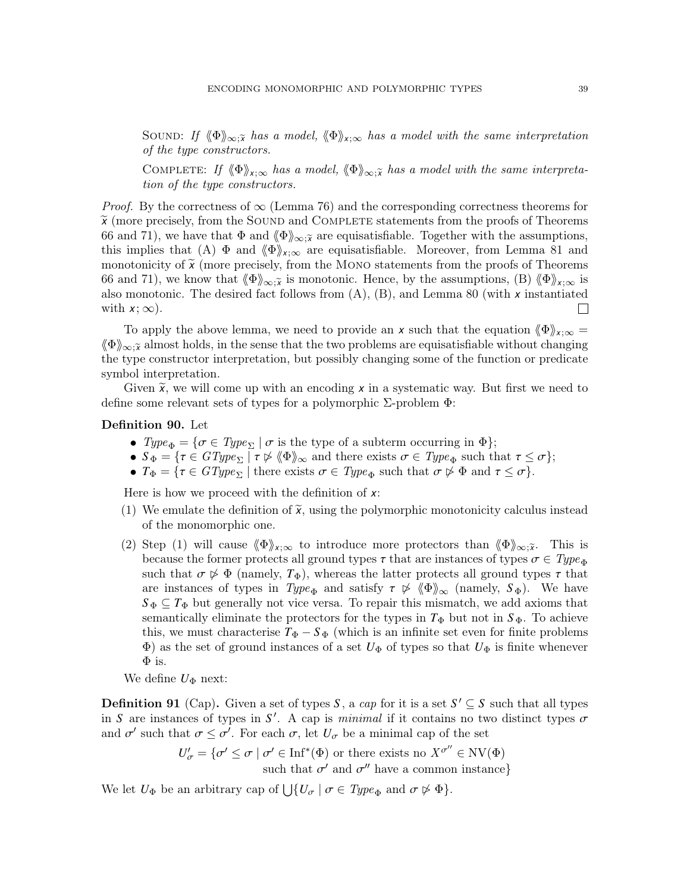SOUND: If  $\langle \Phi \rangle_{\infty;\tilde{x}}$  has a model,  $\langle \Phi \rangle_{x;\infty}$  has a model with the same interpretation of the type constructors.

COMPLETE: If  $\langle \Phi \rangle_{\mathsf{x};\infty}$  has a model,  $\langle \Phi \rangle_{\infty;\tilde{\mathsf{x}}}$  has a model with the same interpretation of the type constructors.

*Proof.* By the correctness of  $\infty$  (Lemma [76\)](#page-33-0) and the corresponding correctness theorems for  $\tilde{\chi}$  (more precisely, from the SOUND and COMPLETE statements from the proofs of Theorems [66](#page-29-0) and [71\)](#page-31-0), we have that  $\Phi$  and  $\langle \Phi \rangle_{\infty; \tilde{\chi}}$  are equisatisfiable. Together with the assumptions, this implies that (A)  $\Phi$  and  $\langle \Phi \rangle_{\mathsf{x}:\infty}$  are equisatisfiable. Moreover, from Lemma [81](#page-36-2) and monotonicity of  $\tilde{x}$  (more precisely, from the MONO statements from the proofs of Theorems [66](#page-29-0) and [71\)](#page-31-0), we know that  $\langle \Phi \rangle_{\infty;\tilde{x}}$  is monotonic. Hence, by the assumptions, (B)  $\langle \Phi \rangle_{x;\infty}$  is also monotonic. The desired fact follows from (A), (B), and Lemma [80](#page-35-1) (with *x* instantiated with  $x$ ;  $\infty$ ).  $\Box$ 

To apply the above lemma, we need to provide an *x* such that the equation  $\langle \Phi \rangle_{x:\infty} =$  $\langle \Phi \rangle_{\infty;\tilde{\chi}}$  almost holds, in the sense that the two problems are equisatisfiable without changing the type constructor interpretation, but possibly changing some of the function or predicate symbol interpretation.

Given  $\widetilde{\mathbf{x}}$ , we will come up with an encoding x in a systematic way. But first we need to define some relevant sets of types for a polymorphic Σ-problem Φ:

### Definition 90. Let

- $Type_{\Phi} = {\sigma \in Type_{\Sigma} | \sigma \text{ is the type of a subterm occurring in } \Phi};$
- $S_{\Phi} = \{ \tau \in GType_{\Sigma} \mid \tau \not\triangleright \langle \Phi \rangle_{\infty} \text{ and there exists } \sigma \in Type_{\Phi} \text{ such that } \tau \leq \sigma \};$
- $T_{\Phi} = \{\tau \in GType_{\Sigma} \mid \text{there exists } \sigma \in Type_{\Phi} \text{ such that } \sigma \not\triangleright \Phi \text{ and } \tau \leq \sigma \}.$

Here is how we proceed with the definition of *x*:

- (1) We emulate the definition of  $\tilde{\mathbf{x}}$ , using the polymorphic monotonicity calculus instead of the monomorphic one.
- (2) Step (1) will cause  $\langle \Phi \rangle_{\mathsf{x};\infty}$  to introduce more protectors than  $\langle \Phi \rangle_{\infty;\tilde{\mathsf{x}}}$ . This is because the former protects all ground types  $\tau$  that are instances of types  $\sigma \in Type_{\Phi}$ such that  $\sigma \not\triangleright \Phi$  (namely,  $T_{\Phi}$ ), whereas the latter protects all ground types  $\tau$  that are instances of types in Type<sub> $\Phi$ </sub> and satisfy  $\tau \not\triangleright \langle \Phi \rangle_{\infty}$  (namely,  $S_{\Phi}$ ). We have  $S_{\Phi} \subseteq T_{\Phi}$  but generally not vice versa. To repair this mismatch, we add axioms that semantically eliminate the protectors for the types in  $T_{\Phi}$  but not in  $S_{\Phi}$ . To achieve this, we must characterise  $T_{\Phi} - S_{\Phi}$  (which is an infinite set even for finite problems  $\Phi$ ) as the set of ground instances of a set  $U_{\Phi}$  of types so that  $U_{\Phi}$  is finite whenever  $\Phi$  is.

We define  $U_{\Phi}$  next:

**Definition 91** (Cap). Given a set of types *S*, a cap for it is a set  $S' \subseteq S$  such that all types in *S* are instances of types in *S'*. A cap is *minimal* if it contains no two distinct types  $\sigma$ <br>and  $\sigma'$  such that  $\sigma \leq \sigma'$ . For each  $\sigma$  let *U* be a minimal cap of the set and  $\sigma'$  such that  $\sigma \leq \sigma'$ . For each  $\sigma$ , let  $U_{\sigma}$  be a minimal cap of the set

 $U'_{\sigma} = {\sigma' \leq \sigma \mid \sigma' \in \text{Inf}^*(\Phi) \text{ or there exists no } X^{\sigma''} \in \text{NV}(\Phi)}$ such that  $\sigma'$  and  $\sigma''$  have a common instance}

We let  $U_{\Phi}$  be an arbitrary cap of  $\bigcup \{U_{\sigma} | \sigma \in Type_{\Phi} \text{ and } \sigma \not\rhd \Phi\}.$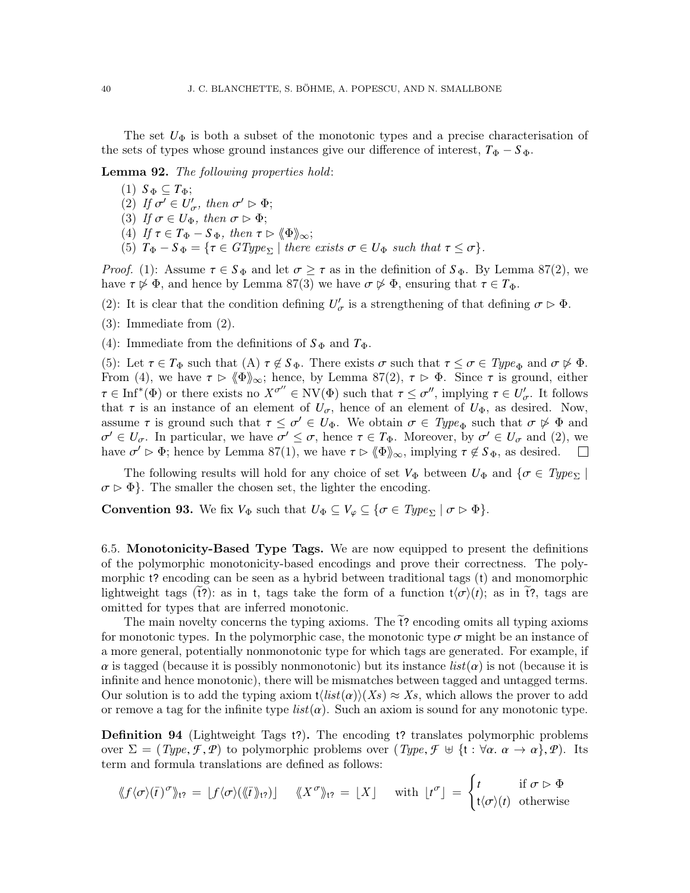The set  $U_{\Phi}$  is both a subset of the monotonic types and a precise characterisation of the sets of types whose ground instances give our difference of interest,  $T_{\Phi} - S_{\Phi}$ .

<span id="page-39-2"></span>Lemma 92. The following properties hold:

- $(1)$   $S_{\Phi} \subseteq T_{\Phi};$
- (2) If  $\sigma' \in U'_{\sigma}$ , then  $\sigma' \triangleright \Phi$ ;<br>(3) If  $\sigma \in U_{\sigma}$ , then  $\sigma \triangleright \Phi$ .
- (3) If  $\sigma \in U_{\Phi}$ , then  $\sigma \triangleright \Phi$ ;
- (4) If  $\tau \in T_{\Phi} S_{\Phi}$ , then  $\tau \triangleright \langle \Phi \rangle_{\infty}$ ;
- (5)  $T_{\Phi} S_{\Phi} = \{ \tau \in GType_{\Sigma} \mid \text{there exists } \sigma \in U_{\Phi} \text{ such that } \tau \leq \sigma \}.$

*Proof.* (1): Assume  $\tau \in S_{\Phi}$  and let  $\sigma \geq \tau$  as in the definition of  $S_{\Phi}$ . By Lemma [87\(](#page-37-0)2), we have  $\tau \not\triangleright \Phi$ , and hence by Lemma [87\(](#page-37-0)3) we have  $\sigma \not\triangleright \Phi$ , ensuring that  $\tau \in T_{\Phi}$ .

- (2): It is clear that the condition defining  $U'_{\sigma}$  is a strengthening of that defining  $\sigma \triangleright \Phi$ .
- (3): Immediate from (2).
- (4): Immediate from the definitions of  $S_{\Phi}$  and  $T_{\Phi}$ .

(5): Let  $\tau \in T_{\Phi}$  such that  $(A)$   $\tau \notin S_{\Phi}$ . There exists  $\sigma$  such that  $\tau \leq \sigma \in Type_{\Phi}$  and  $\sigma \not\triangleright \Phi$ . From (4), we have  $\tau \triangleright \langle \Phi \rangle_{\infty}$ ; hence, by Lemma [87\(](#page-37-0)2),  $\tau \triangleright \Phi$ . Since  $\tau$  is ground, either  $\tau \in \text{Inf}^*(\Phi)$  or there exists no  $X^{\sigma''} \in \text{NV}(\Phi)$  such that  $\tau \leq \sigma''$ , implying  $\tau \in U'_{\sigma}$ . It follows that  $\tau$  is an instance of an element of  $U$ , hence of an element of  $U_{\sigma}$ , as desired. Now that  $\tau$  is an instance of an element of  $U_{\sigma}$ , hence of an element of  $U_{\Phi}$ , as desired. Now, assume  $\tau$  is ground such that  $\tau \leq \sigma' \in U_{\Phi}$ . We obtain  $\sigma \in Type_{\Phi}$  such that  $\sigma \not\triangleright \Phi$  and  $\sigma' \in U$  in particular, we have  $\sigma' \leq \sigma$  bence  $\tau \in T_{\Phi}$ . Moreover, by  $\sigma' \in U$  and (2) we have  $\sigma' \triangleright \Phi$ ; hence by Lemma [87\(](#page-37-0)1), we have  $\tau \triangleright \langle \Phi \rangle_{\infty}$ , implying  $\tau \notin S_{\Phi}$ , as desired.  $0' \in U_{\sigma}$ . In particular, we have  $\sigma' \leq \sigma$ , hence  $\tau \in T_{\Phi}$ . Moreover, by  $\sigma' \in U_{\sigma}$  and (2), we are  $\sigma' \in \Phi$  hence by Lemma 87(1), we have  $\tau \in \mathbb{Z}^{\mathbb{N}}$  implying  $\tau \notin S_{\sigma}$  as desired

The following results will hold for any choice of set  $V_{\Phi}$  between  $U_{\Phi}$  and  $\{\sigma \in Type_{\Sigma}\}\$  $\sigma \triangleright \Phi$ . The smaller the chosen set, the lighter the encoding.

**Convention 93.** We fix  $V_{\Phi}$  such that  $U_{\Phi} \subseteq V_{\varphi} \subseteq {\sigma \in Type_{\Sigma} | \sigma \triangleright \Phi}$ .

<span id="page-39-0"></span>6.5. Monotonicity-Based Type Tags. We are now equipped to present the definitions of the polymorphic monotonicity-based encodings and prove their correctness. The polymorphic t? encoding can be seen as a hybrid between traditional tags (t) and monomorphic lightweight tags (t?): as in t, tags take the form of a function  $t\langle\sigma\rangle(t)$ ; as in t?, tags are omitted for types that are inferred monotonic.

The main novelty concerns the typing axioms. The  $\tilde{t}$ ? encoding omits all typing axioms for monotonic types. In the polymorphic case, the monotonic type  $\sigma$  might be an instance of a more general, potentially nonmonotonic type for which tags are generated. For example, if  $\alpha$  is tagged (because it is possibly nonmonotonic) but its instance  $list(\alpha)$  is not (because it is infinite and hence monotonic), there will be mismatches between tagged and untagged terms. Our solution is to add the typing axiom  $t(list(\alpha) \setminus (X_s) \approx X_s$ , which allows the prover to add or remove a tag for the infinite type  $list(\alpha)$ . Such an axiom is sound for any monotonic type.

<span id="page-39-1"></span>Definition 94 (Lightweight Tags t?). The encoding t? translates polymorphic problems over  $\Sigma = (Type, \mathcal{F}, \mathcal{P})$  to polymorphic problems over  $Type, \mathcal{F} \oplus \{\mathfrak{t} : \forall \alpha \ldotp \alpha \to \alpha\}, \mathcal{P})$ . Its term and formula translations are defined as follows:

$$
\langle f \langle \sigma \rangle(\bar{t})^{\sigma} \rangle_{t?} = [f \langle \sigma \rangle(\langle \bar{t} \rangle_{t?})] \quad \langle \langle X^{\sigma} \rangle_{t?} = [X] \quad \text{with } [t^{\sigma}] = \begin{cases} t & \text{if } \sigma \triangleright \Phi \\ t \langle \sigma \rangle(t) & \text{otherwise} \end{cases}
$$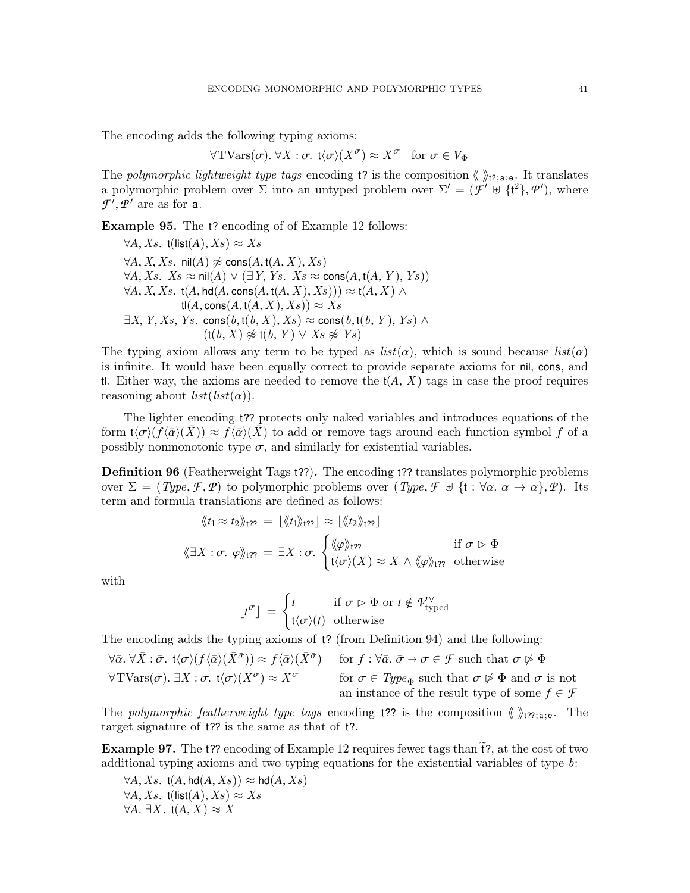The encoding adds the following typing axioms:

$$
\forall \text{TVars}(\sigma). \ \forall X : \sigma. \ \mathsf{t}\langle \sigma \rangle(X^{\sigma}) \approx X^{\sigma} \quad \text{for } \sigma \in V_{\Phi}
$$

The polymorphic lightweight type tags encoding t? is the composition  $\langle \rangle_{t^2; a; e}$ . It translates a polymorphic problem over  $\Sigma$  into an untyped problem over  $\Sigma' = (\mathcal{F}' \oplus {\mathfrak{t}'}^2, \mathcal{P}')$ , where  $\mathcal{F}'$  *Q'* are as for a  $\mathcal{F}', \mathcal{P}'$  are as for **a**.

Example 95. The t? encoding of of Example [12](#page-5-0) follows:

 $\forall A, Xs$ . t(list(A),  $Xs$ )  $\approx Xs$  $\forall A, X, Xs$ . nil(*A*)  $\not\approx$  cons(*A*, t(*A*, *X*), *Xs*)  $\forall A, Xs$ . Xs ≈ nil(*A*)  $\lor$  (∃*Y*, *Ys*. Xs ≈ cons(*A*, t(*A*, *Y*), *Ys*))  $\forall A, X, Xs$ . t(*A*, hd(*A*, cons(*A*, t(*A*, *X*), *Xs*)))  $\approx$  t(*A*, *X*)  $\land$  $t(A, \text{cons}(A, t(A, X), X_S)) \approx X_S$  $\exists X, Y, Xs, Ys.$  cons $(b, t(b, X), Xs) \approx \text{cons}(b, t(b, Y), Ys) \wedge$  $(t(b, X) \not\approx t(b, Y) \vee Xs \not\approx Ys)$ 

The typing axiom allows any term to be typed as  $list(\alpha)$ , which is sound because  $list(\alpha)$ is infinite. It would have been equally correct to provide separate axioms for nil, cons, and tl. Either way, the axioms are needed to remove the  $t(A, X)$  tags in case the proof requires reasoning about  $list(list(\alpha))$ .

The lighter encoding t?? protects only naked variables and introduces equations of the form  $t\langle\sigma\rangle(f\langle\bar{\alpha}\rangle(X)) \approx f\langle\bar{\alpha}\rangle(X)$  to add or remove tags around each function symbol f of a possibly nonmonotonic type  $\sigma$ , and similarly for existential variables.

<span id="page-40-0"></span>Definition 96 (Featherweight Tags t??). The encoding t?? translates polymorphic problems over  $\Sigma = (Type, \mathcal{F}, \mathcal{P})$  to polymorphic problems over  $Type, \mathcal{F} \oplus \{\mathfrak{t} : \forall \alpha \ldotp \alpha \to \alpha\}, \mathcal{P})$ . Its term and formula translations are defined as follows:

$$
\langle \langle t_1 \approx t_2 \rangle \rangle_{t\gamma} = \lfloor \langle \langle t_1 \rangle \rangle_{t\gamma} \rfloor \approx \lfloor \langle \langle t_2 \rangle \rangle_{t\gamma} \rfloor
$$
\n
$$
\langle \langle \exists X : \sigma, \varphi \rangle \rangle_{t\gamma} = \exists X : \sigma, \begin{cases} \langle \langle \varphi \rangle \rangle_{t\gamma} & \text{if } \sigma \vartriangleright \Phi \\ t \langle \sigma \rangle(X) \approx X \wedge \langle \varphi \rangle_{t\gamma} & \text{otherwise} \end{cases}
$$

with

$$
\lfloor t^{\sigma} \rfloor = \begin{cases} t & \text{if } \sigma \vartriangleright \Phi \text{ or } t \notin \mathcal{V}_{\text{typed}}^{\forall} \\ t \langle \sigma \rangle(t) & \text{otherwise} \end{cases}
$$

The encoding adds the typing axioms of t? (from Definition [94\)](#page-39-1) and the following:

$$
\forall \bar{\alpha}. \forall \bar{X}: \bar{\sigma}. \ t\langle \sigma \rangle(f\langle \bar{\alpha} \rangle(\bar{X}^{\bar{\sigma}})) \approx f\langle \bar{\alpha} \rangle(\bar{X}^{\bar{\sigma}}) \quad \text{for } f: \forall \bar{\alpha}. \ \bar{\sigma} \to \sigma \in \mathcal{F} \text{ such that } \sigma \not\rhd \Phi
$$
  

$$
\forall \text{TVars}(\sigma). \ \exists X: \sigma. \ t\langle \sigma \rangle(X^{\sigma}) \approx X^{\sigma} \quad \text{for } \sigma \in \text{Type}_{\Phi} \text{ such that } \sigma \not\rhd \Phi \text{ and } \sigma \text{ is not}
$$
  
an instance of the result type of some  $f \in \mathcal{F}$ 

The polymorphic featherweight type tags encoding t?? is the composition  $\langle \rangle_{t?}$ <sub>ia;e</sub>. The target signature of t?? is the same as that of t?.

**Example 97.** The t?? encoding of Example [12](#page-5-0) requires fewer tags than  $\tilde{t}$ ?, at the cost of two additional typing axioms and two typing equations for the existential variables of type b:

 $\forall A, Xs.$  t $(A, \text{hd}(A, Xs)) \approx \text{hd}(A, Xs)$  $\forall A, Xs.$  t(list(A),  $Xs$ )  $\approx Xs$  $\forall A. \exists X.$  t(*A*, *X*) ≈ X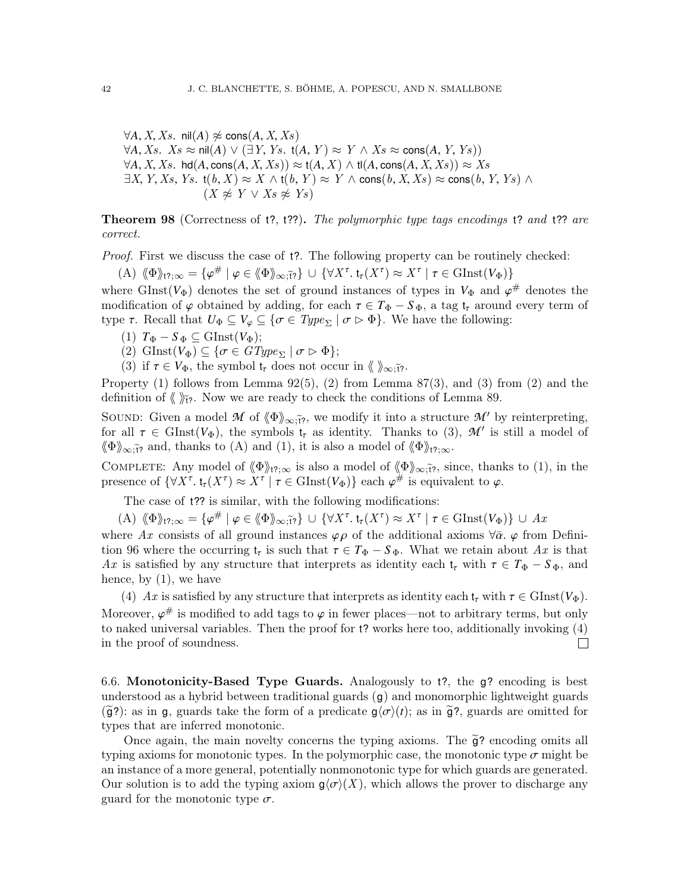$\forall A, X, Xs$ . nil(*A*)  $\not\approx$  cons(*A*, *X*, *Xs*)  $\forall A, Xs$ .  $Xs$  ≈ nil(*A*)  $\lor$  (∃*Y*, *Ys*. t(*A*, *Y*) ≈ *Y* ∧  $Xs$  ≈ cons(*A*, *Y*, *Ys*))  $\forall A, X, Xs.$  hd $(A, \text{cons}(A, X, Xs)) \approx t(A, X) \wedge t(A, \text{cons}(A, X, Xs)) \approx Xs$  $\exists X, Y, Xs, Ys.$  t $(b, X) \approx X \wedge (b, Y) \approx Y \wedge \text{cons}(b, X, Xs) \approx \text{cons}(b, Y, Ys) \wedge$  $(X \not\approx Y \vee X_s \not\approx Y_s)$ 

<span id="page-41-1"></span>**Theorem 98** (Correctness of t?, t??). The polymorphic type tags encodings t? and t?? are correct.

Proof. First we discuss the case of  $t$ ?. The following property can be routinely checked:

 $(A) \langle \Phi \rangle_{t^2;\infty} = {\varphi^\# \mid \varphi \in \langle \Phi \rangle_{\infty;\tilde{t}^2}} \cup {\{ \forall X^\tau \cdot t_\tau(X^\tau) \approx X^\tau \mid \tau \in \text{GInst}(V_{\Phi}) \}}$ 

where GInst( $V_{\Phi}$ ) denotes the set of ground instances of types in  $V_{\Phi}$  and  $\varphi^{\#}$  denotes the modification of  $\varphi$  obtained by adding for each  $\tau \in T_{\pm} - S_{\pm}$  a tag t around every term of modification of  $\varphi$  obtained by adding, for each  $\tau \in T_{\Phi} - S_{\Phi}$ , a tag  $t_{\tau}$  around every term of type  $\tau$ . Recall that  $U_{\Phi} \subseteq V_{\varphi} \subseteq {\sigma \in Type_{\Sigma} | \sigma \triangleright \Phi}$ . We have the following:

- $(T)$   $T_{\Phi} S_{\Phi} \subseteq \text{GInst}(V_{\Phi})$ ;
- (2) GInst( $V_{\Phi}$ )  $\subseteq \{ \sigma \in GType_{\Sigma} \mid \sigma \vartriangleright \Phi \};$
- (3) if  $\tau \in V_{\Phi}$ , the symbol  $t_{\tau}$  does not occur in  $\langle \rangle_{\infty}$ ;*{\tirest}*.

Property  $(1)$  follows from Lemma  $92(5)$ ,  $(2)$  from Lemma  $87(3)$ , and  $(3)$  from  $(2)$  and the definition of  $\langle \rangle_{\tilde{r}z}$ . Now we are ready to check the conditions of Lemma [89.](#page-37-1)

SOUND: Given a model *M* of  $\langle \Phi \rangle_{\infty}$ ; we modify it into a structure *M'* by reinterpreting, for all  $\tau \in \text{GInst}(V_{\Phi})$ , the symbols  $t_{\tau}$  as identity. Thanks to (3),  $\mathcal{M}'$  is still a model of  $\|\Phi\|$ .  $\langle \Phi \rangle_{\infty,\tilde{t}}$  and, thanks to (A) and (1), it is also a model of  $\langle \Phi \rangle_{t^2;\infty}$ .

COMPLETE: Any model of  $\langle \Phi \rangle_{t^2;\infty}$  is also a model of  $\langle \Phi \rangle_{\infty;\tilde{t}^2}$ , since, thanks to (1), in the presence of  $\{\forall X^{\tau}, \mathbf{t}_{\tau}(X^{\tau}) \approx X^{\tau} \mid \tau \in \text{GInst}(V_{\Phi})\}$  each  $\varphi^{\#}$  is equivalent to  $\varphi$ .

The case of  $t$ ?? is similar, with the following modifications:

(A)  $\langle \Phi \rangle_{17;\infty} = {\varphi^{\#} | \varphi \in \langle \Phi \rangle_{\infty,\tilde{17}}} \cup {\forall X^{\tau}, t_{\tau}(X^{\tau}) \approx X^{\tau} | \tau \in \text{GInst}(V_{\Phi})} \cup Ax$ 

where Ax consists of all ground instances  $\varphi \rho$  of the additional axioms  $\forall \bar{\alpha}$ .  $\varphi$  from Defini-tion [96](#page-40-0) where the occurring  $t_{\tau}$  is such that  $\tau \in T_{\Phi} - S_{\Phi}$ . What we retain about Ax is that Ax is satisfied by any structure that interprets as identity each  $t_{\tau}$  with  $\tau \in T_{\Phi} - S_{\Phi}$ , and hence, by (1), we have

(4) Ax is satisfied by any structure that interprets as identity each  $t_{\tau}$  with  $\tau \in \text{GInst}(V_{\Phi})$ . Moreover,  $\varphi^{\#}$  is modified to add tags to  $\varphi$  in fewer places—not to arbitrary terms, but only<br>to naked universal variables. Then the proof for t? works here too, additionally invoking (4) to naked universal variables. Then the proof for t? works here too, additionally invoking (4) in the proof of soundness.  $\Box$ 

<span id="page-41-0"></span>6.6. Monotonicity-Based Type Guards. Analogously to t?, the g? encoding is best understood as a hybrid between traditional guards  $(q)$  and monomorphic lightweight guards  $(\tilde{\mathfrak{g}}')$ : as in g, guards take the form of a predicate  $g\langle\sigma\rangle(t)$ ; as in  $\tilde{g}$ ?, guards are omitted for types that are inferred monotonic.

Once again, the main novelty concerns the typing axioms. The  $\tilde{g}$ ? encoding omits all typing axioms for monotonic types. In the polymorphic case, the monotonic type  $\sigma$  might be an instance of a more general, potentially nonmonotonic type for which guards are generated. Our solution is to add the typing axiom  $g(\sigma)(X)$ , which allows the prover to discharge any guard for the monotonic type  $\sigma$ .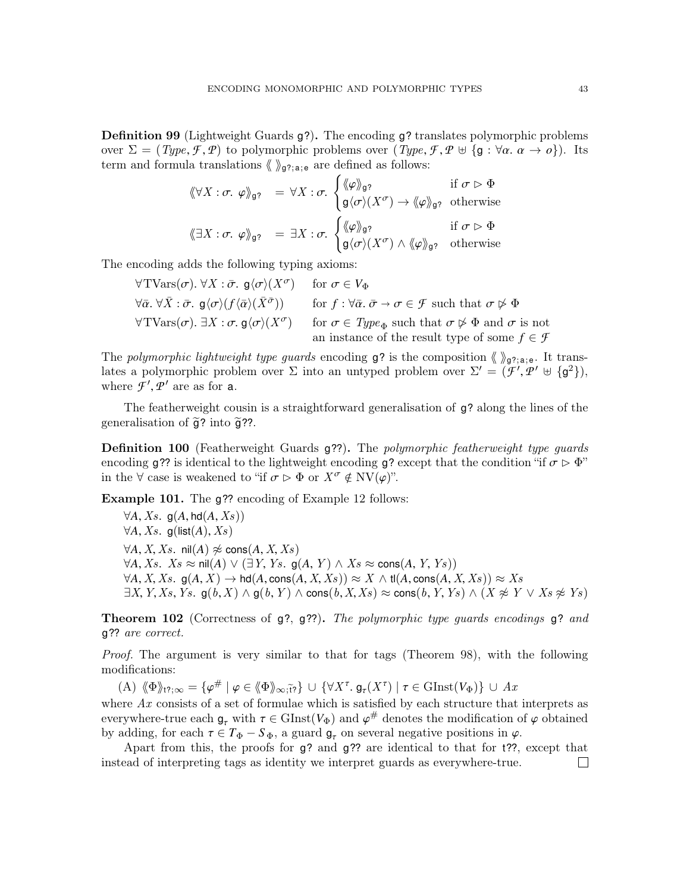Definition 99 (Lightweight Guards g?). The encoding g? translates polymorphic problems over  $\Sigma = (Type, \mathcal{F}, \mathcal{P})$  to polymorphic problems over  $(Type, \mathcal{F}, \mathcal{P} \cup \{g : \forall \alpha \ldotp \alpha \rightarrow o\})$ . Its term and formula translations  $\langle \rangle_{g^2; a; e}$  are defined as follows:

$$
\langle \langle \forall X : \sigma. \varphi \rangle_{\mathfrak{g}?} = \forall X : \sigma. \begin{cases} \langle \varphi \rangle_{\mathfrak{g}?} & \text{if } \sigma \vartriangleright \Phi \\ \mathfrak{g} \langle \sigma \rangle(X^{\sigma}) \to \langle \varphi \rangle_{\mathfrak{g}?} & \text{otherwise} \end{cases}
$$

$$
\langle \exists X : \sigma. \varphi \rangle_{\mathfrak{g}?} = \exists X : \sigma. \begin{cases} \langle \varphi \rangle_{\mathfrak{g}?} & \text{if } \sigma \vartriangleright \Phi \\ \mathfrak{g} \langle \sigma \rangle(X^{\sigma}) \land \langle \varphi \rangle_{\mathfrak{g}?} & \text{otherwise} \end{cases}
$$

The encoding adds the following typing axioms:

$$
\forall \text{TVars}(\sigma). \forall X : \bar{\sigma}. \mathsf{g}\langle\sigma\rangle(X^{\sigma}) \quad \text{for } \sigma \in V_{\Phi}
$$
  
\n
$$
\forall \bar{\alpha}. \forall \bar{X} : \bar{\sigma}. \mathsf{g}\langle\sigma\rangle(f\langle\bar{\alpha}\rangle(\bar{X}^{\bar{\sigma}})) \quad \text{for } f : \forall \bar{\alpha}. \bar{\sigma} \to \sigma \in \mathcal{F} \text{ such that } \sigma \not\rhd \Phi
$$
  
\n
$$
\forall \text{TVars}(\sigma). \exists X : \sigma. \mathsf{g}\langle\sigma\rangle(X^{\sigma}) \quad \text{for } \sigma \in \text{Type}_{\Phi} \text{ such that } \sigma \not\rhd \Phi \text{ and } \sigma \text{ is not an instance of the result type of some } f \in \mathcal{F}
$$

The polymorphic lightweight type guards encoding  $g$ ? is the composition  $\langle \rangle_{g}$ <sub>?;a;e</sub>. It translates a polymorphic problem over  $\Sigma$  into an untyped problem over  $\Sigma' = (\mathcal{F}', \mathcal{P}' \oplus {\mathfrak{g}^2})$ ,<br>where  $\mathcal{F}' \circ \mathcal{P}'$  are as for a where  $\mathcal{F}', \mathcal{P}'$  are as for **a**.

The featherweight cousin is a straightforward generalisation of g? along the lines of the generalisation of  $\tilde{g}$ ? into  $\tilde{g}$ ??.

**Definition 100** (Featherweight Guards g??). The polymorphic featherweight type quards encoding g?? is identical to the lightweight encoding g? except that the condition "if  $\sigma \triangleright \Phi$ " in the  $\forall$  case is weakened to "if  $\sigma \triangleright \Phi$  or  $X^{\sigma} \notin \mathrm{NV}(\varphi)$ ".

Example 101. The g?? encoding of Example [12](#page-5-0) follows:

 $\forall A, Xs.$  g(A, hd(A, Xs))  $\forall A, Xs.$  g(list(A), Xs)  $\forall A, X, Xs$ . nil $(A) \not\approx$  cons $(A, X, Xs)$  $\forall A, Xs$ .  $Xs$  ≈ nil(*A*)  $\lor$  (∃*Y*, *Ys*. g(*A*, *Y*)  $\land$   $Xs$  ≈ cons(*A*, *Y*, *Ys*))  $\forall A, X, Xs.$  g $(A, X) \rightarrow \text{hd}(A, \text{cons}(A, X, Xs)) \approx X \wedge \text{tl}(A, \text{cons}(A, X, Xs)) \approx Xs$  $\exists X, Y, Xs, Ys.$  g $(b, X) \wedge g(b, Y) \wedge \text{cons}(b, X, Xs) \approx \text{cons}(b, Y, Ys) \wedge (X \not\approx Y \vee Xs \not\approx Ys)$ 

Theorem 102 (Correctness of g?, g??). The polymorphic type guards encodings g? and g?? are correct.

Proof. The argument is very similar to that for tags (Theorem [98\)](#page-41-1), with the following modifications:

 $(A) \langle \Phi \rangle_{1?;\infty} = {\varphi \# \mid \varphi \in \langle \Phi \rangle_{\infty; \tilde{\Omega}}} \cup {\n \forall X^{\tau}, \mathsf{g}_{\tau}(X^{\tau}) \mid \tau \in \mathrm{GInst}(V_{\Phi})\n } \cup Ax$ where  $Ax$  consists of a set of formulae which is satisfied by each structure that interprets as everywhere-true each  $g_{\tau}$  with  $\tau \in \text{GInst}(V_{\Phi})$  and  $\varphi^{\#}$  denotes the modification of  $\varphi$  obtained<br>by adding for each  $\tau \in T_{\tau} - S_{\tau}$ , a guard  $g$  on several negative positions in  $\varphi$ by adding, for each  $\tau \in T_{\Phi} - S_{\Phi}$ , a guard  $g_{\tau}$  on several negative positions in  $\varphi$ .

Apart from this, the proofs for g? and g?? are identical to that for t??, except that instead of interpreting tags as identity we interpret guards as everywhere-true. $\Box$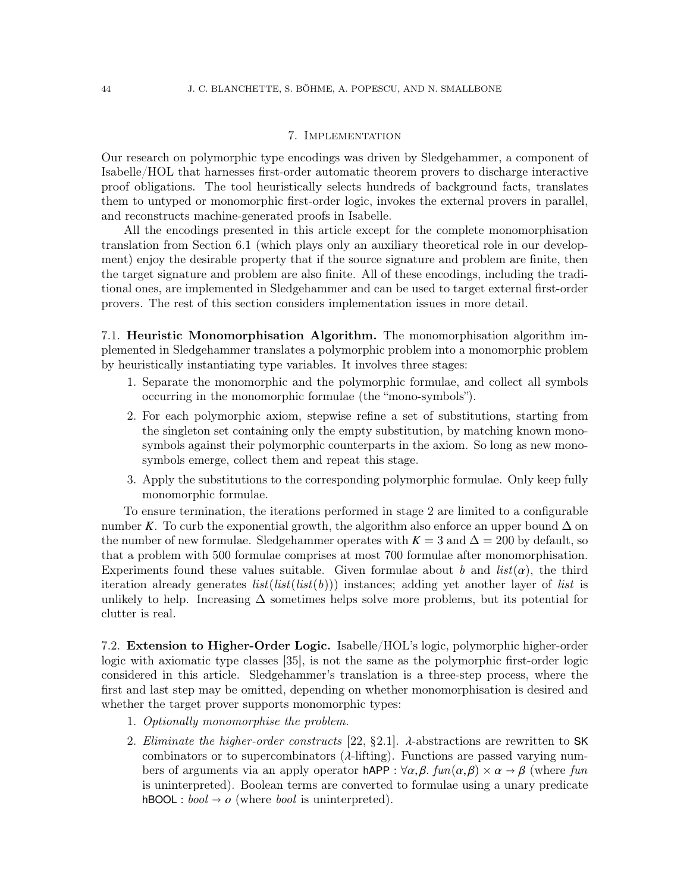## 7. Implementation

<span id="page-43-0"></span>Our research on polymorphic type encodings was driven by Sledgehammer, a component of Isabelle/HOL that harnesses first-order automatic theorem provers to discharge interactive proof obligations. The tool heuristically selects hundreds of background facts, translates them to untyped or monomorphic first-order logic, invokes the external provers in parallel, and reconstructs machine-generated proofs in Isabelle.

All the encodings presented in this article except for the complete monomorphisation translation from Section [6.1](#page-33-1) (which plays only an auxiliary theoretical role in our development) enjoy the desirable property that if the source signature and problem are finite, then the target signature and problem are also finite. All of these encodings, including the traditional ones, are implemented in Sledgehammer and can be used to target external first-order provers. The rest of this section considers implementation issues in more detail.

7.1. Heuristic Monomorphisation Algorithm. The monomorphisation algorithm implemented in Sledgehammer translates a polymorphic problem into a monomorphic problem by heuristically instantiating type variables. It involves three stages:

- 1. Separate the monomorphic and the polymorphic formulae, and collect all symbols occurring in the monomorphic formulae (the "mono-symbols").
- 2. For each polymorphic axiom, stepwise refine a set of substitutions, starting from the singleton set containing only the empty substitution, by matching known monosymbols against their polymorphic counterparts in the axiom. So long as new monosymbols emerge, collect them and repeat this stage.
- 3. Apply the substitutions to the corresponding polymorphic formulae. Only keep fully monomorphic formulae.

To ensure termination, the iterations performed in stage 2 are limited to a configurable number *K*. To curb the exponential growth, the algorithm also enforce an upper bound  $\Delta$  on the number of new formulae. Sledgehammer operates with  $K = 3$  and  $\Delta = 200$  by default, so that a problem with 500 formulae comprises at most 700 formulae after monomorphisation. Experiments found these values suitable. Given formulae about b and  $list(\alpha)$ , the third iteration already generates  $list(list(b))$  instances; adding yet another layer of list is unlikely to help. Increasing  $\Delta$  sometimes helps solve more problems, but its potential for clutter is real.

<span id="page-43-1"></span>7.2. Extension to Higher-Order Logic. Isabelle/HOL's logic, polymorphic higher-order logic with axiomatic type classes [\[35\]](#page-50-9), is not the same as the polymorphic first-order logic considered in this article. Sledgehammer's translation is a three-step process, where the first and last step may be omitted, depending on whether monomorphisation is desired and whether the target prover supports monomorphic types:

- 1. Optionally monomorphise the problem.
- 2. Eliminate the higher-order constructs [\[22,](#page-50-0) §2.1].  $\lambda$ -abstractions are rewritten to SK combinators or to supercombinators  $(\lambda$ -lifting). Functions are passed varying numbers of arguments via an apply operator hAPP :  $\forall \alpha, \beta$ .  $fun(\alpha, \beta) \times \alpha \rightarrow \beta$  (where fun is uninterpreted). Boolean terms are converted to formulae using a unary predicate  $h\text{BOOL}: \text{bool} \rightarrow o$  (where *bool* is uninterpreted).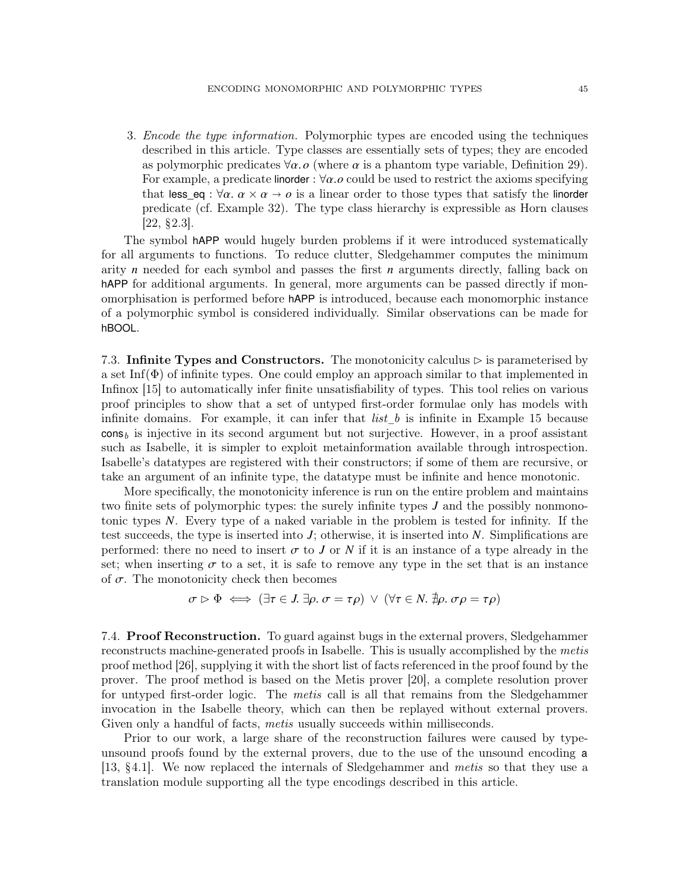3. Encode the type information. Polymorphic types are encoded using the techniques described in this article. Type classes are essentially sets of types; they are encoded as polymorphic predicates  $\forall \alpha$ . *o* (where  $\alpha$  is a phantom type variable, Definition [29\)](#page-12-1). For example, a predicate linorder :  $\forall \alpha.o$  could be used to restrict the axioms specifying that less eq :  $\forall \alpha$ .  $\alpha \times \alpha \rightarrow o$  is a linear order to those types that satisfy the linorder predicate (cf. Example [32\)](#page-12-2). The type class hierarchy is expressible as Horn clauses  $[22, §2.3]$  $[22, §2.3]$ .

The symbol hAPP would hugely burden problems if it were introduced systematically for all arguments to functions. To reduce clutter, Sledgehammer computes the minimum arity *n* needed for each symbol and passes the first *n* arguments directly, falling back on hAPP for additional arguments. In general, more arguments can be passed directly if monomorphisation is performed before hAPP is introduced, because each monomorphic instance of a polymorphic symbol is considered individually. Similar observations can be made for hBOOL.

7.3. Infinite Types and Constructors. The monotonicity calculus  $\triangleright$  is parameterised by a set Inf( $\Phi$ ) of infinite types. One could employ an approach similar to that implemented in Infinox [\[15\]](#page-50-11) to automatically infer finite unsatisfiability of types. This tool relies on various proof principles to show that a set of untyped first-order formulae only has models with infinite domains. For example, it can infer that  $list_b$  is infinite in Example [15](#page-7-2) because  $\cos_b$  is injective in its second argument but not surjective. However, in a proof assistant such as Isabelle, it is simpler to exploit metainformation available through introspection. Isabelle's datatypes are registered with their constructors; if some of them are recursive, or take an argument of an infinite type, the datatype must be infinite and hence monotonic.

More specifically, the monotonicity inference is run on the entire problem and maintains two finite sets of polymorphic types: the surely infinite types *J* and the possibly nonmonotonic types *N*. Every type of a naked variable in the problem is tested for infinity. If the test succeeds, the type is inserted into *J*; otherwise, it is inserted into *N*. Simplifications are performed: there no need to insert  $\sigma$  to *J* or *N* if it is an instance of a type already in the set; when inserting  $\sigma$  to a set, it is safe to remove any type in the set that is an instance of  $\sigma$ . The monotonicity check then becomes

$$
\sigma \triangleright \Phi \iff (\exists \tau \in J. \ \exists \rho. \ \sigma = \tau \rho) \ \lor \ (\forall \tau \in N. \ \nexists \rho. \ \sigma \rho = \tau \rho)
$$

7.4. Proof Reconstruction. To guard against bugs in the external provers, Sledgehammer reconstructs machine-generated proofs in Isabelle. This is usually accomplished by the *metis* proof method [\[26\]](#page-50-13), supplying it with the short list of facts referenced in the proof found by the prover. The proof method is based on the Metis prover [\[20\]](#page-50-14), a complete resolution prover for untyped first-order logic. The metis call is all that remains from the Sledgehammer invocation in the Isabelle theory, which can then be replayed without external provers. Given only a handful of facts, *metis* usually succeeds within milliseconds.

Prior to our work, a large share of the reconstruction failures were caused by typeunsound proofs found by the external provers, due to the use of the unsound encoding a [\[13,](#page-50-15) §4.1]. We now replaced the internals of Sledgehammer and metis so that they use a translation module supporting all the type encodings described in this article.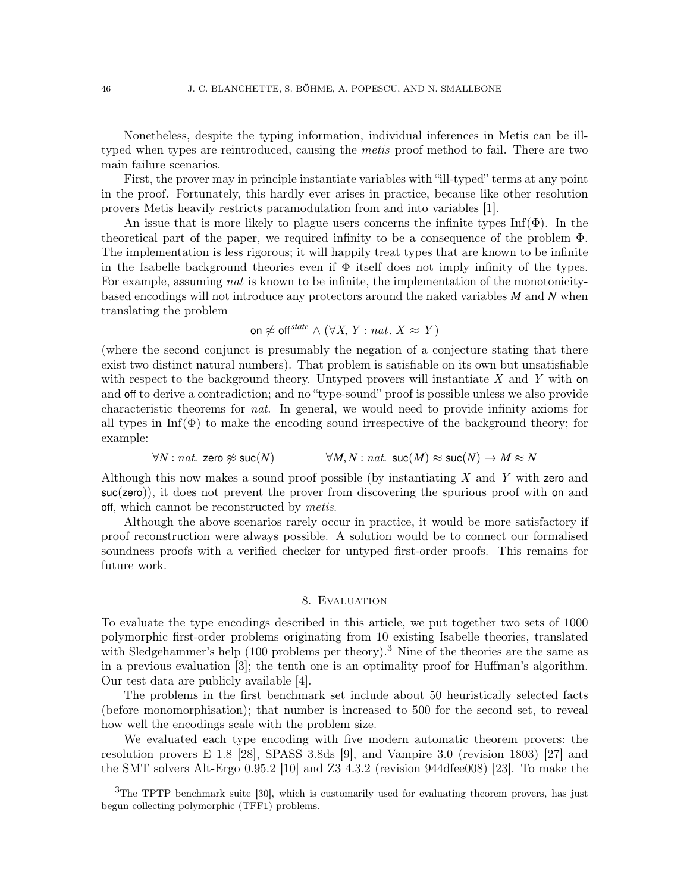Nonetheless, despite the typing information, individual inferences in Metis can be illtyped when types are reintroduced, causing the metis proof method to fail. There are two main failure scenarios.

First, the prover may in principle instantiate variables with "ill-typed" terms at any point in the proof. Fortunately, this hardly ever arises in practice, because like other resolution provers Metis heavily restricts paramodulation from and into variables [\[1\]](#page-49-4).

An issue that is more likely to plague users concerns the infinite types  $\text{Inf}(\Phi)$ . In the theoretical part of the paper, we required infinity to be a consequence of the problem Φ. The implementation is less rigorous; it will happily treat types that are known to be infinite in the Isabelle background theories even if  $\Phi$  itself does not imply infinity of the types. For example, assuming *nat* is known to be infinite, the implementation of the monotonicitybased encodings will not introduce any protectors around the naked variables *M* and *N* when translating the problem

on 
$$
\not\approx
$$
 off<sup>state</sup>  $\wedge$  ( $\forall X, Y : nat. X \approx Y$ )

(where the second conjunct is presumably the negation of a conjecture stating that there exist two distinct natural numbers). That problem is satisfiable on its own but unsatisfiable with respect to the background theory. Untyped provers will instantiate  $X$  and  $Y$  with on and off to derive a contradiction; and no "type-sound" proof is possible unless we also provide characteristic theorems for nat. In general, we would need to provide infinity axioms for all types in  $\text{Inf}(\Phi)$  to make the encoding sound irrespective of the background theory; for example:

 $\forall N : nat.$  zero  $\not\approx$  suc $(N)$   $\forall M, N : nat.$  suc $(M) \approx$  suc $(N) \rightarrow M \approx N$ 

Although this now makes a sound proof possible (by instantiating  $X$  and  $Y$  with zero and suc(zero)), it does not prevent the prover from discovering the spurious proof with on and off, which cannot be reconstructed by *metis*.

Although the above scenarios rarely occur in practice, it would be more satisfactory if proof reconstruction were always possible. A solution would be to connect our formalised soundness proofs with a verified checker for untyped first-order proofs. This remains for future work.

#### 8. Evaluation

<span id="page-45-0"></span>To evaluate the type encodings described in this article, we put together two sets of 1000 polymorphic first-order problems originating from 10 existing Isabelle theories, translated with Sledgehammer's help  $(100 \text{ problems per theory})$ .<sup>[3](#page-45-1)</sup> Nine of the theories are the same as in a previous evaluation [\[3\]](#page-49-2); the tenth one is an optimality proof for Huffman's algorithm. Our test data are publicly available [\[4\]](#page-49-5).

The problems in the first benchmark set include about 50 heuristically selected facts (before monomorphisation); that number is increased to 500 for the second set, to reveal how well the encodings scale with the problem size.

We evaluated each type encoding with five modern automatic theorem provers: the resolution provers E 1.8 [\[28\]](#page-50-16), SPASS 3.8ds [\[9\]](#page-49-6), and Vampire 3.0 (revision 1803) [\[27\]](#page-50-17) and the SMT solvers Alt-Ergo 0.95.2 [\[10\]](#page-49-7) and Z3 4.3.2 (revision 944dfee008) [\[23\]](#page-50-18). To make the

<span id="page-45-1"></span> $3$ The TPTP benchmark suite [\[30\]](#page-50-6), which is customarily used for evaluating theorem provers, has just begun collecting polymorphic (TFF1) problems.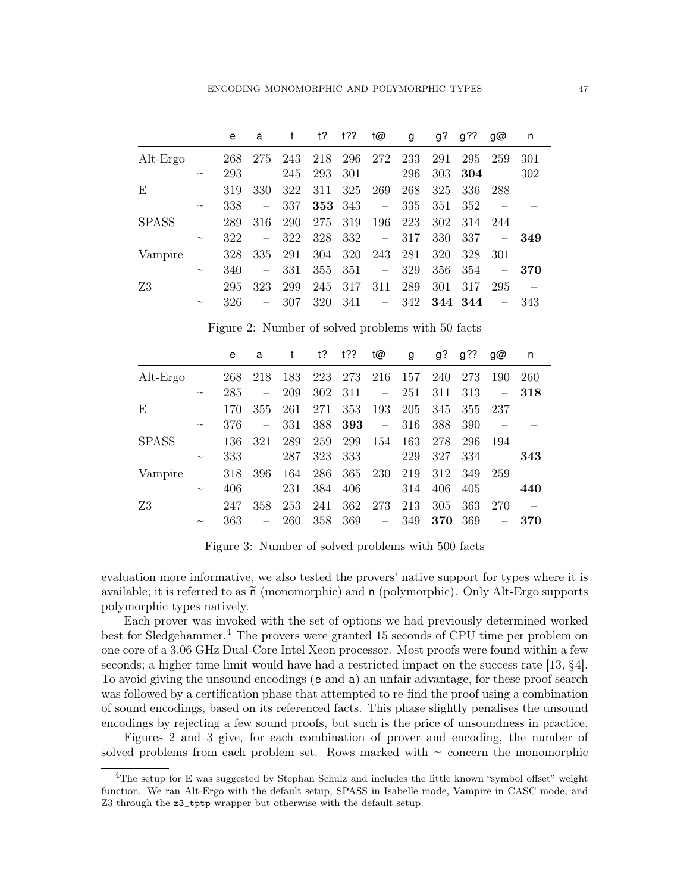|              |                           | e   | a                        | t   | t?  | 122  | t@                       | g   | $g$ ? | $g$ ??  | g@                       | n   |
|--------------|---------------------------|-----|--------------------------|-----|-----|------|--------------------------|-----|-------|---------|--------------------------|-----|
| $Alt-Ergo$   |                           | 268 | 275                      | 243 | 218 | 296  | 272                      | 233 | 291   | 295     | 259                      | 301 |
|              | $\widetilde{\phantom{m}}$ | 293 | $\overline{\phantom{0}}$ | 245 | 293 | 301  | $\overline{\phantom{m}}$ | 296 | 303   | 304     | $\overline{\phantom{m}}$ | 302 |
| E            |                           | 319 | 330                      | 322 | 311 | 325  | 269                      | 268 | 325   | 336     | 288                      |     |
|              | $\widetilde{\phantom{m}}$ | 338 | $\overline{\phantom{0}}$ | 337 | 353 | -343 | $\equiv$ .               | 335 | 351   | 352     |                          |     |
| <b>SPASS</b> |                           | 289 | 316                      | 290 | 275 | 319  | 196                      | 223 | 302   | 314     | -244                     |     |
|              | $\widetilde{\phantom{m}}$ | 322 | $\overline{\phantom{m}}$ | 322 | 328 | 332  | $\overline{\phantom{0}}$ | 317 | 330   | 337     | $\overline{\phantom{0}}$ | 349 |
| Vampire      |                           | 328 | 335                      | 291 | 304 | 320  | 243                      | 281 | 320   | 328     | 301                      |     |
|              | $\widetilde{\phantom{m}}$ | 340 | $\overline{\phantom{0}}$ | 331 | 355 | 351  | $\overline{\phantom{0}}$ | 329 | 356   | 354     | $\overline{\phantom{m}}$ | 370 |
| Z3           |                           | 295 | 323                      | 299 | 245 | 317  | 311                      | 289 | 301   | 317     | 295                      |     |
|              | $\widetilde{\phantom{m}}$ | 326 | $\overline{\phantom{m}}$ | 307 | 320 | 341  | $\overline{\phantom{m}}$ | 342 |       | 344 344 | $\overline{\phantom{m}}$ | 343 |

<span id="page-46-1"></span>Figure 2: Number of solved problems with 50 facts

|              |                           | e   | a                        |     | t?  | t?? | t@                       | g   | g?  | g?? | g@                       | n   |
|--------------|---------------------------|-----|--------------------------|-----|-----|-----|--------------------------|-----|-----|-----|--------------------------|-----|
| $Alt-Ergo$   |                           | 268 | 218                      | 183 | 223 | 273 | 216                      | 157 | 240 | 273 | 190                      | 260 |
|              | $\widetilde{\phantom{m}}$ | 285 | $\overline{\phantom{m}}$ | 209 | 302 | 311 | $\overline{\phantom{m}}$ | 251 | 311 | 313 | $\overline{\phantom{0}}$ | 318 |
| E            |                           | 170 | 355                      | 261 | 271 | 353 | 193                      | 205 | 345 | 355 | 237                      |     |
|              | $\widetilde{\phantom{m}}$ | 376 | $\overline{\phantom{m}}$ | 331 | 388 | 393 | $\overline{\phantom{0}}$ | 316 | 388 | 390 |                          |     |
| <b>SPASS</b> |                           | 136 | 321                      | 289 | 259 | 299 | 154                      | 163 | 278 | 296 | 194                      |     |
|              | $\widetilde{\phantom{m}}$ | 333 | $\overline{\phantom{m}}$ | 287 | 323 | 333 | $\overline{\phantom{0}}$ | 229 | 327 | 334 | $\overline{\phantom{0}}$ | 343 |
| Vampire      |                           | 318 | 396                      | 164 | 286 | 365 | 230                      | 219 | 312 | 349 | 259                      |     |
|              | $\widetilde{\phantom{m}}$ | 406 | $\overline{\phantom{m}}$ | 231 | 384 | 406 | $\overline{\phantom{0}}$ | 314 | 406 | 405 | $\overline{\phantom{0}}$ | 440 |
| Ζ3           |                           | 247 | 358                      | 253 | 241 | 362 | 273                      | 213 | 305 | 363 | -270                     |     |
|              | $\widetilde{\phantom{m}}$ | 363 |                          | 260 | 358 | 369 | $\overline{\phantom{0}}$ | 349 | 370 | 369 |                          | 370 |

<span id="page-46-2"></span>Figure 3: Number of solved problems with 500 facts

evaluation more informative, we also tested the provers' native support for types where it is available; it is referred to as  $\tilde{n}$  (monomorphic) and n (polymorphic). Only Alt-Ergo supports polymorphic types natively.

Each prover was invoked with the set of options we had previously determined worked best for Sledgehammer.<sup>[4](#page-46-0)</sup> The provers were granted 15 seconds of CPU time per problem on one core of a 3.06 GHz Dual-Core Intel Xeon processor. Most proofs were found within a few seconds; a higher time limit would have had a restricted impact on the success rate [\[13,](#page-50-15) §4]. To avoid giving the unsound encodings (e and a) an unfair advantage, for these proof search was followed by a certification phase that attempted to re-find the proof using a combination of sound encodings, based on its referenced facts. This phase slightly penalises the unsound encodings by rejecting a few sound proofs, but such is the price of unsoundness in practice.

Figures [2](#page-46-1) and [3](#page-46-2) give, for each combination of prover and encoding, the number of solved problems from each problem set. Rows marked with  $\sim$  concern the monomorphic

<span id="page-46-0"></span><sup>&</sup>lt;sup>4</sup>The setup for E was suggested by Stephan Schulz and includes the little known "symbol offset" weight function. We ran Alt-Ergo with the default setup, SPASS in Isabelle mode, Vampire in CASC mode, and Z3 through the z3\_tptp wrapper but otherwise with the default setup.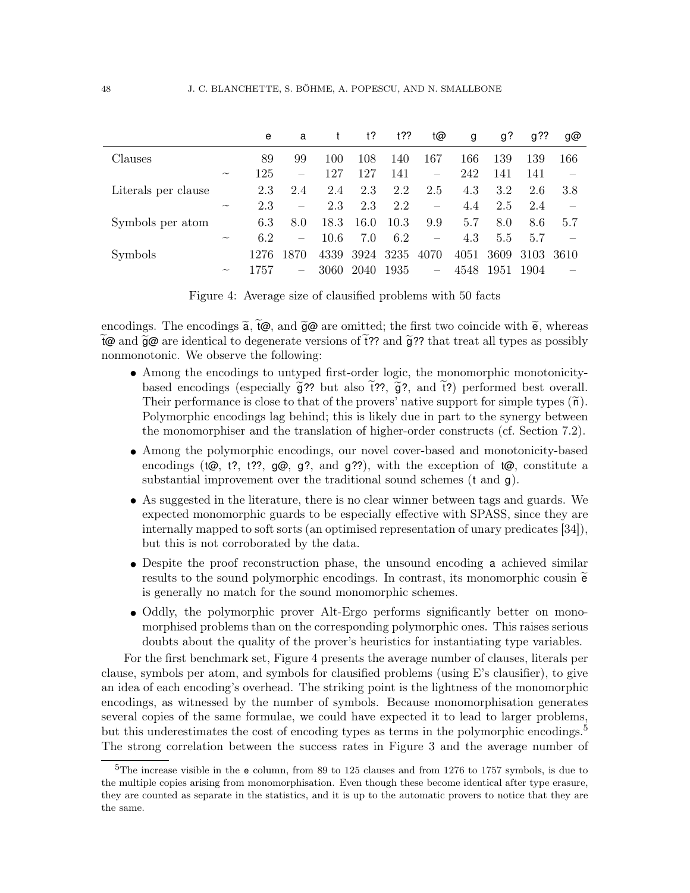|                     |                           | e    | a                        | t    | t?   | 122  | t@                       | g    | g?   | g??  | g@   |
|---------------------|---------------------------|------|--------------------------|------|------|------|--------------------------|------|------|------|------|
| Clauses             |                           | 89   | 99                       | 100  | 108  | 140  | 167                      | 166  | 139  | 139  | 166  |
|                     | $\widetilde{\phantom{m}}$ | 125  | $\equiv$                 | 127  | 127  | 141  | $\overline{\phantom{m}}$ | 242  | 141  | 141  |      |
| Literals per clause |                           | 2.3  | 2.4                      | 2.4  | 2.3  | 2.2  | 2.5                      | 4.3  | 3.2  | 2.6  | 3.8  |
|                     | $\widetilde{\phantom{m}}$ | 2.3  | $\overline{\phantom{m}}$ | 2.3  | 2.3  | 2.2  | $\overline{\phantom{m}}$ | 4.4  | 2.5  | 2.4  |      |
| Symbols per atom    |                           | 6.3  | 8.0                      | 18.3 | 16.0 | 10.3 | 9.9                      | 5.7  | 8.0  | 8.6  | 5.7  |
|                     | $\widetilde{\phantom{m}}$ | 6.2  | $\overline{\phantom{m}}$ | 10.6 | 7.0  | 6.2  |                          | 4.3  | 5.5  | 5.7  |      |
| Symbols             |                           | 1276 | 1870                     | 4339 | 3924 | 3235 | 4070                     | 4051 | 3609 | 3103 | 3610 |
|                     | $\widetilde{\phantom{m}}$ | 1757 | $\overline{\phantom{m}}$ | 3060 | 2040 | 1935 | $\overline{\phantom{m}}$ | 4548 | 1951 | 1904 |      |

<span id="page-47-0"></span>Figure 4: Average size of clausified problems with 50 facts

encodings. The encodings  $\tilde{a}$ ,  $\tilde{t}\omega$ , and  $\tilde{g}\omega$  are omitted; the first two coincide with  $\tilde{e}$ , whereas  $\tilde{t}$  and  $\tilde{g}$  are identical to degenerate versions of  $\tilde{t}$ ?? and  $\tilde{g}$ ?? that treat all types as possibly nonmonotonic. We observe the following:

- Among the encodings to untyped first-order logic, the monomorphic monotonicitybased encodings (especially  $\tilde{g}$ ?? but also  $\tilde{t}$ ??,  $\tilde{g}$ ?, and  $\tilde{t}$ ?) performed best overall. Their performance is close to that of the provers' native support for simple types  $(\tilde{n})$ . Polymorphic encodings lag behind; this is likely due in part to the synergy between the monomorphiser and the translation of higher-order constructs (cf. Section [7.2\)](#page-43-1).
- Among the polymorphic encodings, our novel cover-based and monotonicity-based encodings (t $\omega$ , t?, t??,  $\omega$ ,  $\omega$ ,  $g$ ?, and  $g$ ??), with the exception of t $\omega$ , constitute a substantial improvement over the traditional sound schemes  $(t \text{ and } \texttt{q})$ .
- As suggested in the literature, there is no clear winner between tags and guards. We expected monomorphic guards to be especially effective with SPASS, since they are internally mapped to soft sorts (an optimised representation of unary predicates [\[34\]](#page-50-19)), but this is not corroborated by the data.
- Despite the proof reconstruction phase, the unsound encoding a achieved similar results to the sound polymorphic encodings. In contrast, its monomorphic cousin  $\tilde{e}$ is generally no match for the sound monomorphic schemes.
- Oddly, the polymorphic prover Alt-Ergo performs significantly better on monomorphised problems than on the corresponding polymorphic ones. This raises serious doubts about the quality of the prover's heuristics for instantiating type variables.

For the first benchmark set, Figure [4](#page-47-0) presents the average number of clauses, literals per clause, symbols per atom, and symbols for clausified problems (using E's clausifier), to give an idea of each encoding's overhead. The striking point is the lightness of the monomorphic encodings, as witnessed by the number of symbols. Because monomorphisation generates several copies of the same formulae, we could have expected it to lead to larger problems, but this underestimates the cost of encoding types as terms in the polymorphic encodings.<sup>[5](#page-47-1)</sup> The strong correlation between the success rates in Figure [3](#page-46-2) and the average number of

<span id="page-47-1"></span> $5$ The increase visible in the e column, from 89 to 125 clauses and from 1276 to 1757 symbols, is due to the multiple copies arising from monomorphisation. Even though these become identical after type erasure, they are counted as separate in the statistics, and it is up to the automatic provers to notice that they are the same.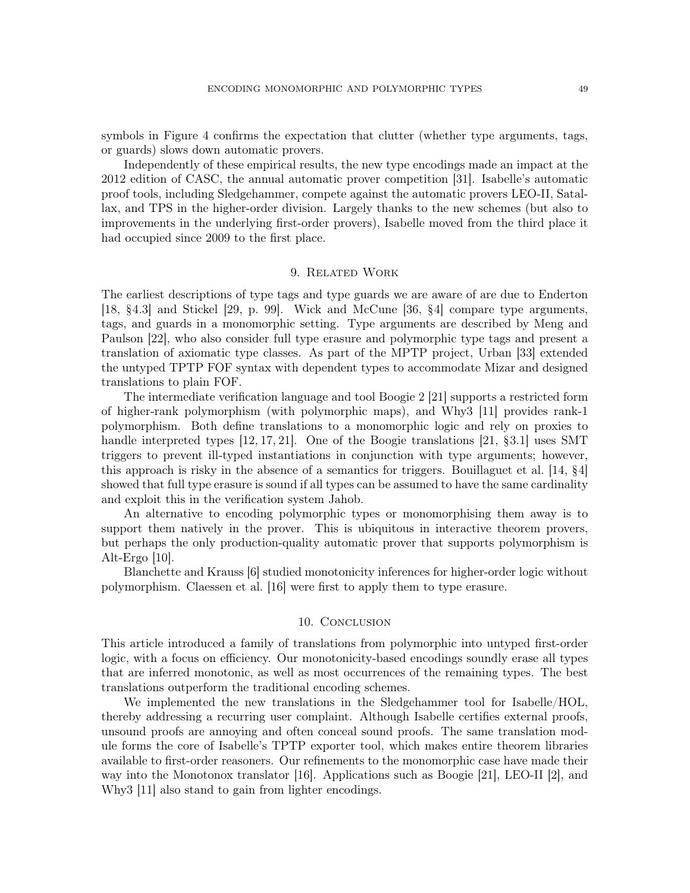symbols in Figure [4](#page-47-0) confirms the expectation that clutter (whether type arguments, tags, or guards) slows down automatic provers.

Independently of these empirical results, the new type encodings made an impact at the 2012 edition of CASC, the annual automatic prover competition [\[31\]](#page-50-20). Isabelle's automatic proof tools, including Sledgehammer, compete against the automatic provers LEO-II, Satallax, and TPS in the higher-order division. Largely thanks to the new schemes (but also to improvements in the underlying first-order provers), Isabelle moved from the third place it had occupied since 2009 to the first place.

## 9. Related Work

<span id="page-48-0"></span>The earliest descriptions of type tags and type guards we are aware of are due to Enderton [\[18,](#page-50-7) §4.3] and Stickel [\[29,](#page-50-1) p. 99]. Wick and McCune [\[36,](#page-50-8) §4] compare type arguments, tags, and guards in a monomorphic setting. Type arguments are described by Meng and Paulson [\[22\]](#page-50-0), who also consider full type erasure and polymorphic type tags and present a translation of axiomatic type classes. As part of the MPTP project, Urban [\[33\]](#page-50-21) extended the untyped TPTP FOF syntax with dependent types to accommodate Mizar and designed translations to plain FOF.

The intermediate verification language and tool Boogie 2 [\[21\]](#page-50-22) supports a restricted form of higher-rank polymorphism (with polymorphic maps), and Why3 [\[11\]](#page-49-8) provides rank-1 polymorphism. Both define translations to a monomorphic logic and rely on proxies to handle interpreted types [\[12,](#page-50-12) [17,](#page-50-23) [21\]](#page-50-22). One of the Boogie translations [\[21,](#page-50-22) §3.1] uses SMT triggers to prevent ill-typed instantiations in conjunction with type arguments; however, this approach is risky in the absence of a semantics for triggers. Bouillaguet et al. [\[14,](#page-50-24) §4] showed that full type erasure is sound if all types can be assumed to have the same cardinality and exploit this in the verification system Jahob.

An alternative to encoding polymorphic types or monomorphising them away is to support them natively in the prover. This is ubiquitous in interactive theorem provers, but perhaps the only production-quality automatic prover that supports polymorphism is Alt-Ergo [\[10\]](#page-49-7).

Blanchette and Krauss [\[6\]](#page-49-9) studied monotonicity inferences for higher-order logic without polymorphism. Claessen et al. [\[16\]](#page-50-2) were first to apply them to type erasure.

### 10. Conclusion

This article introduced a family of translations from polymorphic into untyped first-order logic, with a focus on efficiency. Our monotonicity-based encodings soundly erase all types that are inferred monotonic, as well as most occurrences of the remaining types. The best translations outperform the traditional encoding schemes.

We implemented the new translations in the Sledgehammer tool for Isabelle/HOL, thereby addressing a recurring user complaint. Although Isabelle certifies external proofs, unsound proofs are annoying and often conceal sound proofs. The same translation module forms the core of Isabelle's TPTP exporter tool, which makes entire theorem libraries available to first-order reasoners. Our refinements to the monomorphic case have made their way into the Monotonox translator [\[16\]](#page-50-2). Applications such as Boogie [\[21\]](#page-50-22), LEO-II [\[2\]](#page-49-10), and Why3 [\[11\]](#page-49-8) also stand to gain from lighter encodings.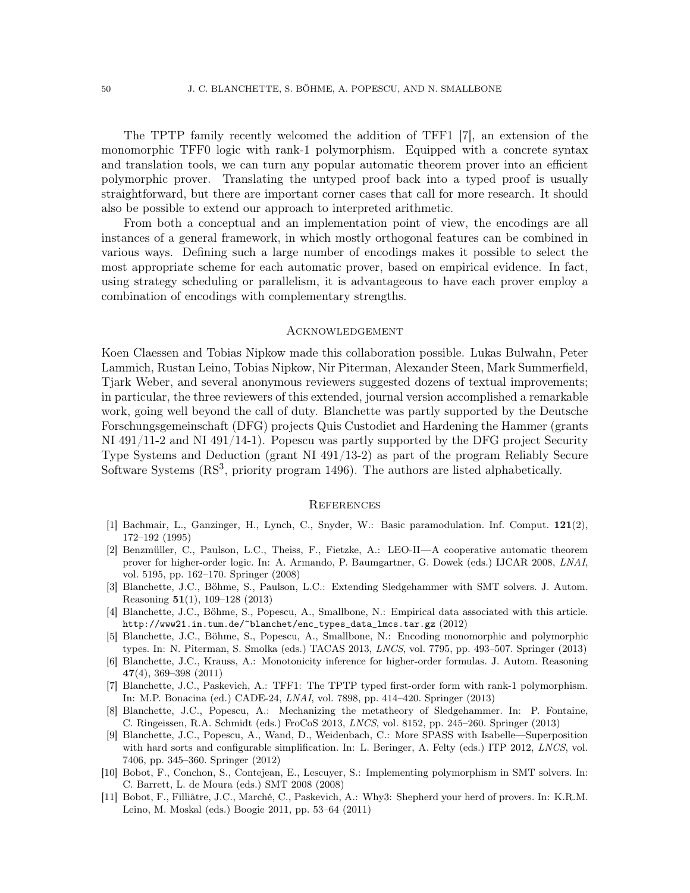The TPTP family recently welcomed the addition of TFF1 [\[7\]](#page-49-0), an extension of the monomorphic TFF0 logic with rank-1 polymorphism. Equipped with a concrete syntax and translation tools, we can turn any popular automatic theorem prover into an efficient polymorphic prover. Translating the untyped proof back into a typed proof is usually straightforward, but there are important corner cases that call for more research. It should also be possible to extend our approach to interpreted arithmetic.

From both a conceptual and an implementation point of view, the encodings are all instances of a general framework, in which mostly orthogonal features can be combined in various ways. Defining such a large number of encodings makes it possible to select the most appropriate scheme for each automatic prover, based on empirical evidence. In fact, using strategy scheduling or parallelism, it is advantageous to have each prover employ a combination of encodings with complementary strengths.

### Acknowledgement

Koen Claessen and Tobias Nipkow made this collaboration possible. Lukas Bulwahn, Peter Lammich, Rustan Leino, Tobias Nipkow, Nir Piterman, Alexander Steen, Mark Summerfield, Tjark Weber, and several anonymous reviewers suggested dozens of textual improvements; in particular, the three reviewers of this extended, journal version accomplished a remarkable work, going well beyond the call of duty. Blanchette was partly supported by the Deutsche Forschungsgemeinschaft (DFG) projects Quis Custodiet and Hardening the Hammer (grants NI 491/11-2 and NI 491/14-1). Popescu was partly supported by the DFG project Security Type Systems and Deduction (grant NI 491/13-2) as part of the program Reliably Secure Software Systems  $(RS<sup>3</sup>$ , priority program 1496). The authors are listed alphabetically.

#### **REFERENCES**

- <span id="page-49-4"></span>[1] Bachmair, L., Ganzinger, H., Lynch, C., Snyder, W.: Basic paramodulation. Inf. Comput. 121(2), 172–192 (1995)
- <span id="page-49-10"></span>[2] Benzmüller, C., Paulson, L.C., Theiss, F., Fietzke, A.: LEO-II—A cooperative automatic theorem prover for higher-order logic. In: A. Armando, P. Baumgartner, G. Dowek (eds.) IJCAR 2008, LNAI, vol. 5195, pp. 162–170. Springer (2008)
- <span id="page-49-2"></span>[3] Blanchette, J.C., Böhme, S., Paulson, L.C.: Extending Sledgehammer with SMT solvers. J. Autom. Reasoning 51(1), 109–128 (2013)
- <span id="page-49-5"></span>[4] Blanchette, J.C., Böhme, S., Popescu, A., Smallbone, N.: Empirical data associated with this article. [http://www21.in.tum.de/~blanchet/enc\\_types\\_data\\_lmcs.tar.gz](http://www21.in.tum.de/~blanchet/enc_types_data_lmcs.tar.gz) (2012)
- <span id="page-49-3"></span>[5] Blanchette, J.C., Böhme, S., Popescu, A., Smallbone, N.: Encoding monomorphic and polymorphic types. In: N. Piterman, S. Smolka (eds.) TACAS 2013, LNCS, vol. 7795, pp. 493–507. Springer (2013)
- <span id="page-49-9"></span>[6] Blanchette, J.C., Krauss, A.: Monotonicity inference for higher-order formulas. J. Autom. Reasoning 47(4), 369–398 (2011)
- <span id="page-49-0"></span>[7] Blanchette, J.C., Paskevich, A.: TFF1: The TPTP typed first-order form with rank-1 polymorphism. In: M.P. Bonacina (ed.) CADE-24, LNAI, vol. 7898, pp. 414–420. Springer (2013)
- <span id="page-49-1"></span>[8] Blanchette, J.C., Popescu, A.: Mechanizing the metatheory of Sledgehammer. In: P. Fontaine, C. Ringeissen, R.A. Schmidt (eds.) FroCoS 2013, LNCS, vol. 8152, pp. 245–260. Springer (2013)
- <span id="page-49-6"></span>[9] Blanchette, J.C., Popescu, A., Wand, D., Weidenbach, C.: More SPASS with Isabelle—Superposition with hard sorts and configurable simplification. In: L. Beringer, A. Felty (eds.) ITP 2012, LNCS, vol. 7406, pp. 345–360. Springer (2012)
- <span id="page-49-7"></span>[10] Bobot, F., Conchon, S., Contejean, E., Lescuyer, S.: Implementing polymorphism in SMT solvers. In: C. Barrett, L. de Moura (eds.) SMT 2008 (2008)
- <span id="page-49-8"></span>[11] Bobot, F., Filliâtre, J.C., Marché, C., Paskevich, A.: Why3: Shepherd your herd of provers. In: K.R.M. Leino, M. Moskal (eds.) Boogie 2011, pp. 53–64 (2011)